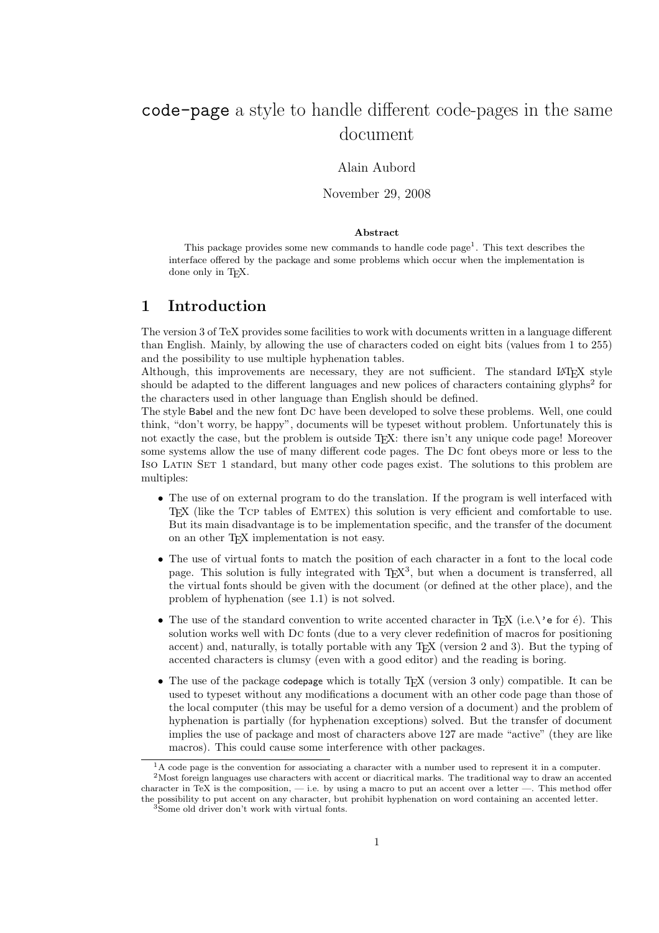# code-page a style to handle different code-pages in the same document

## Alain Aubord

November 29, 2008

#### **Abstract**

This package provides some new commands to handle code page<sup>1</sup>. This text describes the interface offered by the package and some problems which occur when the implementation is done only in TEX.

## **1 Introduction**

The version 3 of TeX provides some facilities to work with documents written in a language different than English. Mainly, by allowing the use of characters coded on eight bits (values from 1 to 255) and the possibility to use multiple hyphenation tables.

Although, this improvements are necessary, they are not sufficient. The standard LATEX style should be adapted to the different languages and new polices of characters containing glyphs<sup>2</sup> for the characters used in other language than English should be defined.

The style Babel and the new font Dc have been developed to solve these problems. Well, one could think, "don't worry, be happy", documents will be typeset without problem. Unfortunately this is not exactly the case, but the problem is outside T<sub>E</sub>X: there isn't any unique code page! Moreover some systems allow the use of many different code pages. The Dc font obeys more or less to the Iso Latin Set 1 standard, but many other code pages exist. The solutions to this problem are multiples:

- The use of on external program to do the translation. If the program is well interfaced with TEX (like the Tcp tables of Emtex) this solution is very efficient and comfortable to use. But its main disadvantage is to be implementation specific, and the transfer of the document on an other TEX implementation is not easy.
- The use of virtual fonts to match the position of each character in a font to the local code page. This solution is fully integrated with T<sub>E</sub>X<sup>3</sup>, but when a document is transferred, all the virtual fonts should be given with the document (or defined at the other place), and the problem of hyphenation (see 1.1) is not solved.
- The use of the standard convention to write accented character in T<sub>E</sub>X (i.e.\'e for  $\acute{e}$ ). This solution works well with Dc fonts (due to a very clever redefinition of macros for positioning accent) and, naturally, is totally portable with any T<sub>E</sub>X (version 2 and 3). But the typing of accented characters is clumsy (even with a good editor) and the reading is boring.
- The use of the package codepage which is totally T<sub>EX</sub> (version 3 only) compatible. It can be used to typeset without any modifications a document with an other code page than those of the local computer (this may be useful for a demo version of a document) and the problem of hyphenation is partially (for hyphenation exceptions) solved. But the transfer of document implies the use of package and most of characters above 127 are made "active" (they are like macros). This could cause some interference with other packages.

<sup>1</sup>A code page is the convention for associating a character with a number used to represent it in a computer. <sup>2</sup>Most foreign languages use characters with accent or diacritical marks. The traditional way to draw an accented

character in TeX is the composition,  $-$  i.e. by using a macro to put an accent over a letter  $-$ . This method offer the possibility to put accent on any character, but prohibit hyphenation on word containing an accented letter.

<sup>3</sup>Some old driver don't work with virtual fonts.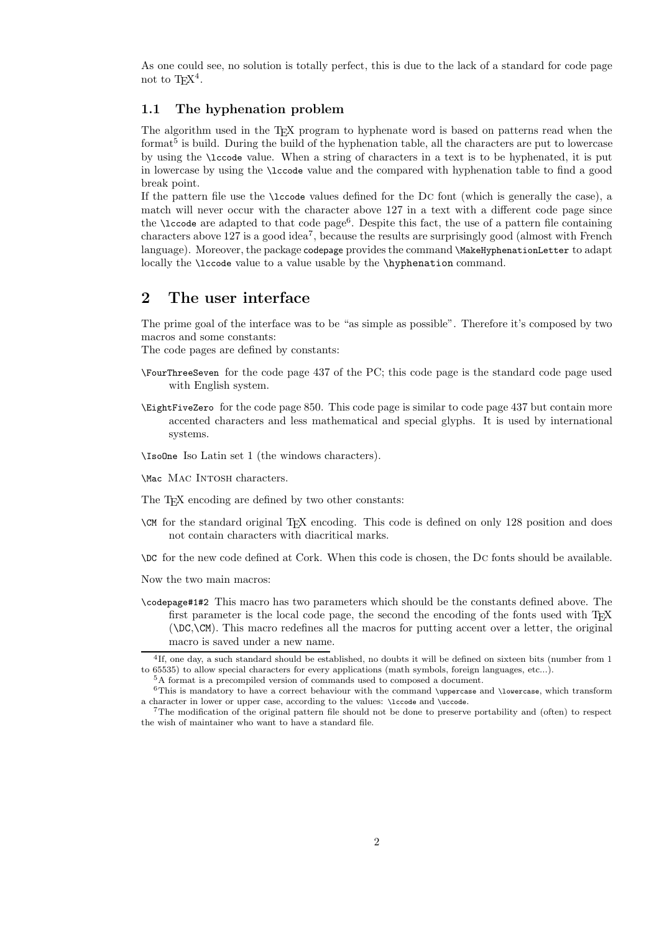As one could see, no solution is totally perfect, this is due to the lack of a standard for code page not to  $T_F X^4$ .

## **1.1 The hyphenation problem**

The algorithm used in the TEX program to hyphenate word is based on patterns read when the format<sup>5</sup> is build. During the build of the hyphenation table, all the characters are put to lowercase by using the \lccode value. When a string of characters in a text is to be hyphenated, it is put in lowercase by using the \lccode value and the compared with hyphenation table to find a good break point.

If the pattern file use the \lccode values defined for the Dc font (which is generally the case), a match will never occur with the character above 127 in a text with a different code page since the  $\lvert$ code are adapted to that code page<sup>6</sup>. Despite this fact, the use of a pattern file containing characters above 127 is a good idea7, because the results are surprisingly good (almost with French language). Moreover, the package codepage provides the command \MakeHyphenationLetter to adapt locally the **\lccode** value to a value usable by the **\hyphenation** command.

## **2 The user interface**

The prime goal of the interface was to be "as simple as possible". Therefore it's composed by two macros and some constants:

The code pages are defined by constants:

- \FourThreeSeven for the code page 437 of the PC; this code page is the standard code page used with English system.
- \EightFiveZero for the code page 850. This code page is similar to code page 437 but contain more accented characters and less mathematical and special glyphs. It is used by international systems.
- \IsoOne Iso Latin set 1 (the windows characters).

\Mac Mac Intosh characters.

- The T<sub>EX</sub> encoding are defined by two other constants:
- \CM for the standard original TEX encoding. This code is defined on only 128 position and does not contain characters with diacritical marks.
- \DC for the new code defined at Cork. When this code is chosen, the Dc fonts should be available.
- Now the two main macros:
- \codepage#1#2 This macro has two parameters which should be the constants defined above. The first parameter is the local code page, the second the encoding of the fonts used with  $T_F X$ (\DC,\CM). This macro redefines all the macros for putting accent over a letter, the original macro is saved under a new name.

<sup>&</sup>lt;sup>4</sup>If, one day, a such standard should be established, no doubts it will be defined on sixteen bits (number from 1 to 65535) to allow special characters for every applications (math symbols, foreign languages, etc...).

<sup>5</sup>A format is a precompiled version of commands used to composed a document.

 $6$ This is mandatory to have a correct behaviour with the command \uppercase and \lowercase, which transform a character in lower or upper case, according to the values: \lccode and \uccode.

<sup>7</sup>The modification of the original pattern file should not be done to preserve portability and (often) to respect the wish of maintainer who want to have a standard file.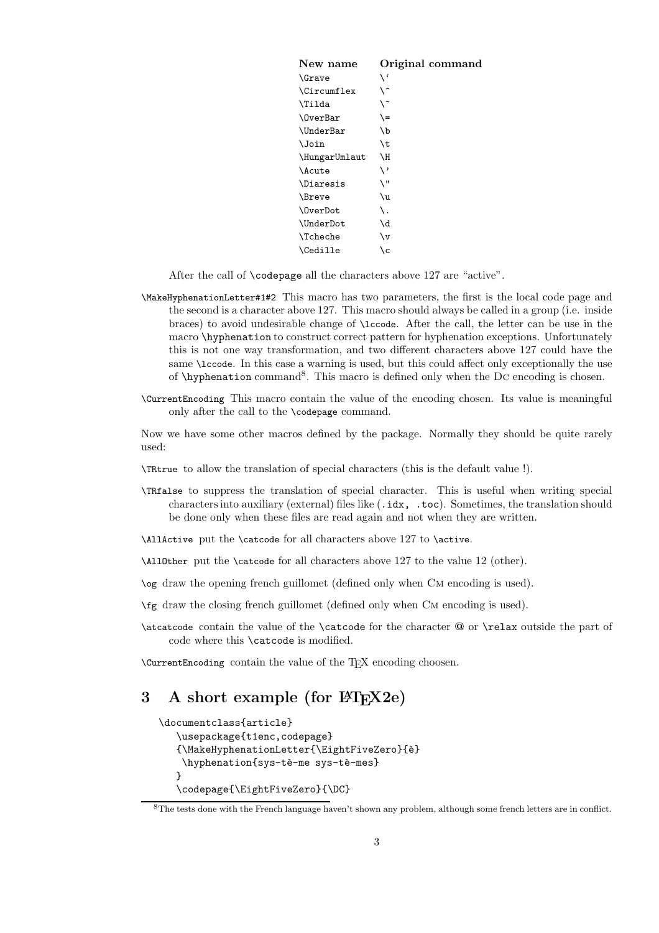| New name         | Original command |
|------------------|------------------|
| <b>\Grave</b>    | ، ۱              |
| \Circumflex      | \^               |
| \Tilda           | \~               |
| <b>\OverBar</b>  | \=               |
| <b>\UnderBar</b> | ١b               |
| <b>\Join</b>     | \t               |
| \HungarUmlaut    | ١H               |
| \Acute           | ر \              |
| <b>\Diaresis</b> | \ "              |
| \Breve           | \u               |
| OverDot          | \.               |
| \UnderDot        | ١d               |
| <b>\Tcheche</b>  | \v               |
| \Cedille         | ۱c               |

After the call of \codepage all the characters above 127 are "active".

- \MakeHyphenationLetter#1#2 This macro has two parameters, the first is the local code page and the second is a character above 127. This macro should always be called in a group (i.e. inside braces) to avoid undesirable change of \lccode. After the call, the letter can be use in the macro \hyphenation to construct correct pattern for hyphenation exceptions. Unfortunately this is not one way transformation, and two different characters above 127 could have the same \lccode. In this case a warning is used, but this could affect only exceptionally the use of \hyphenation command<sup>8</sup>. This macro is defined only when the Dc encoding is chosen.
- \CurrentEncoding This macro contain the value of the encoding chosen. Its value is meaningful only after the call to the \codepage command.

Now we have some other macros defined by the package. Normally they should be quite rarely used:

- \TRtrue to allow the translation of special characters (this is the default value !).
- \TRfalse to suppress the translation of special character. This is useful when writing special characters into auxiliary (external) files like (.idx, .toc). Sometimes, the translation should be done only when these files are read again and not when they are written.
- \AllActive put the \catcode for all characters above 127 to \active.
- \AllOther put the \catcode for all characters above 127 to the value 12 (other).
- \og draw the opening french guillomet (defined only when Cm encoding is used).
- \fg draw the closing french guillomet (defined only when Cm encoding is used).
- \atcatcode contain the value of the \catcode for the character **@** or \relax outside the part of code where this \catcode is modified.

\CurrentEncoding contain the value of the TEX encoding choosen.

## **3** A short example (for  $\angle$ **FIFX2e)**

```
\documentclass{article}
   \usepackage{t1enc,codepage}
   {\MakeHyphenationLetter{\EightFiveZero}{`e}
    \hyphenation{sys-tè-me sys-tè-mes}
   }
   \codepage{\EightFiveZero}{\DC}
```
 ${}^{8}$ The tests done with the French language haven't shown any problem, although some french letters are in conflict.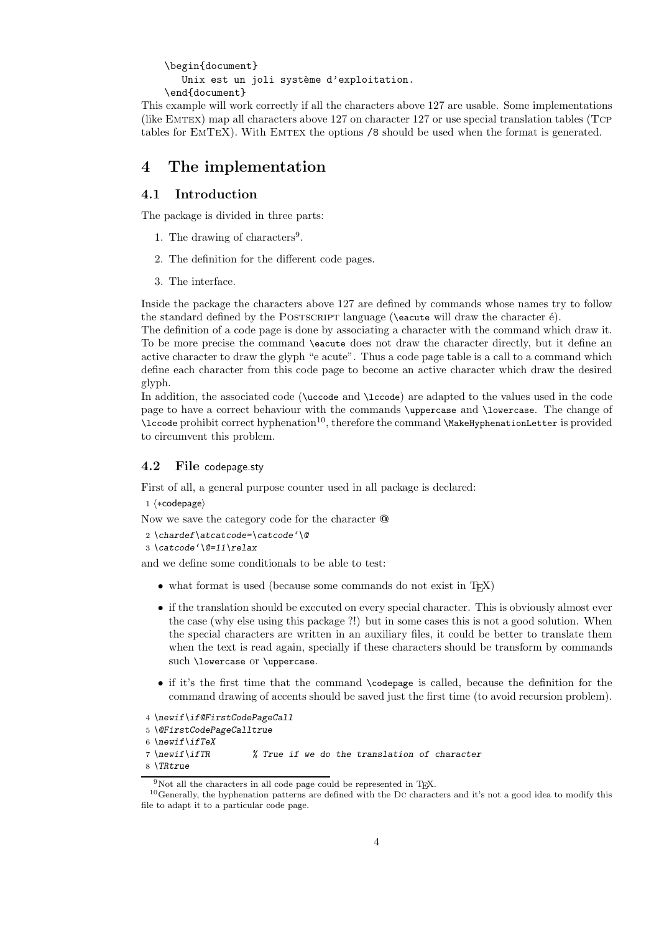```
\begin{document}
  Unix est un joli système d'exploitation.
\end{document}
```
This example will work correctly if all the characters above 127 are usable. Some implementations (like Emtex) map all characters above 127 on character 127 or use special translation tables (Tcp tables for EMTEX). With EMTEX the options  $/8$  should be used when the format is generated.

## **4 The implementation**

## **4.1 Introduction**

The package is divided in three parts:

- 1. The drawing of characters<sup>9</sup>.
- 2. The definition for the different code pages.
- 3. The interface.

Inside the package the characters above 127 are defined by commands whose names try to follow the standard defined by the POSTSCRIPT language ( $\e$ acute will draw the character  $\acute{e}$ ).

The definition of a code page is done by associating a character with the command which draw it. To be more precise the command \eacute does not draw the character directly, but it define an active character to draw the glyph "e acute". Thus a code page table is a call to a command which define each character from this code page to become an active character which draw the desired glyph.

In addition, the associated code (\uccode and \lccode) are adapted to the values used in the code page to have a correct behaviour with the commands \uppercase and \lowercase. The change of  $\lvert$  lccode prohibit correct hyphenation<sup>10</sup>, therefore the command  $\M{a}$ keHyphenationLetter is provided to circumvent this problem.

## **4.2 File** codepage.sty

First of all, a general purpose counter used in all package is declared:

 $1 \langle *codepage$ 

Now we save the category code for the character **@**

```
2 \chardef\atcatcode=\catcode'\@
```

```
3 \catcode'\@=11\relax
```
and we define some conditionals to be able to test:

- what format is used (because some commands do not exist in T<sub>EX</sub>)
- if the translation should be executed on every special character. This is obviously almost ever the case (why else using this package ?!) but in some cases this is not a good solution. When the special characters are written in an auxiliary files, it could be better to translate them when the text is read again, specially if these characters should be transform by commands such \lowercase or \uppercase.
- if it's the first time that the command \codepage is called, because the definition for the command drawing of accents should be saved just the first time (to avoid recursion problem).

```
4 \newif\if@FirstCodePageCall
```

```
5 \@FirstCodePageCalltrue
```

```
6 \newif\ifTeX
```

```
7 \newif\ifTR % True if we do the translation of character
```

```
8 \TRtrue
```
<sup>&</sup>lt;sup>9</sup>Not all the characters in all code page could be represented in T<sub>E</sub>X.<br><sup>10</sup>Generally, the hyphenation patterns are defined with the Dc characters and it's not a good idea to modify this file to adapt it to a particular code page.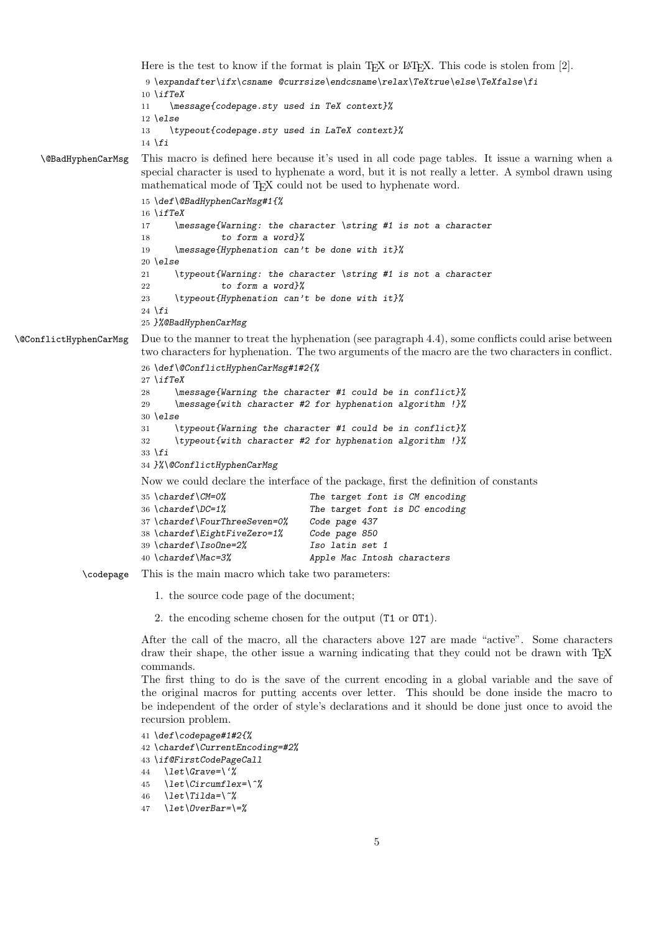Here is the test to know if the format is plain T<sub>E</sub>X or L<sup>AT</sup>EX. This code is stolen from [2]. *\expandafter\ifx\csname @currsize\endcsname\relax\TeXtrue\else\TeXfalse\fi \ifTeX \message{codepage.sty used in TeX context}% \else \typeout{codepage.sty used in LaTeX context}% \fi* \@BadHyphenCarMsg This macro is defined here because it's used in all code page tables. It issue a warning when a special character is used to hyphenate a word, but it is not really a letter. A symbol drawn using mathematical mode of T<sub>E</sub>X could not be used to hyphenate word. *\def\@BadHyphenCarMsg#1{% \ifTeX \message{Warning: the character \string #1 is not a character to form a word}% \message{Hyphenation can't be done with it}% \else \typeout{Warning: the character \string #1 is not a character to form a word}% \typeout{Hyphenation can't be done with it}% \fi }%@BadHyphenCarMsg* \@ConflictHyphenCarMsg Due to the manner to treat the hyphenation (see paragraph 4.4), some conflicts could arise between two characters for hyphenation. The two arguments of the macro are the two characters in conflict. *\def\@ConflictHyphenCarMsg#1#2{% \ifTeX \message{Warning the character #1 could be in conflict}% \message{with character #2 for hyphenation algorithm !}% \else \typeout{Warning the character #1 could be in conflict}% \typeout{with character #2 for hyphenation algorithm !}% \fi }%\@ConflictHyphenCarMsg* Now we could declare the interface of the package, first the definition of constants *\chardef\CM=0% The target font is CM encoding* The target font is DC encoding *\chardef\FourThreeSeven=0% Code page 437 \chardef\EightFiveZero=1% Code page 850 \chardef\IsoOne=2% Iso latin set 1 \chardef\Mac=3% Apple Mac Intosh characters* \codepage This is the main macro which take two parameters: 1. the source code page of the document; 2. the encoding scheme chosen for the output (T1 or OT1). After the call of the macro, all the characters above 127 are made "active". Some characters draw their shape, the other issue a warning indicating that they could not be drawn with T<sub>E</sub>X commands. The first thing to do is the save of the current encoding in a global variable and the save of the original macros for putting accents over letter. This should be done inside the macro to be independent of the order of style's declarations and it should be done just once to avoid the recursion problem. *\def\codepage#1#2{% \chardef\CurrentEncoding=#2% \if@FirstCodePageCall \let\Grave=\'% \let\Circumflex=\^% \let\Tilda=\~% \let\OverBar=\=%*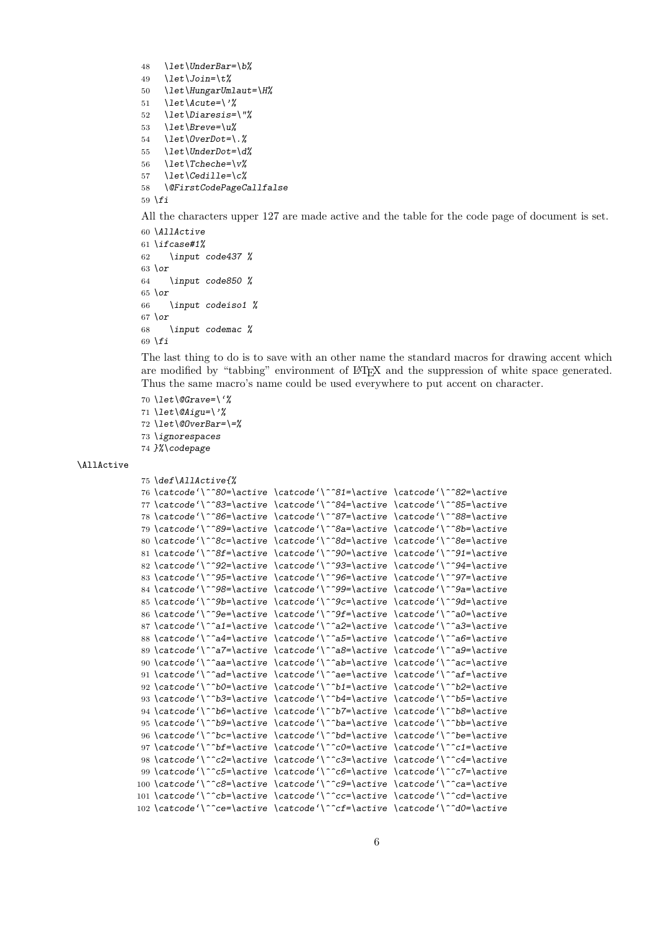```
48 \let\UnderBar=\b%
49 \let\Join=\t%
50 \let\HungarUmlaut=\H%
51 \let\Acute=\'%
52 \let\Diaresis=\"%
53 \let\Breve=\u%
54 \let\OverDot=\.%
55 \let\UnderDot=\d%
56 \let\Tcheche=\v%
57 \let\Cedille=\c%
58 \@FirstCodePageCallfalse
59 \fi
```
All the characters upper 127 are made active and the table for the code page of document is set.

```
60 \AllActive
61 \ifcase#1%
62 \input code437 %
63 \or
64 \input code850 %
65 \or
66 \input codeiso1 %
67 \or
68 \input codemac %
69 \fi
```
The last thing to do is to save with an other name the standard macros for drawing accent which are modified by "tabbing" environment of  $BTRX$  and the suppression of white space generated. Thus the same macro's name could be used everywhere to put accent on character.

```
70 \let\@Grave=\'%
71 \let\@Aigu=\'%
72 \let\@OverBar=\=%
73 \ignorespaces
74 }%\codepage
```
#### $\lambda$ AllActive

```
75 \def\AllActive{%
76 \catcode'\^^80=\active \catcode'\^^81=\active \catcode'\^^82=\active
77 \catcode'\^^83=\active \catcode'\^^84=\active \catcode'\^^85=\active
78 \catcode'\^^86=\active \catcode'\^^87=\active \catcode'\^^88=\active
79 \catcode'\^^89=\active \catcode'\^^8a=\active \catcode'\^^8b=\active
80 \catcode'\^^8c=\active \catcode'\^^8d=\active \catcode'\^^8e=\active
81 \catcode'\^^8f=\active \catcode'\^^90=\active \catcode'\^^91=\active
82 \catcode'\^^92=\active \catcode'\^^93=\active \catcode'\^^94=\active
83 \catcode'\^^95=\active \catcode'\^^96=\active \catcode'\^^97=\active
84 \catcode'\^^98=\active \catcode'\^^99=\active \catcode'\^^9a=\active
85 \catcode'\^^9b=\active \catcode'\^^9c=\active \catcode'\^^9d=\active
86 \catcode'\^^9e=\active \catcode'\^^9f=\active \catcode'\^^a0=\active
87 \catcode'\^^a1=\active \catcode'\^^a2=\active \catcode'\^^a3=\active
88 \catcode'\^^a4=\active \catcode'\^^a5=\active \catcode'\^^a6=\active
89 \catcode'\^^a7=\active \catcode'\^^a8=\active \catcode'\^^a9=\active
90 \catcode'\^^aa=\active \catcode'\^^ab=\active \catcode'\^^ac=\active
91 \catcode'\^^ad=\active \catcode'\^^ae=\active \catcode'\^^af=\active
92 \catcode'\^^b0=\active \catcode'\^^b1=\active \catcode'\^^b2=\active
93 \catcode'\^^b3=\active \catcode'\^^b4=\active \catcode'\^^b5=\active
94 \catcode'\^^b6=\active \catcode'\^^b7=\active \catcode'\^^b8=\active
95 \catcode'\^^b9=\active \catcode'\^^ba=\active \catcode'\^^bb=\active
96 \catcode'\^^bc=\active \catcode'\^^bd=\active \catcode'\^^be=\active
97 \catcode'\^^bf=\active \catcode'\^^c0=\active \catcode'\^^c1=\active
98 \catcode'\^^c2=\active \catcode'\^^c3=\active \catcode'\^^c4=\active
99 \catcode'\^^c5=\active \catcode'\^^c6=\active \catcode'\^^c7=\active
100 \catcode'\^^c8=\active \catcode'\^^c9=\active \catcode'\^^ca=\active
101 \catcode'\^^cb=\active \catcode'\^^cc=\active \catcode'\^^cd=\active
102 \catcode'\^^ce=\active \catcode'\^^cf=\active \catcode'\^^d0=\active
```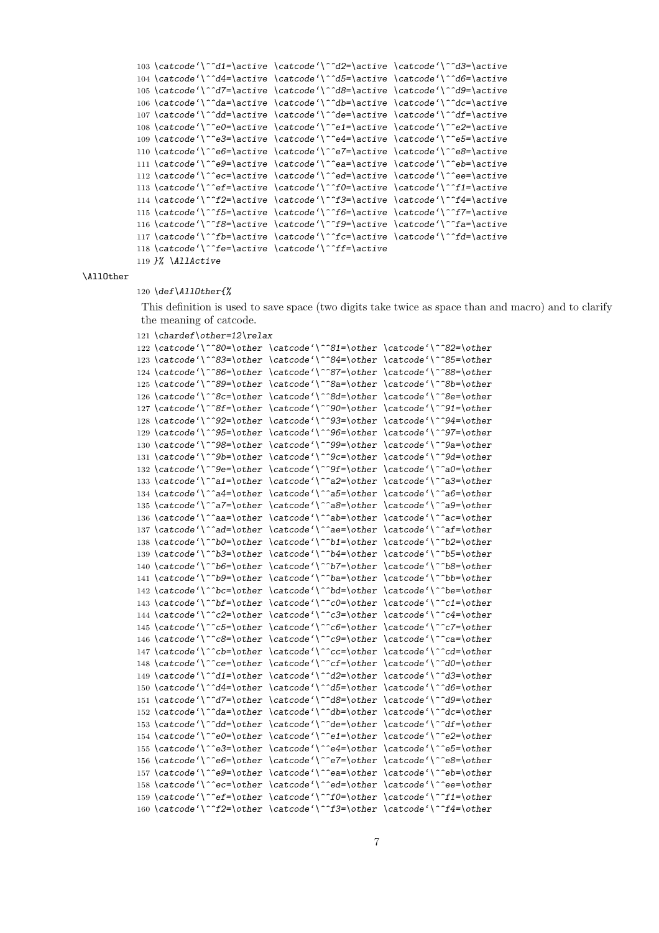```
103 \catcode'\^^d1=\active \catcode'\^^d2=\active \catcode'\^^d3=\active
104 \catcode'\^^d4=\active \catcode'\^^d5=\active \catcode'\^^d6=\active
105 \catcode'\^^d7=\active \catcode'\^^d8=\active \catcode'\^^d9=\active
106 \catcode'\^^da=\active \catcode'\^^db=\active \catcode'\^^dc=\active
107 \catcode'\^^dd=\active \catcode'\^^de=\active \catcode'\^^df=\active
108 \catcode'\^^e0=\active \catcode'\^^e1=\active \catcode'\^^e2=\active
109 \catcode'\^^e3=\active \catcode'\^^e4=\active \catcode'\^^e5=\active
110 \catcode'\^^e6=\active \catcode'\^^e7=\active \catcode'\^^e8=\active
111 \catcode'\^^e9=\active \catcode'\^^ea=\active \catcode'\^^eb=\active
112 \catcode'\^^ec=\active \catcode'\^^ed=\active \catcode'\^^ee=\active
113 \catcode'\^^ef=\active \catcode'\^^f0=\active \catcode'\^^f1=\active
114 \catcode'\^^f2=\active \catcode'\^^f3=\active \catcode'\^^f4=\active
115 \catcode'\^^f5=\active \catcode'\^^f6=\active \catcode'\^^f7=\active
116 \catcode'\^^f8=\active \catcode'\^^f9=\active \catcode'\^^fa=\active
117 \catcode'\^^fb=\active \catcode'\^^fc=\active \catcode'\^^fd=\active
118 \catcode'\^^fe=\active \catcode'\^^ff=\active
```

```
119 }% \AllActive
```
#### \AllOther

#### 120 *\def\AllOther{%*

This definition is used to save space (two digits take twice as space than and macro) and to clarify the meaning of catcode.

```
121 \chardef\other=12\relax
```

```
122 \catcode'\^^80=\other \catcode'\^^81=\other \catcode'\^^82=\other
123 \catcode'\^^83=\other \catcode'\^^84=\other \catcode'\^^85=\other
124 \catcode'\^^86=\other \catcode'\^^87=\other \catcode'\^^88=\other
125 \catcode'\^^89=\other \catcode'\^^8a=\other \catcode'\^^8b=\other
126 \catcode'\^^8c=\other \catcode'\^^8d=\other \catcode'\^^8e=\other
127 \catcode'\^^8f=\other \catcode'\^^90=\other \catcode'\^^91=\other
128 \catcode'\^^92=\other \catcode'\^^93=\other \catcode'\^^94=\other
129 \catcode'\^^95=\other \catcode'\^^96=\other \catcode'\^^97=\other
130 \catcode'\^^98=\other \catcode'\^^99=\other \catcode'\^^9a=\other
131 \catcode'\^^9b=\other \catcode'\^^9c=\other \catcode'\^^9d=\other
132 \catcode'\^^9e=\other \catcode'\^^9f=\other \catcode'\^^a0=\other
133 \catcode'\^^a1=\other \catcode'\^^a2=\other \catcode'\^^a3=\other
134 \catcode'\^^a4=\other \catcode'\^^a5=\other \catcode'\^^a6=\other
135 \catcode'\^^a7=\other \catcode'\^^a8=\other \catcode'\^^a9=\other
136 \catcode'\^^aa=\other \catcode'\^^ab=\other \catcode'\^^ac=\other
137 \catcode'\^^ad=\other \catcode'\^^ae=\other \catcode'\^^af=\other
138 \catcode'\^^b0=\other \catcode'\^^b1=\other \catcode'\^^b2=\other
139 \catcode'\^^b3=\other \catcode'\^^b4=\other \catcode'\^^b5=\other
140 \catcode'\^^b6=\other \catcode'\^^b7=\other \catcode'\^^b8=\other
141 \catcode'\^^b9=\other \catcode'\^^ba=\other \catcode'\^^bb=\other
142 \catcode'\^^bc=\other \catcode'\^^bd=\other \catcode'\^^be=\other
143 \catcode'\^^bf=\other \catcode'\^^c0=\other \catcode'\^^c1=\other
144 \catcode'\^^c2=\other \catcode'\^^c3=\other \catcode'\^^c4=\other
145 \catcode'\^^c5=\other \catcode'\^^c6=\other \catcode'\^^c7=\other
146 \catcode'\^^c8=\other \catcode'\^^c9=\other \catcode'\^^ca=\other
147 \catcode'\^^cb=\other \catcode'\^^cc=\other \catcode'\^^cd=\other
148 \catcode'\^^ce=\other \catcode'\^^cf=\other \catcode'\^^d0=\other
149 \catcode'\^^d1=\other \catcode'\^^d2=\other \catcode'\^^d3=\other
150 \catcode'\^^d4=\other \catcode'\^^d5=\other \catcode'\^^d6=\other
151 \catcode'\^^d7=\other \catcode'\^^d8=\other \catcode'\^^d9=\other
152 \catcode'\^^da=\other \catcode'\^^db=\other \catcode'\^^dc=\other
153 \catcode'\^^dd=\other \catcode'\^^de=\other \catcode'\^^df=\other
154 \catcode'\^^e0=\other \catcode'\^^e1=\other \catcode'\^^e2=\other
155 \catcode'\^^e3=\other \catcode'\^^e4=\other \catcode'\^^e5=\other
156 \catcode'\^^e6=\other \catcode'\^^e7=\other \catcode'\^^e8=\other
157 \catcode'\^^e9=\other \catcode'\^^ea=\other \catcode'\^^eb=\other
158 \catcode'\^^ec=\other \catcode'\^^ed=\other \catcode'\^^ee=\other
159 \catcode'\^^ef=\other \catcode'\^^f0=\other \catcode'\^^f1=\other
160 \catcode'\^^f2=\other \catcode'\^^f3=\other \catcode'\^^f4=\other
```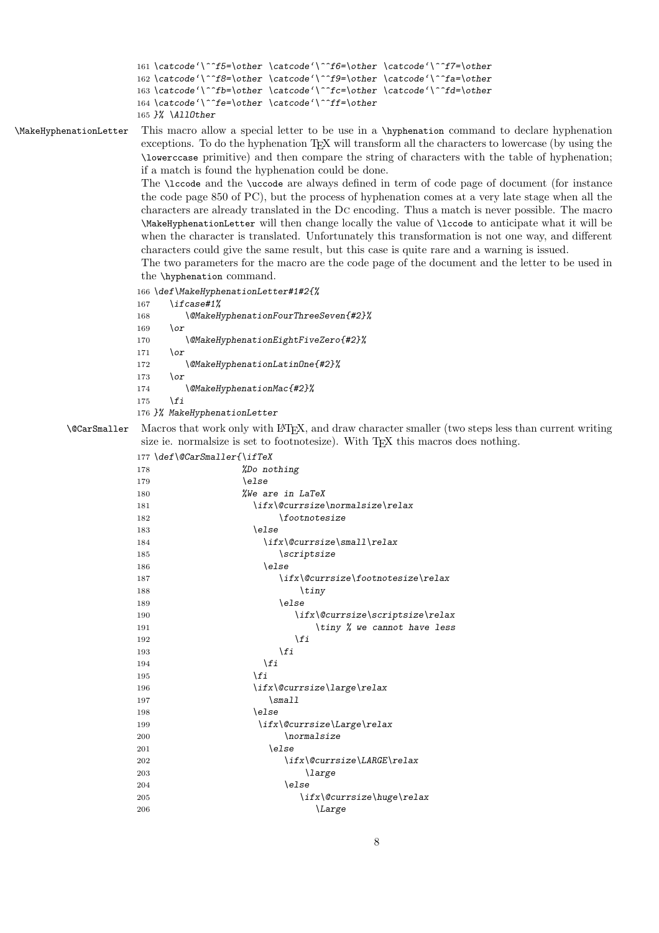```
161 \catcode'\^^f5=\other \catcode'\^^f6=\other \catcode'\^^f7=\other
162 \catcode'\^^f8=\other \catcode'\^^f9=\other \catcode'\^^fa=\other
163 \catcode'\^^fb=\other \catcode'\^^fc=\other \catcode'\^^fd=\other
164 \catcode'\^^fe=\other \catcode'\^^ff=\other
165 }% \AllOther
```
\MakeHyphenationLetter This macro allow a special letter to be use in a \hyphenation command to declare hyphenation exceptions. To do the hyphenation TEX will transform all the characters to lowercase (by using the \lowerccase primitive) and then compare the string of characters with the table of hyphenation; if a match is found the hyphenation could be done.

> The \lccode and the \uccode are always defined in term of code page of document (for instance the code page 850 of PC), but the process of hyphenation comes at a very late stage when all the characters are already translated in the Dc encoding. Thus a match is never possible. The macro \MakeHyphenationLetter will then change locally the value of \lccode to anticipate what it will be when the character is translated. Unfortunately this transformation is not one way, and different characters could give the same result, but this case is quite rare and a warning is issued.

> The two parameters for the macro are the code page of the document and the letter to be used in the \hyphenation command.

- *\def\MakeHyphenationLetter#1#2{% \ifcase#1%*
- *\@MakeHyphenationFourThreeSeven{#2}% \or \@MakeHyphenationEightFiveZero{#2}% \or \@MakeHyphenationLatinOne{#2}% \or \@MakeHyphenationMac{#2}% \fi }% MakeHyphenationLetter*

\@CarSmaller Macros that work only with LATEX, and draw character smaller (two steps less than current writing size ie. normalsize is set to footnotesize). With TEX this macros does nothing.

|     | 177 \def\@CarSmaller{\ifTeX        |
|-----|------------------------------------|
| 178 | %Do nothing                        |
| 179 | \else                              |
| 180 | <i>%We are in LaTeX</i>            |
| 181 | \ifx\@currsize\normalsize\relax    |
| 182 | <i><u><b>\footnotesize</b></u></i> |
| 183 | \else                              |
| 184 | \ifx\@currsize\small\relax         |
| 185 | $\text{Scriptsize}$                |
| 186 | \else                              |
| 187 | \ifx\@currsize\footnotesize\relax  |
| 188 | $\tau$ iny                         |
| 189 | \else                              |
| 190 | \ifx\@currsize\scriptsize\relax    |
| 191 | \tiny % we cannot have less        |
| 192 | \fi                                |
| 193 | ∖fi                                |
| 194 | $\chi$ fi                          |
| 195 | \fi                                |
| 196 | \ifx\@currsize\large\relax         |
| 197 | $\sum_{\text{small}}$              |
| 198 | \else                              |
| 199 | \ifx\@currsize\Large\relax         |
| 200 | \normalsize                        |
| 201 | \else                              |
| 202 | \ifx\@currsize\LARGE\relax         |
| 203 | <i>large</i>                       |
| 204 | \else                              |
| 205 | \ifx\@currsize\huge\relax          |
| 206 | <i>Large</i>                       |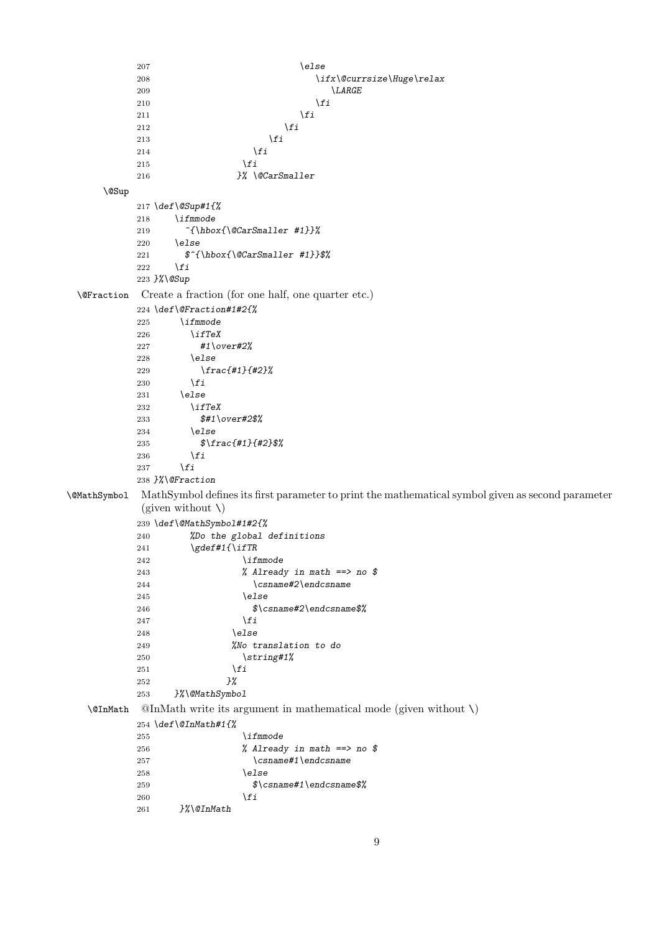```
207 \else
          208 \ifx\@currsize\Huge\relax
          210
\verb|\LARGE|210 \qquad \qquad \int f \, d\theta211 \qquad \qquad \int f \,212 \sqrt{f}213 \fi
          214 \fi
          215 \fi
          216 }% \@CarSmaller
     \@Sup
          217 \def\@Sup#1{%
          218 \ifmmode
          219 ^{\hbox{\@CarSmaller #1}}%
          220 \else
          221 $^{\hbox{\@CarSmaller #1}}$%
          222 \fi
          223 }%\@Sup
 \@Fraction Create a fraction (for one half, one quarter etc.)
          224 \def\@Fraction#1#2{%
          225 \ifmmode
          226 \ifTeX<br>227 #1\o
                   227 #1\over#2%
          228 \else
          229 \frac{#1}{#2}%
          230 \fi
          231 \else
          232 \ifTeX
          233 $#1\over#2$%
          234 \else
          235 $\frac{#1}{#2}$%
          \begin{matrix} 236 && \backslash f\, \textbf{\textit{i}}\\ 237 && \backslash f\, \textbf{\textit{i}}\\ \end{matrix}\chi_{fi}238 }%\@Fraction
\@MathSymbol MathSymbol defines its first parameter to print the mathematical symbol given as second parameter
           (given without \setminus)
          239 \def\@MathSymbol#1#2{%
          240 %Do the global definitions
          241 \gdef#1{\ifTR
          242 \ifmmode
          243 % Already in math ==> no $
          244 \csname#2\endcsname
          245 \else
          246 $\csname#2\endcsname$%
          247 \fi
          248 \else
          249 %No translation to do
          250 \string#1%
          251 \fi
          252 }%
          253 }%\@MathSymbol
   \@InMath @InMath write its argument in mathematical mode (given without \)
          254 \def\@InMath#1{%
          255 \ifmmode
          256 % Already in math ==> no $
          257 \csname#1\endcsname
          258 \else
          259 $\csname#1\endcsname$%
          260 \fi
          261 }%\@InMath
```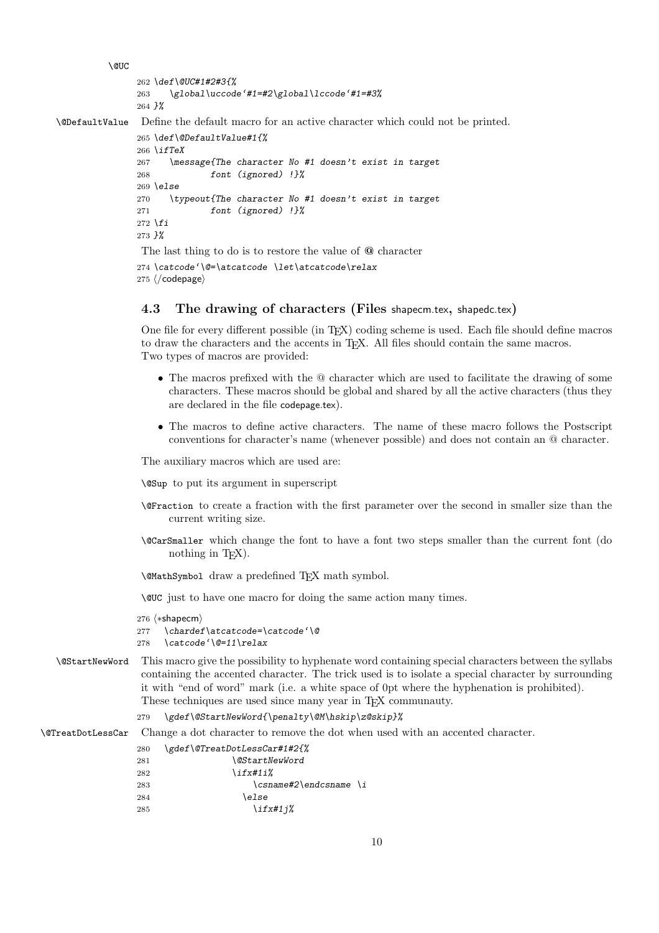```
\@UC
               262 \def\@UC#1#2#3{%
               263 \global\uccode'#1=#2\global\lccode'#1=#3%
               264 }%
\@DefaultValue Define the default macro for an active character which could not be printed.
               265 \def\@DefaultValue#1{%
               266 \ifTeX
               267 \message{The character No #1 doesn't exist in target
               268 font (ignored) !}%
               269 \else
               270 \typeout{The character No #1 doesn't exist in target
               271 font (ignored) !}%
               272 \fi
               273 }%
               The last thing to do is to restore the value of @ character
```
274 *\catcode'\@=\atcatcode \let\atcatcode\relax* 275  $\langle$ /codepage $\rangle$ 

## **4.3 The drawing of characters (Files** shapecm.tex**,** shapedc.tex**)**

One file for every different possible (in TEX) coding scheme is used. Each file should define macros to draw the characters and the accents in TEX. All files should contain the same macros. Two types of macros are provided:

- The macros prefixed with the @ character which are used to facilitate the drawing of some characters. These macros should be global and shared by all the active characters (thus they are declared in the file codepage.tex).
- The macros to define active characters. The name of these macro follows the Postscript conventions for character's name (whenever possible) and does not contain an @ character.

The auxiliary macros which are used are:

\@Sup to put its argument in superscript

- \@Fraction to create a fraction with the first parameter over the second in smaller size than the current writing size.
- \@CarSmaller which change the font to have a font two steps smaller than the current font (do nothing in  $T_FX$ ).

\@MathSymbol draw a predefined TEX math symbol.

\@UC just to have one macro for doing the same action many times.

```
276 \; \langle *shapecm \rangle277 \chardef\atcatcode=\catcode'\@
278 \catcode'\@=11\relax
```
\@StartNewWord This macro give the possibility to hyphenate word containing special characters between the syllabs containing the accented character. The trick used is to isolate a special character by surrounding it with "end of word" mark (i.e. a white space of 0pt where the hyphenation is prohibited). These techniques are used since many year in T<sub>E</sub>X communauty.

279 *\gdef\@StartNewWord{\penalty\@M\hskip\z@skip}%*

\@TreatDotLessCar Change a dot character to remove the dot when used with an accented character.

```
280 \gdef\@TreatDotLessCar#1#2{%
281 \@StartNewWord
282 \ifx#1i%
283 \csname#2\endcsname \i
284 \else
285 \ifx#1j%
```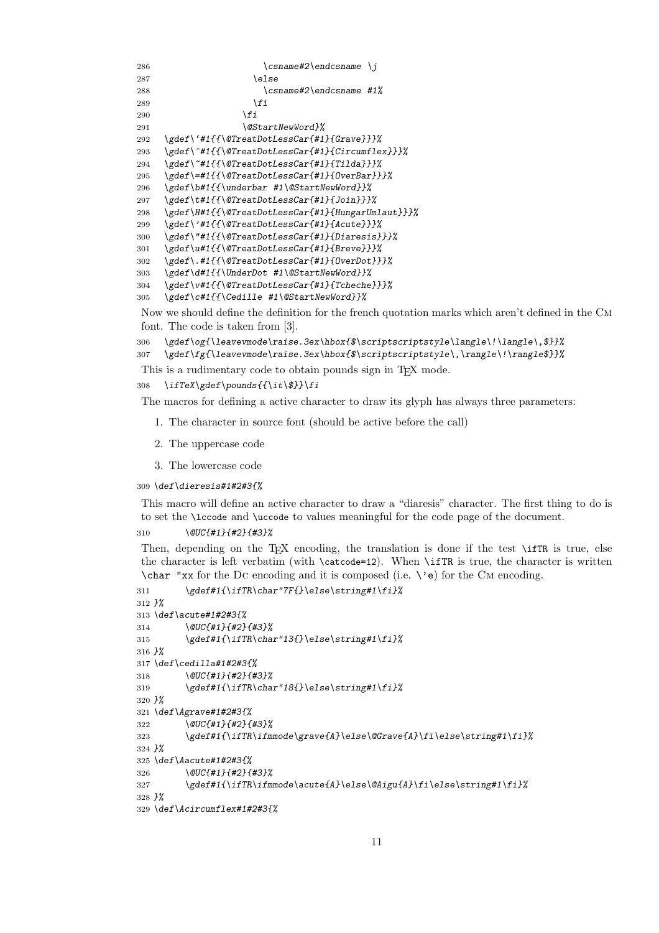```
286 \csname#2\endcsname \j
287 \else
288 \csname#2\endcsname #1%
289 \fi
290 \fi
291 \@StartNewWord}%
292 \gdef\'#1{{\@TreatDotLessCar{#1}{Grave}}}%
293 \gdef\^#1{{\@TreatDotLessCar{#1}{Circumflex}}}%
294 \gdef\~#1{{\@TreatDotLessCar{#1}{Tilda}}}%
295 \gdef\=#1{{\@TreatDotLessCar{#1}{OverBar}}}%
296 \gdef\b#1{{\underbar #1\@StartNewWord}}%
297 \gdef\t#1{{\@TreatDotLessCar{#1}{Join}}}%
298 \gdef\H#1{{\@TreatDotLessCar{#1}{HungarUmlaut}}}%
299 \gdef\'#1{{\@TreatDotLessCar{#1}{Acute}}}%
300 \gdef\"#1{{\@TreatDotLessCar{#1}{Diaresis}}}%
301 \gdef\u#1{{\@TreatDotLessCar{#1}{Breve}}}%
302 \gdef\.#1{{\@TreatDotLessCar{#1}{OverDot}}}%
303 \gdef\d#1{{\UnderDot #1\@StartNewWord}}%
304 \gdef\v#1{{\@TreatDotLessCar{#1}{Tcheche}}}%
305 \gdef\c#1{{\Cedille #1\@StartNewWord}}%
```
Now we should define the definition for the french quotation marks which aren't defined in the Cm font. The code is taken from [3].

```
306 \gdef\og{\leavevmode\raise.3ex\hbox{$\scriptscriptstyle\langle\!\langle\,$}}%
307 \gdef\fg{\leavevmode\raise.3ex\hbox{$\scriptscriptstyle\,\rangle\!\rangle$}}%
```
This is a rudimentary code to obtain pounds sign in TEX mode.

*\ifTeX\gdef\pounds{{\it\\$}}\fi*

The macros for defining a active character to draw its glyph has always three parameters:

- 1. The character in source font (should be active before the call)
- 2. The uppercase code
- 3. The lowercase code

*\def\dieresis#1#2#3{%*

This macro will define an active character to draw a "diaresis" character. The first thing to do is to set the \lccode and \uccode to values meaningful for the code page of the document.

*\@UC{#1}{#2}{#3}%*

Then, depending on the T<sub>E</sub>X encoding, the translation is done if the test \ifTR is true, else the character is left verbatim (with \catcode=12). When \ifTR is true, the character is written  $\char`$  "xx for the DC encoding and it is composed (i.e.  $\e$ ) for the CM encoding.

```
311 \gdef#1{\ifTR\char"7F{}\else\string#1\fi}%
312 }%
313 \def\acute#1#2#3{%
314 \@UC{#1}{#2}{#3}%
315 \gdef#1{\ifTR\char"13{}\else\string#1\fi}%
316 }%
317 \def\cedilla#1#2#3{%
318 \@UC{#1}{#2}{#3}%
319 \gdef#1{\ifTR\char"18{}\else\string#1\fi}%
320 }%
321 \def\Agrave#1#2#3{%
322 \@UC{#1}{#2}{#3}%
323 \gdef#1{\ifTR\ifmmode\grave{A}\else\@Grave{A}\fi\else\string#1\fi}%
324 }%
325 \def\Aacute#1#2#3{%
326 \@UC{#1}{#2}{#3}%
327 \gdef#1{\ifTR\ifmmode\acute{A}\else\@Aigu{A}\fi\else\string#1\fi}%
328 }%
329 \def\Acircumflex#1#2#3{%
```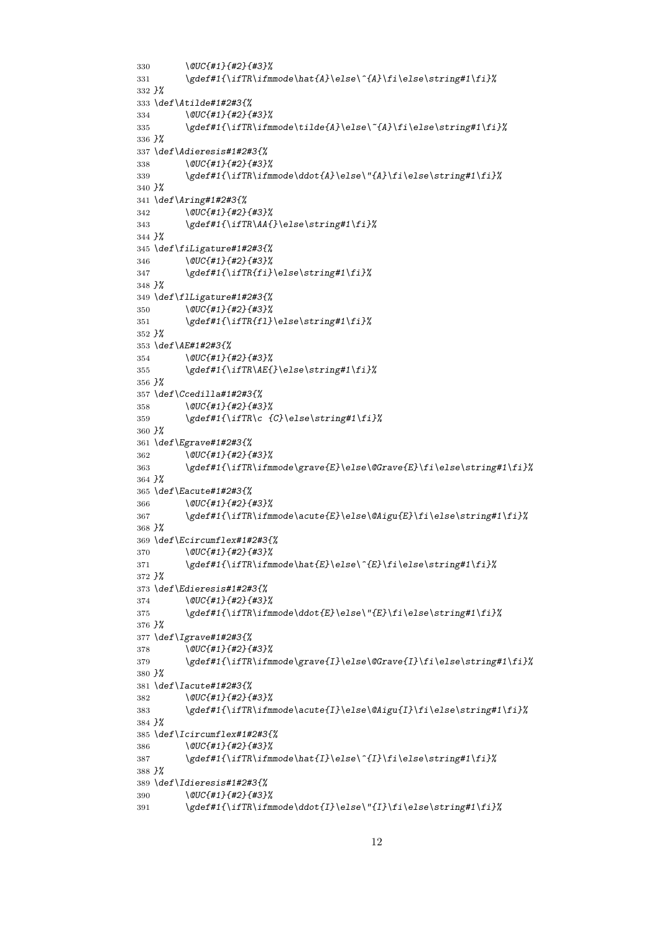```
330 \@UC{#1}{#2}{#3}%
331 \gdef#1{\ifTR\ifmmode\hat{A}\else\^{A}\fi\else\string#1\fi}%
332 }%
333 \def\Atilde#1#2#3{%
334 \@UC{#1}{#2}{#3}%
335 \gdef#1{\ifTR\ifmmode\tilde{A}\else\~{A}\fi\else\string#1\fi}%
336 }%
337 \def\Adieresis#1#2#3{%
338 \@UC{#1}{#2}{#3}%
339 \gdef#1{\ifTR\ifmmode\ddot{A}\else\"{A}\fi\else\string#1\fi}%
340 }%
341 \def\Aring#1#2#3{%
342 \@UC{#1}{#2}{#3}%
343 \gdef#1{\ifTR\AA{}\else\string#1\fi}%
344 }%
345 \def\fiLigature#1#2#3{%
346 \@UC{#1}{#2}{#3}%
347 \gdef#1{\ifTR{fi}\else\string#1\fi}%
348 }%
349 \def\flLigature#1#2#3{%
350 \@UC{#1}{#2}{#3}%
351 \gdef#1{\ifTR{fl}\else\string#1\fi}%
352 }%
353 \def\AE#1#2#3{%
354 \@UC{#1}{#2}{#3}%
355 \gdef#1{\ifTR\AE{}\else\string#1\fi}%
356 }%
357 \def\Ccedilla#1#2#3{%
358 \@UC{#1}{#2}{#3}%
359 \gdef#1{\ifTR\c {C}\else\string#1\fi}%
360 }%
361 \def\Egrave#1#2#3{%
362 \@UC{#1}{#2}{#3}%
363 \gdef#1{\ifTR\ifmmode\grave{E}\else\@Grave{E}\fi\else\string#1\fi}%
364 }%
365 \def\Eacute#1#2#3{%
366 \@UC{#1}{#2}{#3}%
367 \gdef#1{\ifTR\ifmmode\acute{E}\else\@Aigu{E}\fi\else\string#1\fi}%
368 }%
369 \def\Ecircumflex#1#2#3{%
370 \@UC{#1}{#2}{#3}%
371 \gdef#1{\ifTR\ifmmode\hat{E}\else\^{E}\fi\else\string#1\fi}%
372 }%
373 \def\Edieresis#1#2#3{%
374 \@UC{#1}{#2}{#3}%
375 \gdef#1{\ifTR\ifmmode\ddot{E}\else\"{E}\fi\else\string#1\fi}%
376 }%
377 \def\Igrave#1#2#3{%
378 \@UC{#1}{#2}{#3}%
379 \gdef#1{\ifTR\ifmmode\grave{I}\else\@Grave{I}\fi\else\string#1\fi}%
380 }%
381 \def\Iacute#1#2#3{%
382 \@UC{#1}{#2}{#3}%
383 \gdef#1{\ifTR\ifmmode\acute{I}\else\@Aigu{I}\fi\else\string#1\fi}%
384 }%
385 \def\Icircumflex#1#2#3{%
386 \@UC{#1}{#2}{#3}%
387 \gdef#1{\ifTR\ifmmode\hat{I}\else\^{I}\fi\else\string#1\fi}%
388 }%
389 \def\Idieresis#1#2#3{%
390 \@UC{#1}{#2}{#3}%
391 \gdef#1{\ifTR\ifmmode\ddot{I}\else\"{I}\fi\else\string#1\fi}%
```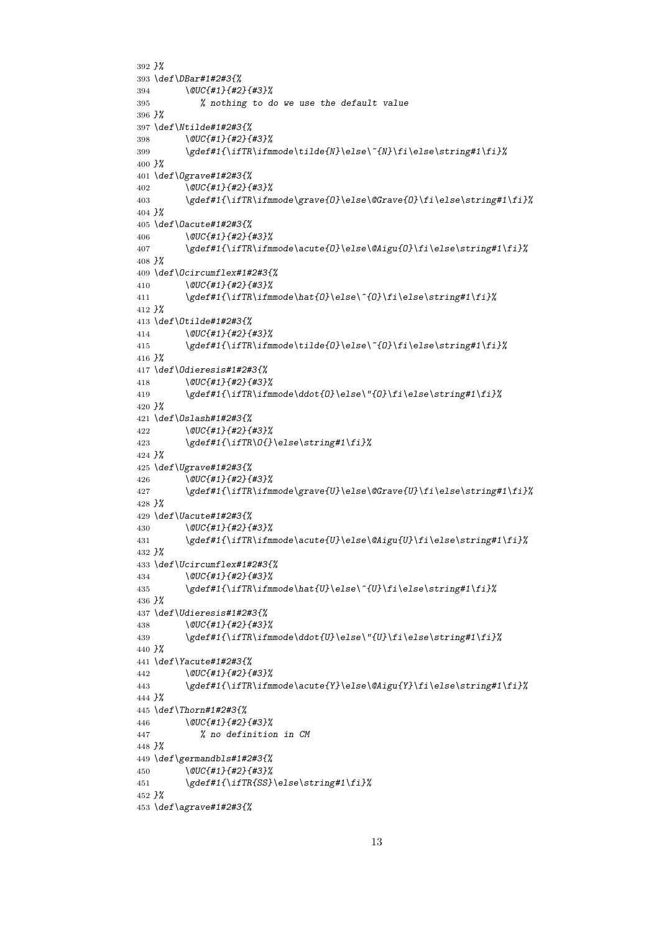```
392 }%
393 \def\DBar#1#2#3{%
394 \@UC{#1}{#2}{#3}%
395 % nothing to do we use the default value
396 }%
397 \def\Ntilde#1#2#3{%
398 \@UC{#1}{#2}{#3}%
399 \gdef#1{\ifTR\ifmmode\tilde{N}\else\~{N}\fi\else\string#1\fi}%
400 }%
401 \def\Ograve#1#2#3{%
402 \@UC{#1}{#2}{#3}%
        403 \gdef#1{\ifTR\ifmmode\grave{O}\else\@Grave{O}\fi\else\string#1\fi}%
404 }%
405 \def\Oacute#1#2#3{%
406 \@UC{#1}{#2}{#3}%
407 \gdef#1{\ifTR\ifmmode\acute{O}\else\@Aigu{O}\fi\else\string#1\fi}%
408 }%
409 \def\Ocircumflex#1#2#3{%
410 \@UC{#1}{#2}{#3}%
411 \gdef#1{\ifTR\ifmmode\hat{O}\else\^{O}\fi\else\string#1\fi}%
412 }%
413 \def\Otilde#1#2#3{%
414 \@UC{#1}{#2}{#3}%
415 \gdef#1{\ifTR\ifmmode\tilde{O}\else\~{O}\fi\else\string#1\fi}%
416 }%
417 \def\Odieresis#1#2#3{%
418 \@UC{#1}{#2}{#3}%
419 \gdef#1{\ifTR\ifmmode\ddot{O}\else\"{O}\fi\else\string#1\fi}%
420 }%
421 \def\Oslash#1#2#3{%
422 \@UC{#1}{#2}{#3}%
423 \gdef#1{\ifTR\O{}\else\string#1\fi}%
424 }%
425 \def\Ugrave#1#2#3{%
426 \@UC{#1}{#2}{#3}%
427 \gdef#1{\ifTR\ifmmode\grave{U}\else\@Grave{U}\fi\else\string#1\fi}%
428 }%
429 \def\Uacute#1#2#3{%
430 \@UC{#1}{#2}{#3}%
431 \gdef#1{\ifTR\ifmmode\acute{U}\else\@Aigu{U}\fi\else\string#1\fi}%
432 }%
433 \def\Ucircumflex#1#2#3{%
434 \@UC{#1}{#2}{#3}%
435 \gdef#1{\ifTR\ifmmode\hat{U}\else\^{U}\fi\else\string#1\fi}%
436 }%
437 \def\Udieresis#1#2#3{%
438 \@UC{#1}{#2}{#3}%
439 \gdef#1{\ifTR\ifmmode\ddot{U}\else\"{U}\fi\else\string#1\fi}%
440 }%
441 \def\Yacute#1#2#3{%
442 \@UC{#1}{#2}{#3}%
443 \gdef#1{\ifTR\ifmmode\acute{Y}\else\@Aigu{Y}\fi\else\string#1\fi}%
444 }%
445 \def\Thorn#1#2#3{%
446 \@UC{#1}{#2}{#3}%
447 % no definition in CM
448 }%
449 \def\germandbls#1#2#3{%
450 \@UC{#1}{#2}{#3}%
451 \gdef#1{\ifTR{SS}\else\string#1\fi}%
452 }%
453 \def\agrave#1#2#3{%
```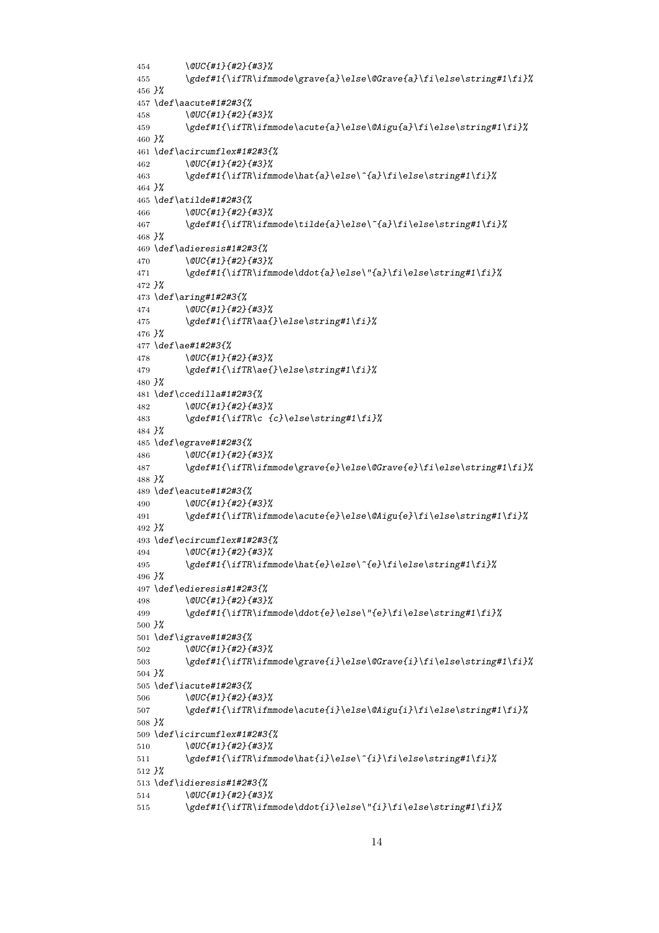```
454 \@UC{#1}{#2}{#3}%
455 \gdef#1{\ifTR\ifmmode\grave{a}\else\@Grave{a}\fi\else\string#1\fi}%
456 }%
457 \def\aacute#1#2#3{%
458 \@UC{#1}{#2}{#3}%
459 \gdef#1{\ifTR\ifmmode\acute{a}\else\@Aigu{a}\fi\else\string#1\fi}%
460 }%
461 \def\acircumflex#1#2#3{%
462 \@UC{#1}{#2}{#3}%
463 \gdef#1{\ifTR\ifmmode\hat{a}\else\^{a}\fi\else\string#1\fi}%
464 }%
465 \def\atilde#1#2#3{%
466 \@UC{#1}{#2}{#3}%
467 \gdef#1{\ifTR\ifmmode\tilde{a}\else\~{a}\fi\else\string#1\fi}%
468 }%
469 \def\adieresis#1#2#3{%
470 \@UC{#1}{#2}{#3}%
471 \gdef#1{\ifTR\ifmmode\ddot{a}\else\"{a}\fi\else\string#1\fi}%
472 }%
473 \def\aring#1#2#3{%
474 \@UC{#1}{#2}{#3}%
475 \gdef#1{\ifTR\aa{}\else\string#1\fi}%
476 }%
477 \def\ae#1#2#3{%
478 \@UC{#1}{#2}{#3}%
479 \gdef#1{\ifTR\ae{}\else\string#1\fi}%
480 }%
481 \def\ccedilla#1#2#3{%
482 \@UC{#1}{#2}{#3}%
483 \gdef#1{\ifTR\c {c}\else\string#1\fi}%
484 }%
485 \def\egrave#1#2#3{%
486 \@UC{#1}{#2}{#3}%
487 \gdef#1{\ifTR\ifmmode\grave{e}\else\@Grave{e}\fi\else\string#1\fi}%
488 }%
489 \def\eacute#1#2#3{%
490 \@UC{#1}{#2}{#3}%
491 \gdef#1{\ifTR\ifmmode\acute{e}\else\@Aigu{e}\fi\else\string#1\fi}%
492 }%
493 \def\ecircumflex#1#2#3{%
494 \@UC{#1}{#2}{#3}%
495 \gdef#1{\ifTR\ifmmode\hat{e}\else\^{e}\fi\else\string#1\fi}%
496 }%
497 \def\edieresis#1#2#3{%
498 \@UC{#1}{#2}{#3}%
499 \gdef#1{\ifTR\ifmmode\ddot{e}\else\"{e}\fi\else\string#1\fi}%
500 }%
501 \def\igrave#1#2#3{%
502 \@UC{#1}{#2}{#3}%
503 \gdef#1{\ifTR\ifmmode\grave{i}\else\@Grave{i}\fi\else\string#1\fi}%
504 }%
505 \def\iacute#1#2#3{%
506 \@UC{#1}{#2}{#3}%
507 \gdef#1{\ifTR\ifmmode\acute{i}\else\@Aigu{i}\fi\else\string#1\fi}%
508 }%
509 \def\icircumflex#1#2#3{%
510 \@UC{#1}{#2}{#3}%
511 \gdef#1{\ifTR\ifmmode\hat{i}\else\^{i}\fi\else\string#1\fi}%
512 }%
513 \def\idieresis#1#2#3{%
514 \@UC{#1}{#2}{#3}%
515 \gdef#1{\ifTR\ifmmode\ddot{i}\else\"{i}\fi\else\string#1\fi}%
```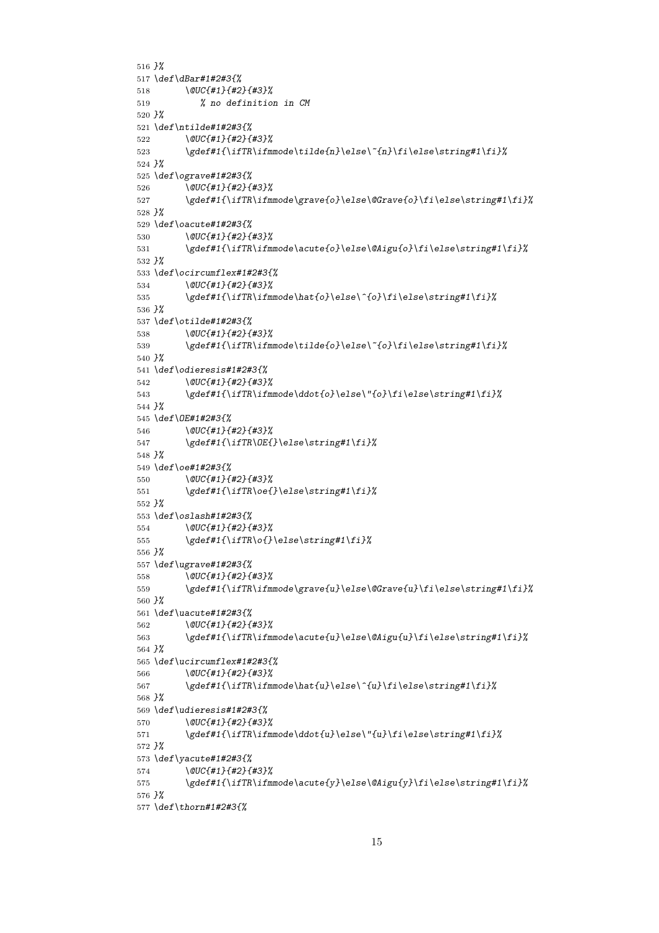```
516 }%
517 \def\dBar#1#2#3{%
518 \@UC{#1}{#2}{#3}%
519 % no definition in CM
520 }%
521 \def\ntilde#1#2#3{%
        522 \@UC{#1}{#2}{#3}%
523 \gdef#1{\ifTR\ifmmode\tilde{n}\else\~{n}\fi\else\string#1\fi}%
524 }%
525 \def\ograve#1#2#3{%
526 \@UC{#1}{#2}{#3}%
527 \gdef#1{\ifTR\ifmmode\grave{o}\else\@Grave{o}\fi\else\string#1\fi}%
528 }%
529 \def\oacute#1#2#3{%
530 \@UC{#1}{#2}{#3}%
531 \gdef#1{\ifTR\ifmmode\acute{o}\else\@Aigu{o}\fi\else\string#1\fi}%
532 }%
533 \def\ocircumflex#1#2#3{%
534 \@UC{#1}{#2}{#3}%
535 \gdef#1{\ifTR\ifmmode\hat{o}\else\^{o}\fi\else\string#1\fi}%
536 }%
537 \def\otilde#1#2#3{%
538 \@UC{#1}{#2}{#3}%
539 \gdef#1{\ifTR\ifmmode\tilde{o}\else\~{o}\fi\else\string#1\fi}%
540 }%
541 \def\odieresis#1#2#3{%
542 \@UC{#1}{#2}{#3}%
543 \gdef#1{\ifTR\ifmmode\ddot{o}\else\"{o}\fi\else\string#1\fi}%
544 }%
545 \def\OE#1#2#3{%
546 \@UC{#1}{#2}{#3}%
547 \gdef#1{\ifTR\OE{}\else\string#1\fi}%
548 }%
549 \def\oe#1#2#3{%
550 \@UC{#1}{#2}{#3}%
551 \gdef#1{\ifTR\oe{}\else\string#1\fi}%
552 }%
553 \def\oslash#1#2#3{%
554 \@UC{#1}{#2}{#3}%
555 \gdef#1{\ifTR\o{}\else\string#1\fi}%
556 }%
557 \def\ugrave#1#2#3{%
558 \@UC{#1}{#2}{#3}%
559 \gdef#1{\ifTR\ifmmode\grave{u}\else\@Grave{u}\fi\else\string#1\fi}%
560 }%
561 \def\uacute#1#2#3{%
562 \@UC{#1}{#2}{#3}%
563 \gdef#1{\ifTR\ifmmode\acute{u}\else\@Aigu{u}\fi\else\string#1\fi}%
564 }%
565 \def\ucircumflex#1#2#3{%
566 \@UC{#1}{#2}{#3}%
567 \gdef#1{\ifTR\ifmmode\hat{u}\else\^{u}\fi\else\string#1\fi}%
568 }%
569 \def\udieresis#1#2#3{%
570 \@UC{#1}{#2}{#3}%
571 \gdef#1{\ifTR\ifmmode\ddot{u}\else\"{u}\fi\else\string#1\fi}%
572 }%
573 \def\yacute#1#2#3{%
574 \@UC{#1}{#2}{#3}%
575 \gdef#1{\ifTR\ifmmode\acute{y}\else\@Aigu{y}\fi\else\string#1\fi}%
576 }%
577 \def\thorn#1#2#3{%
```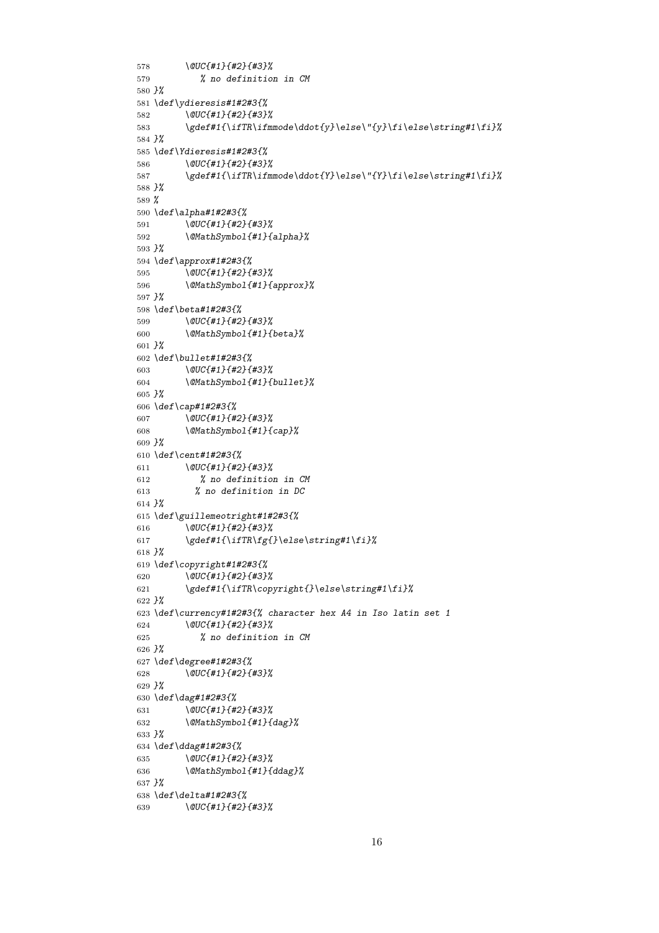```
578 \@UC{#1}{#2}{#3}%
579 % no definition in CM
580 }%
581 \def\ydieresis#1#2#3{%
582 \@UC{#1}{#2}{#3}%
583 \gdef#1{\ifTR\ifmmode\ddot{y}\else\"{y}\fi\else\string#1\fi}%
584 }%
585 \def\Ydieresis#1#2#3{%
586 \@UC{#1}{#2}{#3}%
587 \gdef#1{\ifTR\ifmmode\ddot{Y}\else\"{Y}\fi\else\string#1\fi}%
588 }%
589 %
590 \def\alpha#1#2#3{%
591 \@UC{#1}{#2}{#3}%
592 \@MathSymbol{#1}{alpha}%
593 }%
594 \def\approx#1#2#3{%
595 \@UC{#1}{#2}{#3}%
596 \@MathSymbol{#1}{approx}%
597 }%
598 \def\beta#1#2#3{%
599 \@UC{#1}{#2}{#3}%
600 \@MathSymbol{#1}{beta}%
601 }%
602 \def\bullet#1#2#3{%
603 \@UC{#1}{#2}{#3}%
604 \@MathSymbol{#1}{bullet}%
605 }%
606 \def\cap#1#2#3{%
607 \@UC{#1}{#2}{#3}%
608 \@MathSymbol{#1}{cap}%
609 }%
610 \def\cent#1#2#3{%
611 \@UC{#1}{#2}{#3}%
612 % no definition in CM
613 % no definition in DC
614 }%
615 \def\guillemeotright#1#2#3{%
616 \@UC{#1}{#2}{#3}%
617 \gdef#1{\ifTR\fg{}\else\string#1\fi}%
618 }%
619 \def\copyright#1#2#3{%
620 \@UC{#1}{#2}{#3}%
621 \gdef#1{\ifTR\copyright{}\else\string#1\fi}%
622 }%
623 \def\currency#1#2#3{% character hex A4 in Iso latin set 1
624 \@UC{#1}{#2}{#3}%
625 % no definition in CM
626 }%
627 \def\degree#1#2#3{%
628 \@UC{#1}{#2}{#3}%
629 }%
630 \def\dag#1#2#3{%
631 \@UC{#1}{#2}{#3}%
632 \@MathSymbol{#1}{dag}%
633 }%
634 \def\ddag#1#2#3{%
635 \@UC{#1}{#2}{#3}%
636 \@MathSymbol{#1}{ddag}%
637 }%
638 \def\delta#1#2#3{%
639 \@UC{#1}{#2}{#3}%
```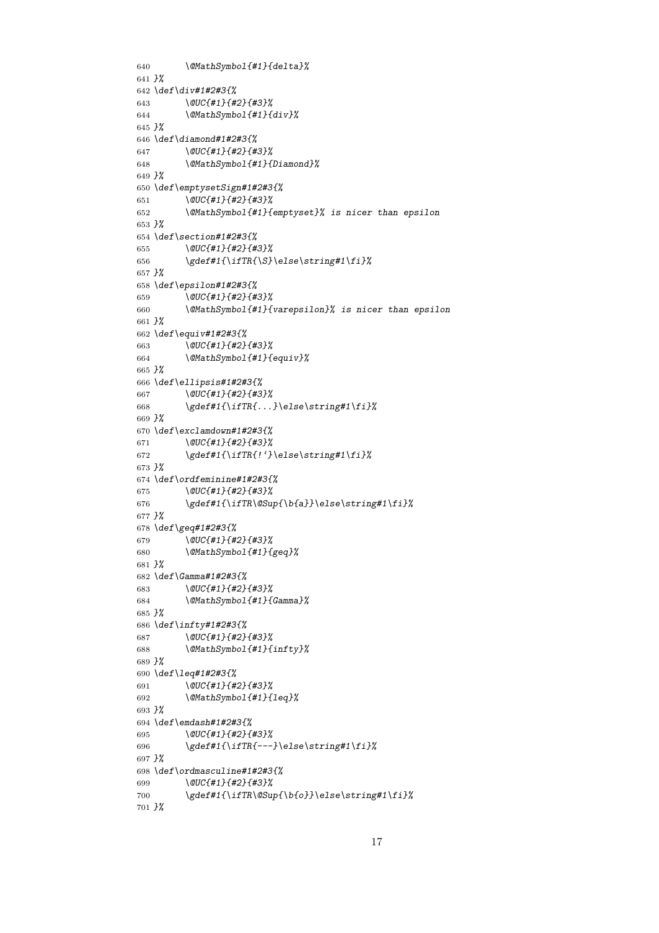```
640 \@MathSymbol{#1}{delta}%
641 }%
642 \def\div#1#2#3{%
643 \@UC{#1}{#2}{#3}%
644 \@MathSymbol{#1}{div}%
645 }%
646 \def\diamond#1#2#3{%
647 \@UC{#1}{#2}{#3}%
648 \@MathSymbol{#1}{Diamond}%
649 }%
650 \def\emptysetSign#1#2#3{%
        651 \@UC{#1}{#2}{#3}%
652 \@MathSymbol{#1}{emptyset}% is nicer than epsilon
653 }%
654 \def\section#1#2#3{%
655 \@UC{#1}{#2}{#3}%
656 \gdef#1{\ifTR{\S}\else\string#1\fi}%
657 }%
658 \def\epsilon#1#2#3{%
659 \@UC{#1}{#2}{#3}%
660 \@MathSymbol{#1}{varepsilon}% is nicer than epsilon
661 }%
662 \def\equiv#1#2#3{%
663 \@UC{#1}{#2}{#3}%
664 \@MathSymbol{#1}{equiv}%
665 }%
666 \def\ellipsis#1#2#3{%
667 \@UC{#1}{#2}{#3}%
668 \gdef#1{\ifTR{...}\else\string#1\fi}%
669 }%
670 \def\exclamdown#1#2#3{%
671 \@UC{#1}{#2}{#3}%
        672 \gdef#1{\ifTR{!'}\else\string#1\fi}%
673 }%
674 \def\ordfeminine#1#2#3{%
675 \@UC{#1}{#2}{#3}%
676 \gdef#1{\ifTR\@Sup{\b{a}}\else\string#1\fi}%
677 }%
678 \def\geq#1#2#3{%
679 \@UC{#1}{#2}{#3}%
680 \@MathSymbol{#1}{geq}%
681 }%
682 \def\Gamma#1#2#3{%
683 \@UC{#1}{#2}{#3}%
684 \@MathSymbol{#1}{Gamma}%
685 }%
686 \def\infty#1#2#3{%
687 \@UC{#1}{#2}{#3}%
688 \@MathSymbol{#1}{infty}%
689 }%
690 \def\leq#1#2#3{%
691 \@UC{#1}{#2}{#3}%
692 \@MathSymbol{#1}{leq}%
693 }%
694 \def\emdash#1#2#3{%
695 \@UC{#1}{#2}{#3}%
696 \gdef#1{\ifTR{---}\else\string#1\fi}%
697 }%
698 \def\ordmasculine#1#2#3{%
699 \@UC{#1}{#2}{#3}%
700 \gdef#1{\ifTR\@Sup{\b{o}}\else\string#1\fi}%
701 }%
```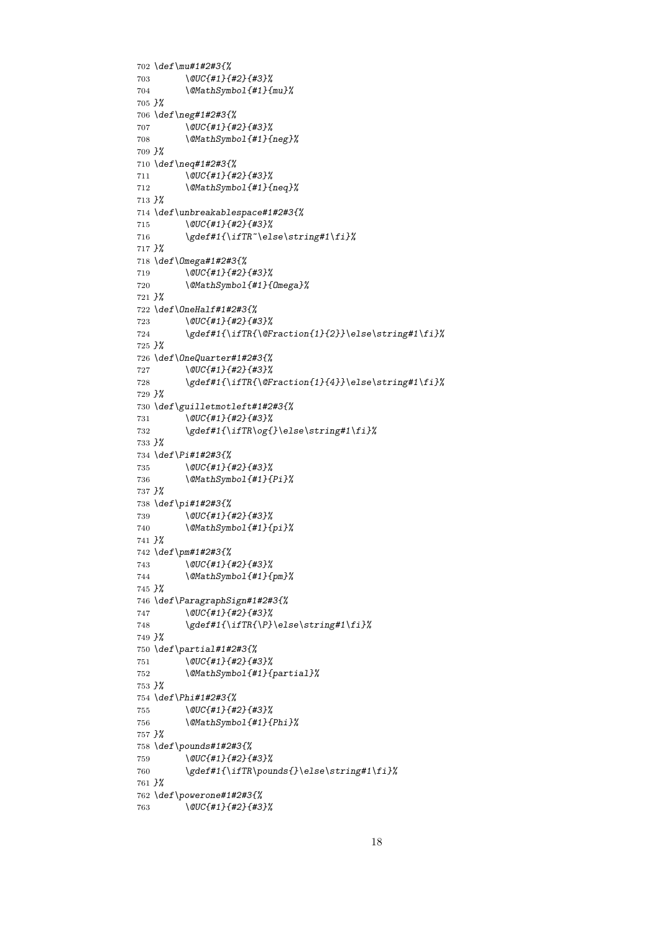```
702 \def\mu#1#2#3{%
703 \@UC{#1}{#2}{#3}%
704 \@MathSymbol{#1}{mu}%
705 }%
706 \def\neg#1#2#3{%
707 \@UC{#1}{#2}{#3}%
708 \@MathSymbol{#1}{neg}%
709 }%
710 \def\neq#1#2#3{%
711 \@UC{#1}{#2}{#3}%
712 \@MathSymbol{#1}{neq}%
713 }%
714 \def\unbreakablespace#1#2#3{%
715 \@UC{#1}{#2}{#3}%
716 \gdef#1{\ifTR~\else\string#1\fi}%
717 }%
718 \def\Omega#1#2#3{%
719 \@UC{#1}{#2}{#3}%
720 \@MathSymbol{#1}{Omega}%
721 }%
722 \def\OneHalf#1#2#3{%
723 \@UC{#1}{#2}{#3}%
724 \gdef#1{\ifTR{\@Fraction{1}{2}}\else\string#1\fi}%
725 }%
726 \def\OneQuarter#1#2#3{%
727 \@UC{#1}{#2}{#3}%
728 \gdef#1{\ifTR{\@Fraction{1}{4}}\else\string#1\fi}%
729 }%
730 \def\guilletmotleft#1#2#3{%
731 \@UC{#1}{#2}{#3}%
732 \gdef#1{\ifTR\og{}\else\string#1\fi}%
733 }%
734 \def\Pi#1#2#3{%
735 \@UC{#1}{#2}{#3}%
736 \@MathSymbol{#1}{Pi}%
737 }%
738 \def\pi#1#2#3{%
739 \@UC{#1}{#2}{#3}%
740 \@MathSymbol{#1}{pi}%
741 }%
742 \def\pm#1#2#3{%
743 \@UC{#1}{#2}{#3}%
744 \@MathSymbol{#1}{pm}%
745 }%
746 \def\ParagraphSign#1#2#3{%
747 \@UC{#1}{#2}{#3}%
748 \gdef#1{\ifTR{\P}\else\string#1\fi}%
749 }%
750 \def\partial#1#2#3{%
751 \@UC{#1}{#2}{#3}%
752 \@MathSymbol{#1}{partial}%
753 }%
754 \def\Phi#1#2#3{%
755 \@UC{#1}{#2}{#3}%
756 \@MathSymbol{#1}{Phi}%
757 }%
758 \def\pounds#1#2#3{%
759 \@UC{#1}{#2}{#3}%
760 \gdef#1{\ifTR\pounds{}\else\string#1\fi}%
761 }%
762 \def\powerone#1#2#3{%
763 \@UC{#1}{#2}{#3}%
```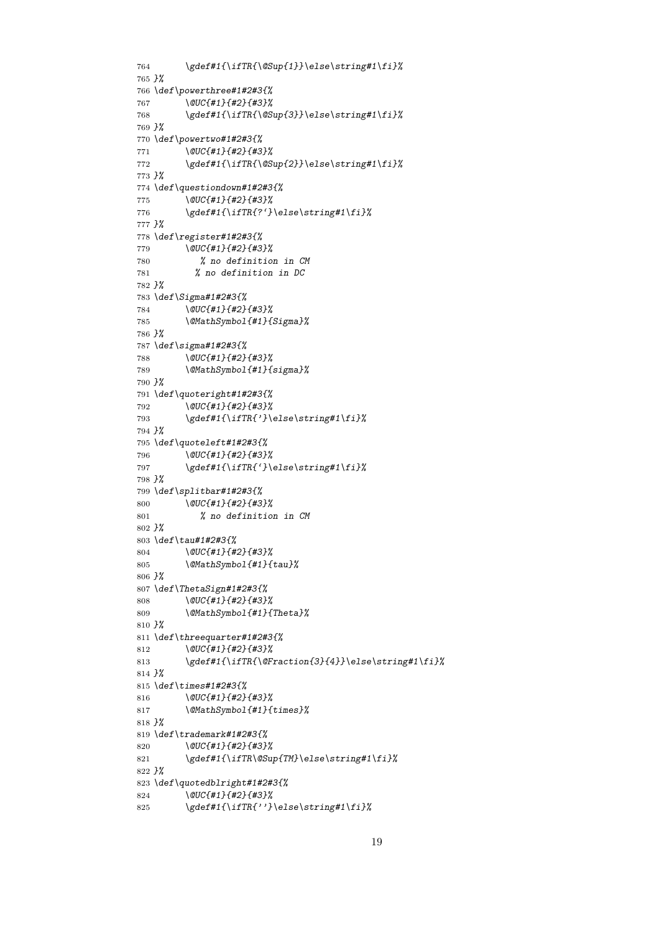```
764 \gdef#1{\ifTR{\@Sup{1}}\else\string#1\fi}%
765 }%
766 \def\powerthree#1#2#3{%
767 \@UC{#1}{#2}{#3}%
768 \gdef#1{\ifTR{\@Sup{3}}\else\string#1\fi}%
769 }%
770 \def\powertwo#1#2#3{%
771 \@UC{#1}{#2}{#3}%
772 \gdef#1{\ifTR{\@Sup{2}}\else\string#1\fi}%
773 }%
774 \def\questiondown#1#2#3{%
775 \@UC{#1}{#2}{#3}%
776 \gdef#1{\ifTR{?'}\else\string#1\fi}%
777 }%
778 \def\register#1#2#3{%
779 \@UC{#1}{#2}{#3}%
780 % no definition in CM
781 % no definition in DC
782 }%
783 \def\Sigma#1#2#3{%
784 \@UC{#1}{#2}{#3}%
785 \@MathSymbol{#1}{Sigma}%
786 }%
787 \def\sigma#1#2#3{%
788 \@UC{#1}{#2}{#3}%
789 \@MathSymbol{#1}{sigma}%
790 }%
791 \def\quoteright#1#2#3{%
792 \@UC{#1}{#2}{#3}%
793 \gdef#1{\ifTR{'}\else\string#1\fi}%
794 }%
795 \def\quoteleft#1#2#3{%
796 \@UC{#1}{#2}{#3}%
797 \gdef#1{\ifTR{'}\else\string#1\fi}%
798 }%
799 \def\splitbar#1#2#3{%
800 \@UC{#1}{#2}{#3}%
801 % no definition in CM
802 }%
803 \def\tau#1#2#3{%
804 \@UC{#1}{#2}{#3}%
805 \@MathSymbol{#1}{tau}%
806 }%
807 \def\ThetaSign#1#2#3{%
808 \@UC{#1}{#2}{#3}%
809 \@MathSymbol{#1}{Theta}%
810 }%
811 \def\threequarter#1#2#3{%
812 \@UC{#1}{#2}{#3}%
813 \gdef#1{\ifTR{\@Fraction{3}{4}}\else\string#1\fi}%
814 }%
815 \def\times#1#2#3{%
816 \@UC{#1}{#2}{#3}%
817 \@MathSymbol{#1}{times}%
818 }%
819 \def\trademark#1#2#3{%
820 \@UC{#1}{#2}{#3}%
821 \gdef#1{\ifTR\@Sup{TM}\else\string#1\fi}%
822 }%
823 \def\quotedblright#1#2#3{%
824 \@UC{#1}{#2}{#3}%
825 \gdef#1{\ifTR{''}\else\string#1\fi}%
```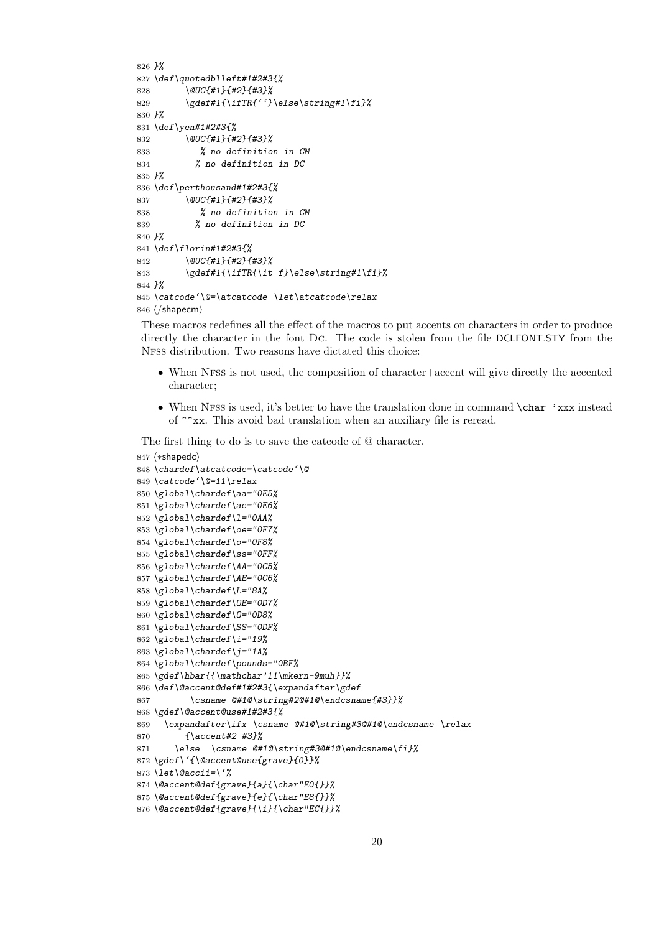```
826 }%
827 \def\quotedblleft#1#2#3{%
828 \@UC{#1}{#2}{#3}%
829 \gdef#1{\ifTR{''}\else\string#1\fi}%
830 }%
831 \def\yen#1#2#3{%
832 \@UC{#1}{#2}{#3}%
833 % no definition in CM
834 % no definition in DC
835 }%
836 \def\perthousand#1#2#3{%
837 \@UC{#1}{#2}{#3}%
838 % no definition in CM
839 % no definition in DC
840 }%
841 \def\florin#1#2#3{%
842 \@UC{#1}{#2}{#3}%
843 \gdef#1{\ifTR{\it f}\else\string#1\fi}%
844 }%
845 \catcode'\@=\atcatcode \let\atcatcode\relax
846 \langle/shapecm\rangle
```
These macros redefines all the effect of the macros to put accents on characters in order to produce directly the character in the font Dc. The code is stolen from the file DCLFONT.STY from the Nfss distribution. Two reasons have dictated this choice:

- When NFSS is not used, the composition of character+accent will give directly the accented character;
- When NFSS is used, it's better to have the translation done in command **\char 'xxx** instead of ^^xx. This avoid bad translation when an auxiliary file is reread.

The first thing to do is to save the catcode of @ character.

```
847 \langle *shapedc\rangle848 \chardef\atcatcode=\catcode'\@
849 \catcode'\@=11\relax
850 \global\chardef\aa="0E5%
851 \global\chardef\ae="0E6%
852 \global\chardef\l="0AA%
853 \global\chardef\oe="0F7%
854 \global\chardef\o="0F8%
855 \global\chardef\ss="0FF%
856 \global\chardef\AA="0C5%
857 \global\chardef\AE="0C6%
858 \global\chardef\L="8A%
859 \global\chardef\OE="0D7%
860 \global\chardef\O="0D8%
861 \global\chardef\SS="0DF%
862 \global\chardef\i="19%
863 \global\chardef\j="1A%
864 \global\chardef\pounds="0BF%
865 \gdef\hbar{{\mathchar'11\mkern-9muh}}%
866 \def\@accent@def#1#2#3{\expandafter\gdef
867 \csname @#1@\string#2@#1@\endcsname{#3}}%
868 \gdef\@accent@use#1#2#3{%
869 \expandafter\ifx \csname @#1@\string#3@#1@\endcsname \relax
870 {\accent#2 #3}%
871 \else \csname @#1@\string#3@#1@\endcsname\fi}%
872 \gdef\'{\@accent@use{grave}{0}}%
873 \let\@accii=\'%
874 \@accent@def{grave}{a}{\char"E0{}}%
875 \@accent@def{grave}{e}{\char"E8{}}%
876 \@accent@def{grave}{\i}{\char"EC{}}%
```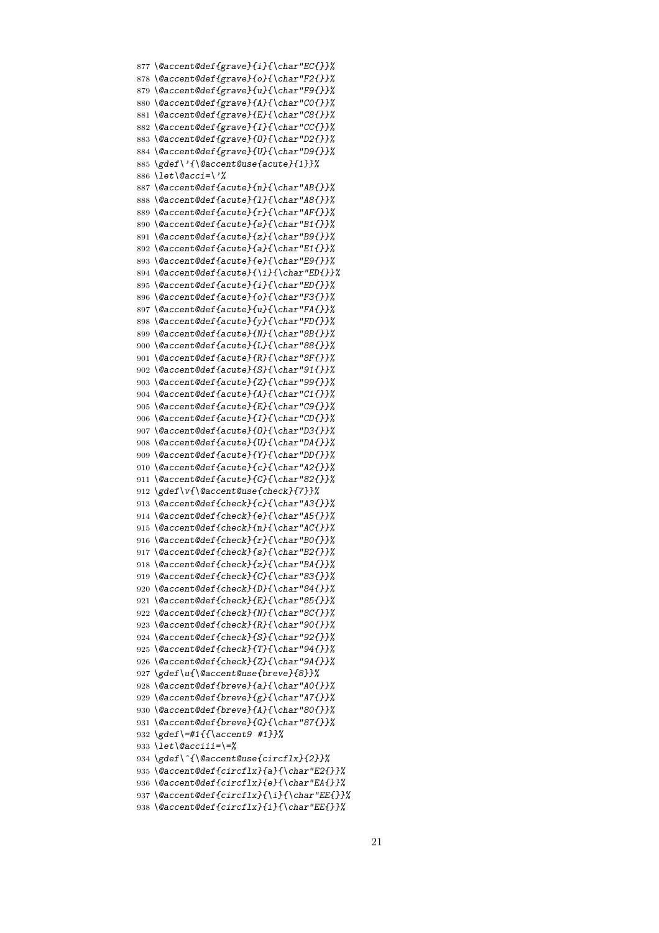*\@accent@def{grave}{i}{\char"EC{}}% \@accent@def{grave}{o}{\char"F2{}}% \@accent@def{grave}{u}{\char"F9{}}% \@accent@def{grave}{A}{\char"C0{}}% \@accent@def{grave}{E}{\char"C8{}}% \@accent@def{grave}{I}{\char"CC{}}% \@accent@def{grave}{O}{\char"D2{}}% \@accent@def{grave}{U}{\char"D9{}}% \gdef\'{\@accent@use{acute}{1}}% \let\@acci=\'% \@accent@def{acute}{n}{\char"AB{}}% \@accent@def{acute}{l}{\char"A8{}}% \@accent@def{acute}{r}{\char"AF{}}% \@accent@def{acute}{s}{\char"B1{}}% \@accent@def{acute}{z}{\char"B9{}}% \@accent@def{acute}{a}{\char"E1{}}% \@accent@def{acute}{e}{\char"E9{}}% \@accent@def{acute}{\i}{\char"ED{}}% \@accent@def{acute}{i}{\char"ED{}}% \@accent@def{acute}{o}{\char"F3{}}% \@accent@def{acute}{u}{\char"FA{}}% \@accent@def{acute}{y}{\char"FD{}}% \@accent@def{acute}{N}{\char"8B{}}% \@accent@def{acute}{L}{\char"88{}}% \@accent@def{acute}{R}{\char"8F{}}% \@accent@def{acute}{S}{\char"91{}}% \@accent@def{acute}{Z}{\char"99{}}% \@accent@def{acute}{A}{\char"C1{}}% \@accent@def{acute}{E}{\char"C9{}}% \@accent@def{acute}{I}{\char"CD{}}% \@accent@def{acute}{O}{\char"D3{}}% \@accent@def{acute}{U}{\char"DA{}}% \@accent@def{acute}{Y}{\char"DD{}}% \@accent@def{acute}{c}{\char"A2{}}% \@accent@def{acute}{C}{\char"82{}}% \gdef\v{\@accent@use{check}{7}}% \@accent@def{check}{c}{\char"A3{}}% \@accent@def{check}{e}{\char"A5{}}% \@accent@def{check}{n}{\char"AC{}}% \@accent@def{check}{r}{\char"B0{}}% \@accent@def{check}{s}{\char"B2{}}% \@accent@def{check}{z}{\char"BA{}}% \@accent@def{check}{C}{\char"83{}}% \@accent@def{check}{D}{\char"84{}}% \@accent@def{check}{E}{\char"85{}}% \@accent@def{check}{N}{\char"8C{}}% \@accent@def{check}{R}{\char"90{}}% \@accent@def{check}{S}{\char"92{}}% \@accent@def{check}{T}{\char"94{}}% \@accent@def{check}{Z}{\char"9A{}}% \gdef\u{\@accent@use{breve}{8}}% \@accent@def{breve}{a}{\char"A0{}}% \@accent@def{breve}{g}{\char"A7{}}% \@accent@def{breve}{A}{\char"80{}}% \@accent@def{breve}{G}{\char"87{}}% \gdef\=#1{{\accent9 #1}}% \let\@acciii=\=% \gdef\^{\@accent@use{circflx}{2}}% \@accent@def{circflx}{a}{\char"E2{}}% \@accent@def{circflx}{e}{\char"EA{}}% \@accent@def{circflx}{\i}{\char"EE{}}% \@accent@def{circflx}{i}{\char"EE{}}%*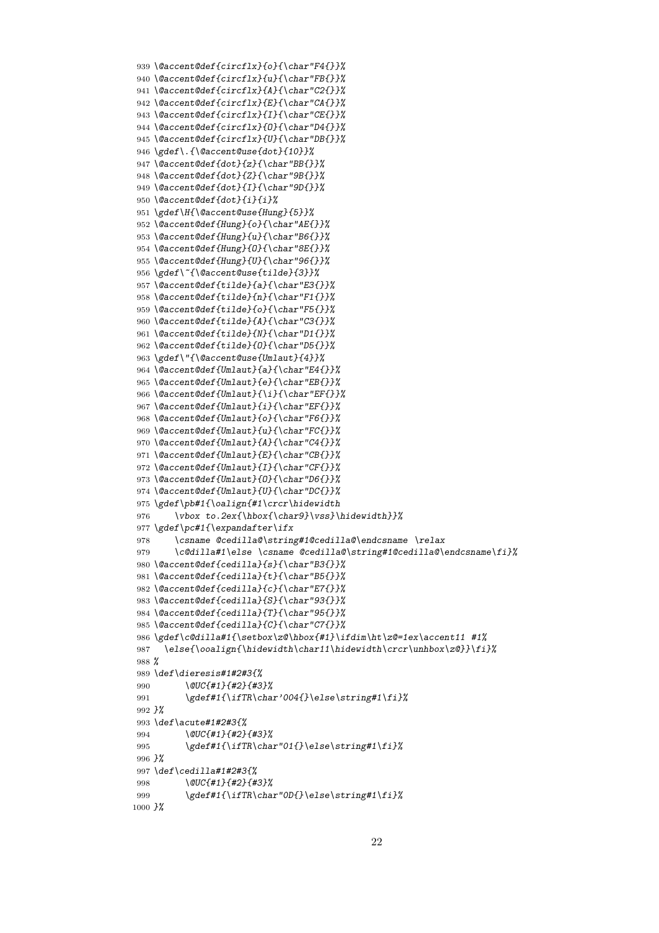```
939 \@accent@def{circflx}{o}{\char"F4{}}%
940 \@accent@def{circflx}{u}{\char"FB{}}%
941 \@accent@def{circflx}{A}{\char"C2{}}%
942 \@accent@def{circflx}{E}{\char"CA{}}%
943 \@accent@def{circflx}{I}{\char"CE{}}%
944 \@accent@def{circflx}{O}{\char"D4{}}%
945 \@accent@def{circflx}{U}{\char"DB{}}%
946 \gdef\.{\@accent@use{dot}{10}}%
947 \@accent@def{dot}{z}{\char"BB{}}%
948 \@accent@def{dot}{Z}{\char"9B{}}%
949 \@accent@def{dot}{I}{\char"9D{}}%
950 \@accent@def{dot}{i}{i}%
951 \gdef\H{\@accent@use{Hung}{5}}%
952 \@accent@def{Hung}{o}{\char"AE{}}%
953 \@accent@def{Hung}{u}{\char"B6{}}%
954 \@accent@def{Hung}{O}{\char"8E{}}%
955 \@accent@def{Hung}{U}{\char"96{}}%
956 \gdef\~{\@accent@use{tilde}{3}}%
957 \@accent@def{tilde}{a}{\char"E3{}}%
958 \@accent@def{tilde}{n}{\char"F1{}}%
959 \@accent@def{tilde}{o}{\char"F5{}}%
960 \@accent@def{tilde}{A}{\char"C3{}}%
961 \@accent@def{tilde}{N}{\char"D1{}}%
962 \@accent@def{tilde}{O}{\char"D5{}}%
963 \gdef\"{\@accent@use{Umlaut}{4}}%
964 \@accent@def{Umlaut}{a}{\char"E4{}}%
965 \@accent@def{Umlaut}{e}{\char"EB{}}%
966 \@accent@def{Umlaut}{\i}{\char"EF{}}%
967 \@accent@def{Umlaut}{i}{\char"EF{}}%
968 \@accent@def{Umlaut}{o}{\char"F6{}}%
969 \@accent@def{Umlaut}{u}{\char"FC{}}%
970 \@accent@def{Umlaut}{A}{\char"C4{}}%
971 \@accent@def{Umlaut}{E}{\char"CB{}}%
972 \@accent@def{Umlaut}{I}{\char"CF{}}%
973 \@accent@def{Umlaut}{O}{\char"D6{}}%
974 \@accent@def{Umlaut}{U}{\char"DC{}}%
975 \gdef\pb#1{\oalign{#1\crcr\hidewidth
976 \vbox to.2ex{\hbox{\char9}\vss}\hidewidth}}%
977 \gdef\pc#1{\expandafter\ifx
978 \csname @cedilla@\string#1@cedilla@\endcsname \relax
979 \c@dilla#1\else \csname @cedilla@\string#1@cedilla@\endcsname\fi}%
980 \@accent@def{cedilla}{s}{\char"B3{}}%
981 \@accent@def{cedilla}{t}{\char"B5{}}%
982 \@accent@def{cedilla}{c}{\char"E7{}}%
983 \@accent@def{cedilla}{S}{\char"93{}}%
984 \@accent@def{cedilla}{T}{\char"95{}}%
985 \@accent@def{cedilla}{C}{\char"C7{}}%
986 \gdef\c@dilla#1{\setbox\z@\hbox{#1}\ifdim\ht\z@=1ex\accent11 #1%
987 \else{\ooalign{\hidewidth\char11\hidewidth\crcr\unhbox\z@}}\fi}%
988 %
989 \def\dieresis#1#2#3{%
990 \@UC{#1}{#2}{#3}%
991 \gdef#1{\ifTR\char'004{}\else\string#1\fi}%
992 }%
993 \def\acute#1#2#3{%
994 \@UC{#1}{#2}{#3}%
995 \gdef#1{\ifTR\char"01{}\else\string#1\fi}%
996 }%
997 \def\cedilla#1#2#3{%
998 \@UC{#1}{#2}{#3}%
999 \gdef#1{\ifTR\char"0D{}\else\string#1\fi}%
1000 }%
```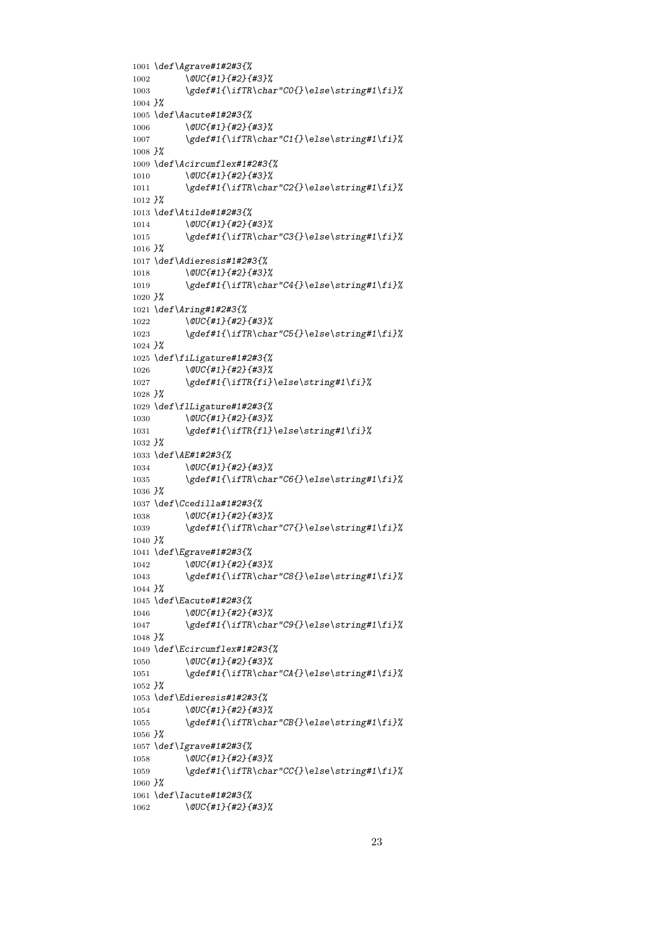```
1001 \def\Agrave#1#2#3{%
1002 \@UC{#1}{#2}{#3}%
1003 \gdef#1{\ifTR\char"C0{}\else\string#1\fi}%
1004 }%
1005 \def\Aacute#1#2#3{%
1006 \@UC{#1}{#2}{#3}%
1007 \gdef#1{\ifTR\char"C1{}\else\string#1\fi}%
1008 }%
1009 \def\Acircumflex#1#2#3{%
1010 \@UC{#1}{#2}{#3}%
1011 \gdef#1{\ifTR\char"C2{}\else\string#1\fi}%
1012 }%
1013 \def\Atilde#1#2#3{%
1014 \@UC{#1}{#2}{#3}%
1015 \gdef#1{\ifTR\char"C3{}\else\string#1\fi}%
1016 }%
1017 \def\Adieresis#1#2#3{%
1018 \@UC{#1}{#2}{#3}%
1019 \gdef#1{\ifTR\char"C4{}\else\string#1\fi}%
1020 }%
1021 \def\Aring#1#2#3{%
1022 \@UC{#1}{#2}{#3}%
1023 \gdef#1{\ifTR\char"C5{}\else\string#1\fi}%
1024 }%
1025 \def\fiLigature#1#2#3{%
1026 \@UC{#1}{#2}{#3}%
1027 \gdef#1{\ifTR{fi}\else\string#1\fi}%
1028 }%
1029 \def\flLigature#1#2#3{%
1030 \@UC{#1}{#2}{#3}%
1031 \gdef#1{\ifTR{fl}\else\string#1\fi}%
1032 }%
1033 \def\AE#1#2#3{%
1034 \@UC{#1}{#2}{#3}%
1035 \gdef#1{\ifTR\char"C6{}\else\string#1\fi}%
1036 }%
1037 \def\Ccedilla#1#2#3{%
         1038 \@UC{#1}{#2}{#3}%
1039 \gdef#1{\ifTR\char"C7{}\else\string#1\fi}%
1040 }%
1041 \def\Egrave#1#2#3{%
1042 \@UC{#1}{#2}{#3}%
1043 \gdef#1{\ifTR\char"C8{}\else\string#1\fi}%
1044 }%
1045 \def\Eacute#1#2#3{%
1046 \@UC{#1}{#2}{#3}%
1047 \gdef#1{\ifTR\char"C9{}\else\string#1\fi}%
1048 }%
1049 \def\Ecircumflex#1#2#3{%
1050 \@UC{#1}{#2}{#3}%
1051 \gdef#1{\ifTR\char"CA{}\else\string#1\fi}%
1052 }%
1053 \def\Edieresis#1#2#3{%
1054 \@UC{#1}{#2}{#3}%
1055 \gdef#1{\ifTR\char"CB{}\else\string#1\fi}%
1056 }%
1057 \def\Igrave#1#2#3{%
1058 \@UC{#1}{#2}{#3}%
1059 \gdef#1{\ifTR\char"CC{}\else\string#1\fi}%
1060 }%
1061 \def\Iacute#1#2#3{%
1062 \@UC{#1}{#2}{#3}%
```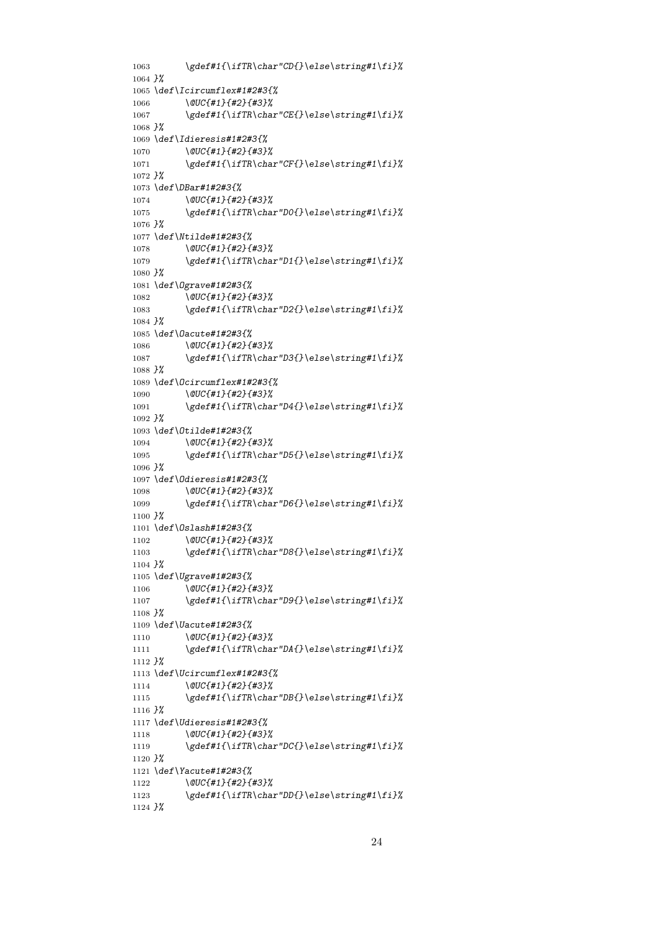```
1063 \gdef#1{\ifTR\char"CD{}\else\string#1\fi}%
1064 }%
1065 \def\Icircumflex#1#2#3{%
1066 \@UC{#1}{#2}{#3}%
1067 \gdef#1{\ifTR\char"CE{}\else\string#1\fi}%
1068 }%
1069 \def\Idieresis#1#2#3{%
1070 \@UC{#1}{#2}{#3}%
1071 \gdef#1{\ifTR\char"CF{}\else\string#1\fi}%
1072 }%
1073 \def\DBar#1#2#3{%
1074 \@UC{#1}{#2}{#3}%
1075 \gdef#1{\ifTR\char"D0{}\else\string#1\fi}%
1076 }%
1077 \def\Ntilde#1#2#3{%
1078 \@UC{#1}{#2}{#3}%<br>1079 \gdef#1{\ifTR\chai
         1079 \gdef#1{\ifTR\char"D1{}\else\string#1\fi}%
1080 }%
1081 \def\Ograve#1#2#3{%
1082 \@UC{#1}{#2}{#3}%
1083 \gdef#1{\ifTR\char"D2{}\else\string#1\fi}%
1084 }%
1085 \def\Oacute#1#2#3{%
1086 \@UC{#1}{#2}{#3}%
1087 \gdef#1{\ifTR\char"D3{}\else\string#1\fi}%
1088 }%
1089 \def\Ocircumflex#1#2#3{%
1090 \@UC{#1}{#2}{#3}%
1091 \gdef#1{\ifTR\char"D4{}\else\string#1\fi}%
1092 }%
1093 \def\Otilde#1#2#3{%
1094 \@UC{#1}{#2}{#3}%
1095 \gdef#1{\ifTR\char"D5{}\else\string#1\fi}%
1096 }%
1097 \def\Odieresis#1#2#3{%
1098 \@UC{#1}{#2}{#3}%
1099 \gdef#1{\ifTR\char"D6{}\else\string#1\fi}%
1100 }%
1101 \def\Oslash#1#2#3{%
1102 \@UC{#1}{#2}{#3}%
1103 \gdef#1{\ifTR\char"D8{}\else\string#1\fi}%
1104 }%
1105 \def\Ugrave#1#2#3{%
1106 \@UC{#1}{#2}{#3}%
1107 \gdef#1{\ifTR\char"D9{}\else\string#1\fi}%
1108 }%
1109 \def\Uacute#1#2#3{%
1110 \@UC{#1}{#2}{#3}%
1111 \gdef#1{\ifTR\char"DA{}\else\string#1\fi}%
1112 }%
1113 \def\Ucircumflex#1#2#3{%
1114 \@UC{#1}{#2}{#3}%
1115 \gdef#1{\ifTR\char"DB{}\else\string#1\fi}%
1116 }%
1117 \def\Udieresis#1#2#3{%
1118 \@UC{#1}{#2}{#3}%
1119 \gdef#1{\ifTR\char"DC{}\else\string#1\fi}%
1120 }%
1121 \def\Yacute#1#2#3{%
1122 \@UC{#1}{#2}{#3}%
1123 \gdef#1{\ifTR\char"DD{}\else\string#1\fi}%
```
*}%*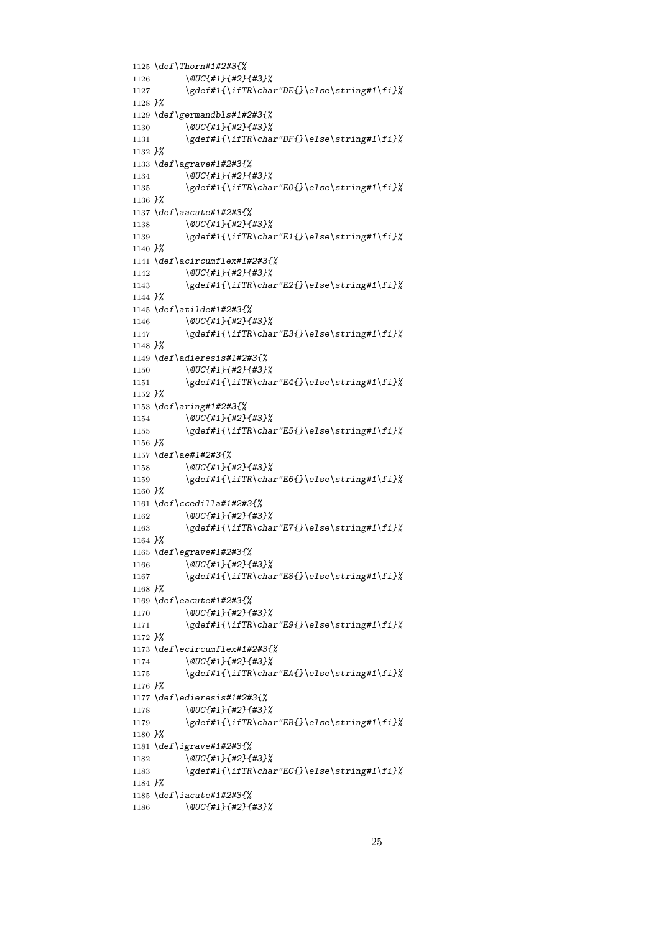```
1125 \def\Thorn#1#2#3{%
1126 \@UC{#1}{#2}{#3}%
1127 \gdef#1{\ifTR\char"DE{}\else\string#1\fi}%
1128 }%
1129 \def\germandbls#1#2#3{%
1130 \@UC{#1}{#2}{#3}%
1131 \gdef#1{\ifTR\char"DF{}\else\string#1\fi}%
1132 }%
1133 \def\agrave#1#2#3{%
1134 \@UC{#1}{#2}{#3}%
1135 \gdef#1{\ifTR\char"E0{}\else\string#1\fi}%
1136 }%
1137 \def\aacute#1#2#3{%
1138 \@UC{#1}{#2}{#3}%
1139 \gdef#1{\ifTR\char"E1{}\else\string#1\fi}%
1140 }%
1141 \def\acircumflex#1#2#3{%
1142 \@UC{#1}{#2}{#3}%
1143 \gdef#1{\ifTR\char"E2{}\else\string#1\fi}%
1144 }%
1145 \def\atilde#1#2#3{%
1146 \@UC{#1}{#2}{#3}%
1147 \gdef#1{\ifTR\char"E3{}\else\string#1\fi}%
1148 }%
1149 \def\adieresis#1#2#3{%
1150 \@UC{#1}{#2}{#3}%
1151 \gdef#1{\ifTR\char"E4{}\else\string#1\fi}%
1152 }%
1153 \def\aring#1#2#3{%
1154 \@UC{#1}{#2}{#3}%
1155 \gdef#1{\ifTR\char"E5{}\else\string#1\fi}%
1156 }%
1157 \def\ae#1#2#3{%
1158 \@UC{#1}{#2}{#3}%
1159 \gdef#1{\ifTR\char"E6{}\else\string#1\fi}%
1160 }%
1161 \def\ccedilla#1#2#3{%
1162 \@UC{#1}{#2}{#3}%
1163 \gdef#1{\ifTR\char"E7{}\else\string#1\fi}%
1164 }%
1165 \def\egrave#1#2#3{%
1166 \@UC{#1}{#2}{#3}%
1167 \gdef#1{\ifTR\char"E8{}\else\string#1\fi}%
1168 }%
1169 \def\eacute#1#2#3{%
1170 \@UC{#1}{#2}{#3}%
1171 \gdef#1{\ifTR\char"E9{}\else\string#1\fi}%
1172 }%
1173 \def\ecircumflex#1#2#3{%
1174 \@UC{#1}{#2}{#3}%
1175 \gdef#1{\ifTR\char"EA{}\else\string#1\fi}%
1176 }%
1177 \def\edieresis#1#2#3{%
1178 \@UC{#1}{#2}{#3}%
1179 \gdef#1{\ifTR\char"EB{}\else\string#1\fi}%
1180 }%
1181 \def\igrave#1#2#3{%
1182 \@UC{#1}{#2}{#3}%
1183 \gdef#1{\ifTR\char"EC{}\else\string#1\fi}%
1184 }%
1185 \def\iacute#1#2#3{%
1186 \@UC{#1}{#2}{#3}%
```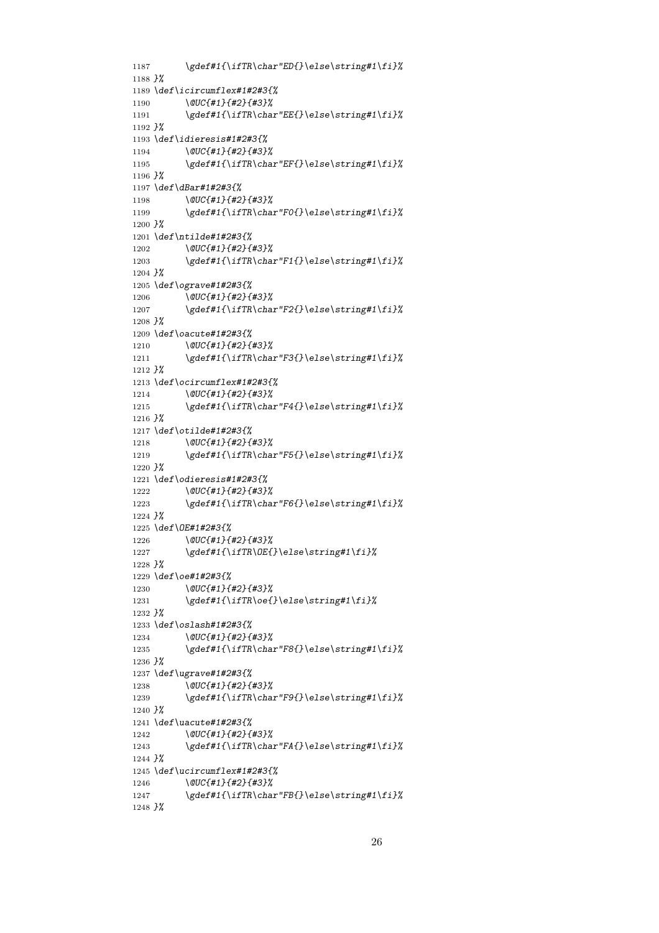```
1187 \gdef#1{\ifTR\char"ED{}\else\string#1\fi}%
1188 }%
1189 \def\icircumflex#1#2#3{%
1190 \@UC{#1}{#2}{#3}%
1191 \gdef#1{\ifTR\char"EE{}\else\string#1\fi}%
1192 }%
1193 \def\idieresis#1#2#3{%
1194 \@UC{#1}{#2}{#3}%
1195 \gdef#1{\ifTR\char"EF{}\else\string#1\fi}%
1196 }%
1197 \def\dBar#1#2#3{%
1198 \@UC{#1}{#2}{#3}%
1199 \gdef#1{\ifTR\char"F0{}\else\string#1\fi}%
1200 }%
1201 \def\ntilde#1#2#3{%
1202 \@UC{#1}{#2}{#3}%
1203 \gdef#1{\ifTR\char"F1{}\else\string#1\fi}%
1204 }%
1205 \def\ograve#1#2#3{%
1206 \@UC{#1}{#2}{#3}%
1207 \gdef#1{\ifTR\char"F2{}\else\string#1\fi}%
1208 }%
1209 \def\oacute#1#2#3{%
1210 \@UC{#1}{#2}{#3}%
1211 \gdef#1{\ifTR\char"F3{}\else\string#1\fi}%
1212 }%
1213 \def\ocircumflex#1#2#3{%
1214 \@UC{#1}{#2}{#3}%
1215 \gdef#1{\ifTR\char"F4{}\else\string#1\fi}%
1216 }%
1217 \def\otilde#1#2#3{%
1218 \@UC{#1}{#2}{#3}%<br>1219 \gdef#1{\ifTR\chai
         1219 \gdef#1{\ifTR\char"F5{}\else\string#1\fi}%
1220 }%
1221 \def\odieresis#1#2#3{%
1222 \@UC{#1}{#2}{#3}%
1223 \gdef#1{\ifTR\char"F6{}\else\string#1\fi}%
1224 }%
1225 \def\OE#1#2#3{%
1226 \@UC{#1}{#2}{#3}%
1227 \gdef#1{\ifTR\OE{}\else\string#1\fi}%
1228 }%
1229 \def\oe#1#2#3{%
1230 \@UC{#1}{#2}{#3}%
1231 \gdef#1{\ifTR\oe{}\else\string#1\fi}%
1232 }%
1233 \def\oslash#1#2#3{%
1234 \@UC{#1}{#2}{#3}%
1235 \gdef#1{\ifTR\char"F8{}\else\string#1\fi}%
1236 }%
1237 \def\ugrave#1#2#3{%
1238 \@UC{#1}{#2}{#3}%
1239 \gdef#1{\ifTR\char"F9{}\else\string#1\fi}%
1240 }%
1241 \def\uacute#1#2#3{%
1242 \@UC{#1}{#2}{#3}%
1243 \gdef#1{\ifTR\char"FA{}\else\string#1\fi}%
1244 }%
1245 \def\ucircumflex#1#2#3{%
1246 \@UC{#1}{#2}{#3}%
1247 \gdef#1{\ifTR\char"FB{}\else\string#1\fi}%
```
*}%*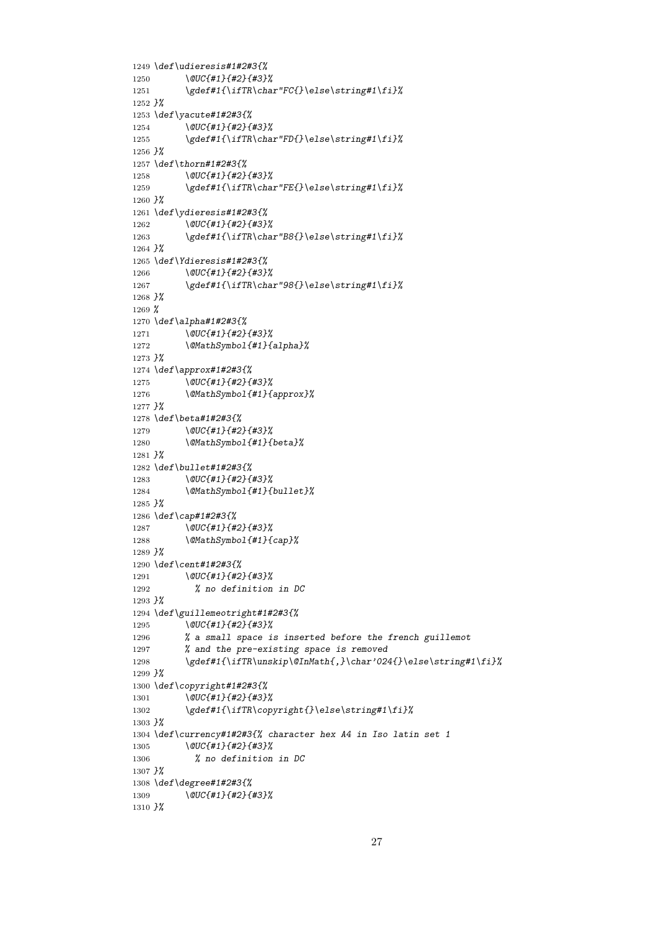```
1249 \def\udieresis#1#2#3{%
1250 \@UC{#1}{#2}{#3}%
1251 \gdef#1{\ifTR\char"FC{}\else\string#1\fi}%
1252 }%
1253 \def\yacute#1#2#3{%
1254 \@UC{#1}{#2}{#3}%
1255 \gdef#1{\ifTR\char"FD{}\else\string#1\fi}%
1256 }%
1257 \def\thorn#1#2#3{%
1258 \@UC{#1}{#2}{#3}%
1259 \gdef#1{\ifTR\char"FE{}\else\string#1\fi}%
1260 }%
1261 \def\ydieresis#1#2#3{%
1262 \@UC{#1}{#2}{#3}%
1263 \gdef#1{\ifTR\char"B8{}\else\string#1\fi}%
1264 }%
1265 \def\Ydieresis#1#2#3{%
1266 \@UC{#1}{#2}{#3}%
1267 \gdef#1{\ifTR\char"98{}\else\string#1\fi}%
1268 }%
1269 %
1270 \def\alpha#1#2#3{%
1271 \@UC{#1}{#2}{#3}%
1272 \@MathSymbol{#1}{alpha}%
1273 }%
1274 \def\approx#1#2#3{%
1275 \@UC{#1}{#2}{#3}%
1276 \@MathSymbol{#1}{approx}%
1277 }%
1278 \def\beta#1#2#3{%
1279 \@UC{#1}{#2}{#3}%
1280 \@MathSymbol{#1}{beta}%
1281 }%
1282 \def\bullet#1#2#3{%
1283 \@UC{#1}{#2}{#3}%
1284 \@MathSymbol{#1}{bullet}%
1285 }%
1286 \def\cap#1#2#3{%
1287 \@UC{#1}{#2}{#3}%
1288 \@MathSymbol{#1}{cap}%
1289 }%
1290 \def\cent#1#2#3{%
1291 \@UC{#1}{#2}{#3}%
1292 % no definition in DC
1293 }%
1294 \def\guillemeotright#1#2#3{%
1295 \@UC{#1}{#2}{#3}%
1296 % a small space is inserted before the french guillemot
1297 % and the pre-existing space is removed
1298 \gdef#1{\ifTR\unskip\@InMath{,}\char'024{}\else\string#1\fi}%
1299 }%
1300 \def\copyright#1#2#3{%
1301 \@UC{#1}{#2}{#3}%
1302 \gdef#1{\ifTR\copyright{}\else\string#1\fi}%
1303 }%
1304 \def\currency#1#2#3{% character hex A4 in Iso latin set 1
1305 \@UC{#1}{#2}{#3}%
1306 % no definition in DC
1307 }%
1308 \def\degree#1#2#3{%
1309 \@UC{#1}{#2}{#3}%
1310 }%
```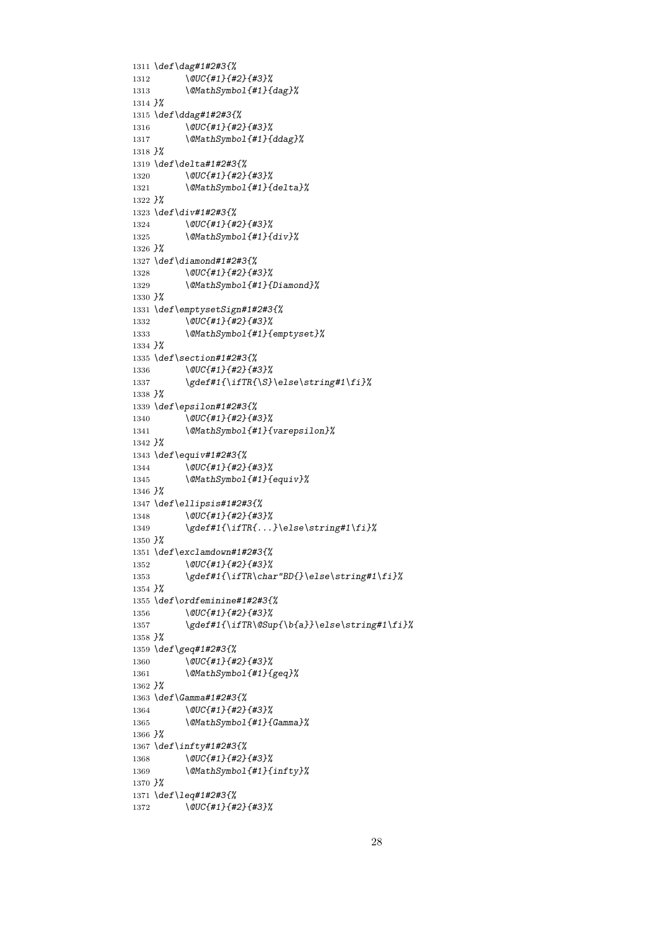```
1311 \def\dag#1#2#3{%
1312 \@UC{#1}{#2}{#3}%
1313 \@MathSymbol{#1}{dag}%
1314 }%
1315 \def\ddag#1#2#3{%
1316 \@UC{#1}{#2}{#3}%
1317 \@MathSymbol{#1}{ddag}%
1318 }%
1319 \def\delta#1#2#3{%
1320 \@UC{#1}{#2}{#3}%<br>1321 \@MathSymbol{#1}{
        1321 \@MathSymbol{#1}{delta}%
1322 }%
1323 \def\div#1#2#3{%
1324 \@UC{#1}{#2}{#3}%
1325 \@MathSymbol{#1}{div}%
1326 }%
1327 \def\diamond#1#2#3{%
1328 \@UC{#1}{#2}{#3}%
1329 \@MathSymbol{#1}{Diamond}%
1330 }%
1331 \def\emptysetSign#1#2#3{%
1332 \@UC{#1}{#2}{#3}%
1333 \@MathSymbol{#1}{emptyset}%
1334 }%
1335 \def\section#1#2#3{%
1336 \@UC{#1}{#2}{#3}%
1337 \gdef#1{\ifTR{\S}\else\string#1\fi}%
1338 }%
1339 \def\epsilon#1#2#3{%
1340 \@UC{#1}{#2}{#3}%
1341 \@MathSymbol{#1}{varepsilon}%
1342 }%
1343 \def\equiv#1#2#3{%
1344 \@UC{#1}{#2}{#3}%
1345 \@MathSymbol{#1}{equiv}%
1346 }%
1347 \def\ellipsis#1#2#3{%
1348 \@UC{#1}{#2}{#3}%
1349 \gdef#1{\ifTR{...}\else\string#1\fi}%
1350 }%
1351 \def\exclamdown#1#2#3{%
1352 \@UC{#1}{#2}{#3}%
1353 \gdef#1{\ifTR\char"BD{}\else\string#1\fi}%
1354 }%
1355 \def\ordfeminine#1#2#3{%
1356 \@UC{#1}{#2}{#3}%
1357 \gdef#1{\ifTR\@Sup{\b{a}}\else\string#1\fi}%
1358 }%
1359 \def\geq#1#2#3{%
1360 \@UC{#1}{#2}{#3}%
1361 \@MathSymbol{#1}{geq}%
1362 }%
1363 \def\Gamma#1#2#3{%
1364 \@UC{#1}{#2}{#3}%
1365 \@MathSymbol{#1}{Gamma}%
1366 }%
1367 \def\infty#1#2#3{%
1368 \@UC{#1}{#2}{#3}%
1369 \@MathSymbol{#1}{infty}%
1370 }%
1371 \def\leq#1#2#3{%
1372 \@UC{#1}{#2}{#3}%
```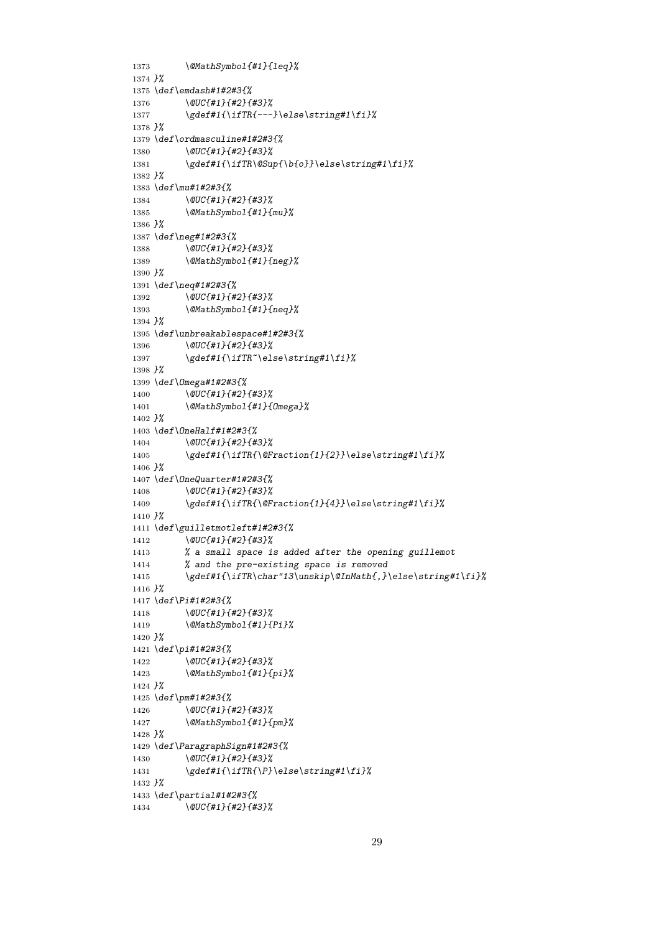```
1373 \@MathSymbol{#1}{leq}%
1374 }%
1375 \def\emdash#1#2#3{%
1376 \@UC{#1}{#2}{#3}%
1377 \gdef#1{\ifTR{---}\else\string#1\fi}%
1378 }%
1379 \def\ordmasculine#1#2#3{%
1380 \@UC{#1}{#2}{#3}%
1381 \gdef#1{\ifTR\@Sup{\b{o}}\else\string#1\fi}%
1382 }%
1383 \def\mu#1#2#3{%
1384 \@UC{#1}{#2}{#3}%
1385 \@MathSymbol{#1}{mu}%
1386 }%
1387 \def\neg#1#2#3{%
1388 \@UC{#1}{#2}{#3}%
1389 \@MathSymbol{#1}{neg}%
1390 }%
1391 \def\neq#1#2#3{%
1392 \@UC{#1}{#2}{#3}%
1393 \@MathSymbol{#1}{neq}%
1394 }%
1395 \def\unbreakablespace#1#2#3{%
1396 \@UC{#1}{#2}{#3}%
1397 \gdef#1{\ifTR~\else\string#1\fi}%
1398 }%
1399 \def\Omega#1#2#3{%
1400 \@UC{#1}{#2}{#3}%
1401 \@MathSymbol{#1}{Omega}%
1402 }%
1403 \def\OneHalf#1#2#3{%
1404   \@UC{#1}{#2}{#3}%<br>1405   \gdef#1{\ifTR{\@F
         1405 \gdef#1{\ifTR{\@Fraction{1}{2}}\else\string#1\fi}%
1406 }%
1407 \def\OneQuarter#1#2#3{%
1408 \@UC{#1}{#2}{#3}%
1409 \gdef#1{\ifTR{\@Fraction{1}{4}}\else\string#1\fi}%
1410 }%
1411 \def\guilletmotleft#1#2#3{%
1412 \@UC{#1}{#2}{#3}%
1413 % a small space is added after the opening guillemot
1414 % and the pre-existing space is removed
1415 \gdef#1{\ifTR\char"13\unskip\@InMath{,}\else\string#1\fi}%
1416 }%
1417 \def\Pi#1#2#3{%
1418 \@UC{#1}{#2}{#3}%
1419 \@MathSymbol{#1}{Pi}%
1420 }%
1421 \def\pi#1#2#3{%
1422 \@UC{#1}{#2}{#3}%
1423 \@MathSymbol{#1}{pi}%
1424 }%
1425 \def\pm#1#2#3{%
1426 \@UC{#1}{#2}{#3}%
1427 \@MathSymbol{#1}{pm}%
1428 }%
1429 \def\ParagraphSign#1#2#3{%
1430 \@UC{#1}{#2}{#3}%
1431 \gdef#1{\ifTR{\P}\else\string#1\fi}%
1432 }%
1433 \def\partial#1#2#3{%
1434 \@UC{#1}{#2}{#3}%
```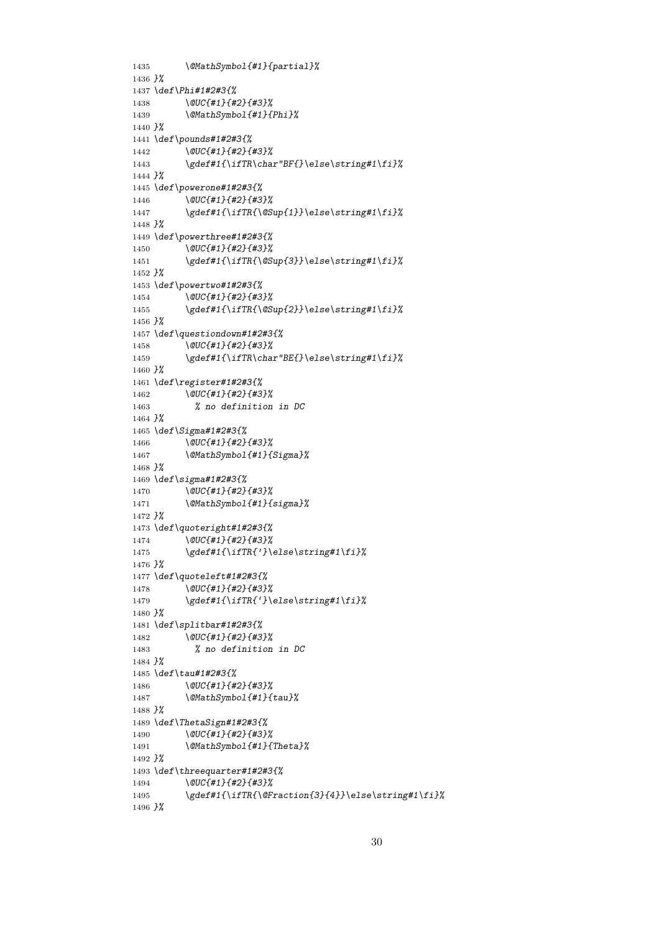```
1435 \@MathSymbol{#1}{partial}%
1436 }%
1437 \def\Phi#1#2#3{%
1438 \@UC{#1}{#2}{#3}%
1439 \@MathSymbol{#1}{Phi}%
1440 }%
1441 \def\pounds#1#2#3{%
1442 \@UC{#1}{#2}{#3}%
1443 \gdef#1{\ifTR\char"BF{}\else\string#1\fi}%
1444 }%
1445 \def\powerone#1#2#3{%
1446 \@UC{#1}{#2}{#3}%
1447 \gdef#1{\ifTR{\@Sup{1}}\else\string#1\fi}%
1448 }%
1449 \def\powerthree#1#2#3{%
1450 \@UC{#1}{#2}{#3}%
1451 \gdef#1{\ifTR{\@Sup{3}}\else\string#1\fi}%
1452 }%
1453 \def\powertwo#1#2#3{%
1454 \@UC{#1}{#2}{#3}%
1455 \gdef#1{\ifTR{\@Sup{2}}\else\string#1\fi}%
1456 }%
1457 \def\questiondown#1#2#3{%
1458 \@UC{#1}{#2}{#3}%
1459 \gdef#1{\ifTR\char"BE{}\else\string#1\fi}%
1460 }%
1461 \def\register#1#2#3{%
1462 \@UC{#1}{#2}{#3}%
1463 % no definition in DC
1464 }%
1465 \def\Sigma#1#2#3{%
1466 \@UC{#1}{#2}{#3}%
         1467 \@MathSymbol{#1}{Sigma}%
1468 }%
1469 \def\sigma#1#2#3{%
1470 \@UC{#1}{#2}{#3}%
1471 \@MathSymbol{#1}{sigma}%
1472 }%
1473 \def\quoteright#1#2#3{%
1474 \@UC{#1}{#2}{#3}%
1475 \gdef#1{\ifTR{'}\else\string#1\fi}%
1476 }%
1477 \def\quoteleft#1#2#3{%
1478 \@UC{#1}{#2}{#3}%
1479 \gdef#1{\ifTR{'}\else\string#1\fi}%
1480 }%
1481 \def\splitbar#1#2#3{%
1482 \@UC{#1}{#2}{#3}%
1483 % no definition in DC
1484 }%
1485 \def\tau#1#2#3{%
1486 \@UC{#1}{#2}{#3}%
1487 \@MathSymbol{#1}{tau}%
1488 }%
1489 \def\ThetaSign#1#2#3{%
1490 \@UC{#1}{#2}{#3}%
1491 \@MathSymbol{#1}{Theta}%
1492 }%
1493 \def\threequarter#1#2#3{%
1494 \@UC{#1}{#2}{#3}%
1495 \gdef#1{\ifTR{\@Fraction{3}{4}}\else\string#1\fi}%
1496 }%
```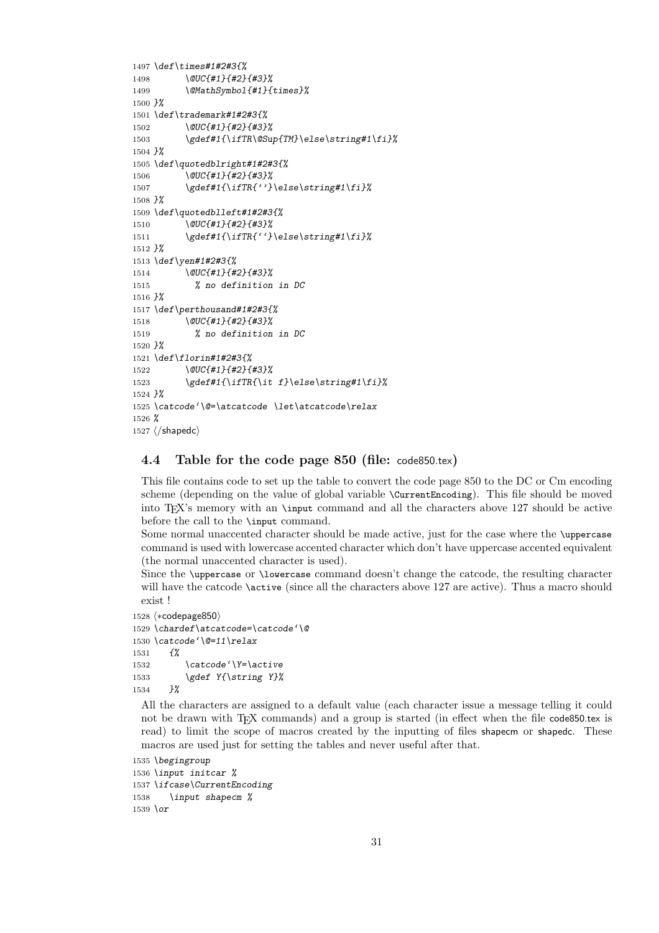```
1497 \def\times#1#2#3{%
1498 \@UC{#1}{#2}{#3}%
1499 \@MathSymbol{#1}{times}%
1500 }%
1501 \def\trademark#1#2#3{%
1502 \@UC{#1}{#2}{#3}%
1503 \gdef#1{\ifTR\@Sup{TM}\else\string#1\fi}%
1504 }%
1505 \def\quotedblright#1#2#3{%
1506 \@UC{#1}{#2}{#3}%
1507 \gdef#1{\ifTR{''}\else\string#1\fi}%
1508 }%
1509 \def\quotedblleft#1#2#3{%
1510 \@UC{#1}{#2}{#3}%
1511 \gdef#1{\ifTR{''}\else\string#1\fi}%
1512 }%
1513 \def\yen#1#2#3{%
1514 \@UC{#1}{#2}{#3}%
1515 % no definition in DC
1516 }%
1517 \def\perthousand#1#2#3{%
1518 \@UC{#1}{#2}{#3}%
1519 % no definition in DC
1520 }%
1521 \def\florin#1#2#3{%
1522 \@UC{#1}{#2}{#3}%
1523 \gdef#1{\ifTR{\it f}\else\string#1\fi}%
1524 }%
1525 \catcode'\@=\atcatcode \let\atcatcode\relax
1526 %
1527 \langle/shapedc\rangle
```
### **4.4 Table for the code page 850 (file:** code850.tex**)**

This file contains code to set up the table to convert the code page 850 to the DC or Cm encoding scheme (depending on the value of global variable \CurrentEncoding). This file should be moved into TEX's memory with an \input command and all the characters above 127 should be active before the call to the \input command.

Some normal unaccented character should be made active, just for the case where the \uppercase command is used with lowercase accented character which don't have uppercase accented equivalent (the normal unaccented character is used).

Since the \uppercase or \lowercase command doesn't change the catcode, the resulting character will have the catcode **\active** (since all the characters above 127 are active). Thus a macro should exist !

```
1528 \langle *codepage{850} \rangle1529 \chardef\atcatcode=\catcode'\@
1530 \catcode'\@=11\relax
1531 {%
1532 \catcode'\Y=\active
1533 \gdef Y{\string Y}%
1534 }%
```
All the characters are assigned to a default value (each character issue a message telling it could not be drawn with T<sub>EX</sub> commands) and a group is started (in effect when the file code850.tex is read) to limit the scope of macros created by the inputting of files shapecm or shapedc. These macros are used just for setting the tables and never useful after that.

```
1535 \begingroup
1536 \input initcar %
1537 \ifcase\CurrentEncoding
1538 \input shapecm %
1539 \or
```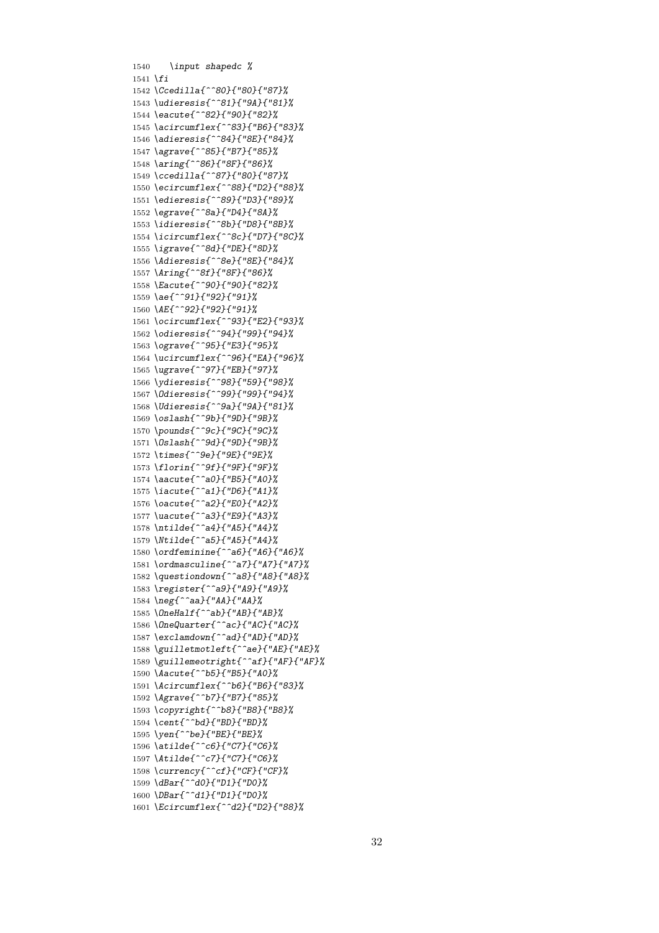*\input shapedc % \fi \Ccedilla{^^80}{"80}{"87}% \udieresis{^^81}{"9A}{"81}% \eacute{^^82}{"90}{"82}% \acircumflex{^^83}{"B6}{"83}% \adieresis{^^84}{"8E}{"84}% \agrave{^^85}{"B7}{"85}% \aring{^^86}{"8F}{"86}% \ccedilla{^^87}{"80}{"87}% \ecircumflex{^^88}{"D2}{"88}% \edieresis{^^89}{"D3}{"89}% \egrave{^^8a}{"D4}{"8A}% \idieresis{^^8b}{"D8}{"8B}% \icircumflex{^^8c}{"D7}{"8C}% \igrave{^^8d}{"DE}{"8D}% \Adieresis{^^8e}{"8E}{"84}% \Aring{^^8f}{"8F}{"86}% \Eacute{^^90}{"90}{"82}% \ae{^^91}{"92}{"91}% \AE{^^92}{"92}{"91}% \ocircumflex{^^93}{"E2}{"93}% \odieresis{^^94}{"99}{"94}% \ograve{^^95}{"E3}{"95}% \ucircumflex{^^96}{"EA}{"96}% \ugrave{^^97}{"EB}{"97}% \ydieresis{^^98}{"59}{"98}% \Odieresis{^^99}{"99}{"94}% \Udieresis{^^9a}{"9A}{"81}% \oslash{^^9b}{"9D}{"9B}% \pounds{^^9c}{"9C}{"9C}% \Oslash{^^9d}{"9D}{"9B}% \times{^^9e}{"9E}{"9E}% \florin{^^9f}{"9F}{"9F}% \aacute{^^a0}{"B5}{"A0}% \iacute{^^a1}{"D6}{"A1}% \oacute{^^a2}{"E0}{"A2}% \uacute{^^a3}{"E9}{"A3}% \ntilde{^^a4}{"A5}{"A4}% \Ntilde{^^a5}{"A5}{"A4}% \ordfeminine{^^a6}{"A6}{"A6}% \ordmasculine{^^a7}{"A7}{"A7}% \questiondown{^^a8}{"A8}{"A8}% \register{^^a9}{"A9}{"A9}% \neg{^^aa}{"AA}{"AA}% \OneHalf{^^ab}{"AB}{"AB}% \OneQuarter{^^ac}{"AC}{"AC}% \exclamdown{^^ad}{"AD}{"AD}% \guilletmotleft{^^ae}{"AE}{"AE}% \guillemeotright{^^af}{"AF}{"AF}% \Aacute{^^b5}{"B5}{"A0}% \Acircumflex{^^b6}{"B6}{"83}% \Agrave{^^b7}{"B7}{"85}% \copyright{^^b8}{"B8}{"B8}% \cent{^^bd}{"BD}{"BD}% \yen{^^be}{"BE}{"BE}% \atilde{^^c6}{"C7}{"C6}% \Atilde{^^c7}{"C7}{"C6}% \currency{^^cf}{"CF}{"CF}% \dBar{^^d0}{"D1}{"D0}% \DBar{^^d1}{"D1}{"D0}% \Ecircumflex{^^d2}{"D2}{"88}%*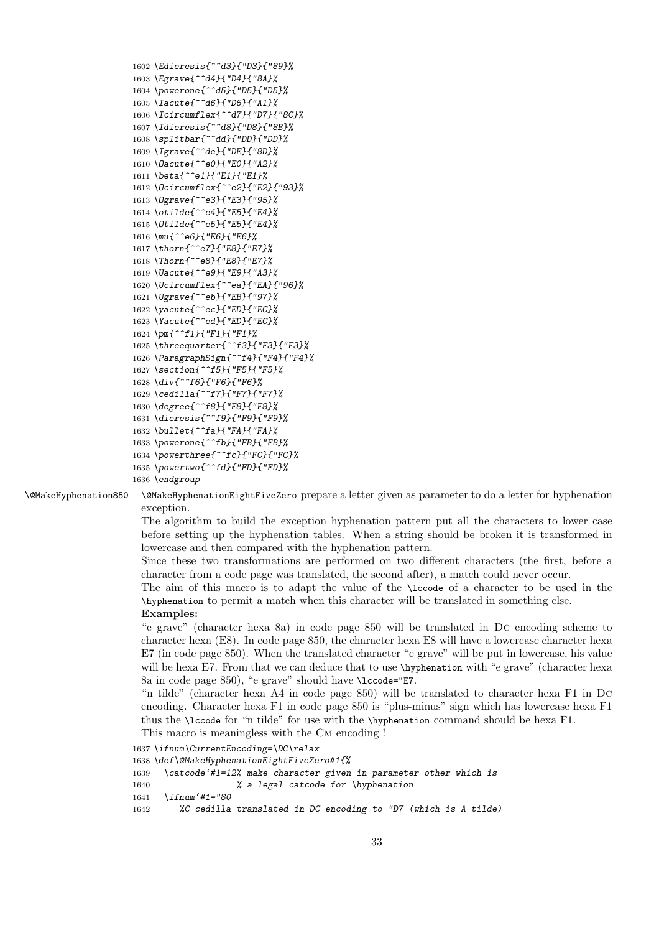```
1602 \Edieresis{^^d3}{"D3}{"89}%
1603 \Egrave{^^d4}{"D4}{"8A}%
1604 \powerone{^^d5}{"D5}{"D5}%
1605 \Iacute{^^d6}{"D6}{"A1}%
1606 \Icircumflex{^^d7}{"D7}{"8C}%
1607 \Idieresis{^^d8}{"D8}{"8B}%
1608 \splitbar{^^dd}{"DD}{"DD}%
1609 \Igrave{^^de}{"DE}{"8D}%
1610 \Oacute{^^e0}{"E0}{"A2}%
1611 \beta{^^e1}{"E1}{"E1}%
1612 \Ocircumflex{^^e2}{"E2}{"93}%
1613 \Ograve{^^e3}{"E3}{"95}%
1614 \otilde{^^e4}{"E5}{"E4}%
1615 \Otilde{^^e5}{"E5}{"E4}%
1616 \mu{^^e6}{"E6}{"E6}%
1617 \thorn{^^e7}{"E8}{"E7}%
1618 \Thorn{^^e8}{"E8}{"E7}%
1619 \Uacute{^^e9}{"E9}{"A3}%
1620 \Ucircumflex{^^ea}{"EA}{"96}%
1621 \Ugrave{^^eb}{"EB}{"97}%
1622 \yacute{^^ec}{"ED}{"EC}%
1623 \Yacute{^^ed}{"ED}{"EC}%
1624 \pm{^^f1}{"F1}{"F1}%
1625 \threequarter{^^f3}{"F3}{"F3}%
1626 \ParagraphSign{^^f4}{"F4}{"F4}%
1627 \section{^^f5}{"F5}{"F5}%
1628 \div{^^f6}{"F6}{"F6}%
1629 \cedilla{^^f7}{"F7}{"F7}%
1630 \degree{^^f8}{"F8}{"F8}%
1631 \dieresis{^^f9}{"F9}{"F9}%
1632 \bullet{^^fa}{"FA}{"FA}%
1633 \powerone{^^fb}{"FB}{"FB}%
1634 \powerthree{^^fc}{"FC}{"FC}%
1635 \powertwo{^^fd}{"FD}{"FD}%
1636 \endgroup
```
\@MakeHyphenation850 \@MakeHyphenationEightFiveZero prepare a letter given as parameter to do a letter for hyphenation exception.

> The algorithm to build the exception hyphenation pattern put all the characters to lower case before setting up the hyphenation tables. When a string should be broken it is transformed in lowercase and then compared with the hyphenation pattern.

> Since these two transformations are performed on two different characters (the first, before a character from a code page was translated, the second after), a match could never occur.

> The aim of this macro is to adapt the value of the \lccode of a character to be used in the \hyphenation to permit a match when this character will be translated in something else.

#### **Examples:**

"e grave" (character hexa 8a) in code page 850 will be translated in Dc encoding scheme to character hexa (E8). In code page 850, the character hexa E8 will have a lowercase character hexa E7 (in code page 850). When the translated character "e grave" will be put in lowercase, his value will be hexa E7. From that we can deduce that to use \hyphenation with "e grave" (character hexa 8a in code page 850), "e grave" should have \lccode="E7.

"n tilde" (character hexa A4 in code page 850) will be translated to character hexa F1 in Dc encoding. Character hexa F1 in code page 850 is "plus-minus" sign which has lowercase hexa F1 thus the \lccode for "n tilde" for use with the \hyphenation command should be hexa F1.

```
This macro is meaningless with the CM encoding !
```

```
1637 \ifnum\CurrentEncoding=\DC\relax
1638 \def\@MakeHyphenationEightFiveZero#1{%
1639 \catcode'#1=12% make character given in parameter other which is
1640 % a legal catcode for \hyphenation
1641 \ifnum'#1="80
1642 %C cedilla translated in DC encoding to "D7 (which is A tilde)
```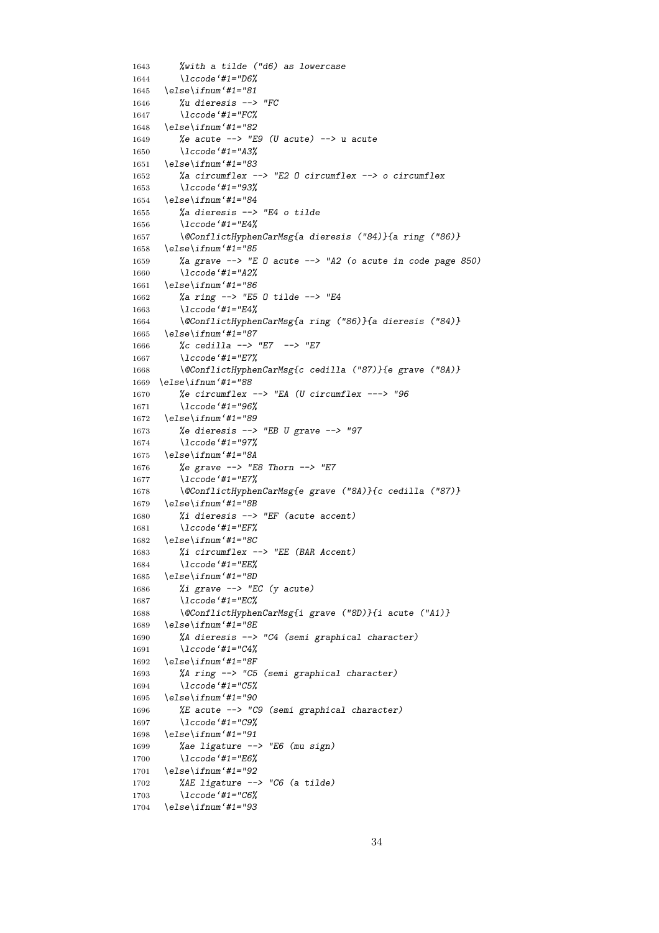```
1643 %with a tilde ("d6) as lowercase
1644 \lccode'#1="D6%
1645 \else\ifnum'#1="81
1646 %u dieresis --> "FC
1647 \lccode'#1="FC%
1648 \else\ifnum'#1="82
1649 %e acute --> "E9 (U acute) --> u acute
1650 \lccode'#1="A3%
1651 \else\ifnum'#1="83
1652 %a circumflex --> "E2 O circumflex --> o circumflex
1653 \lccode'#1="93%
1654 \else\ifnum'#1="84
1655 %a dieresis --> "E4 o tilde
1656 \lccode'#1="E4%
1657 \@ConflictHyphenCarMsg{a dieresis ("84)}{a ring ("86)}
1658 \else\ifnum'#1="85
1659 %a grave --> "E O acute --> "A2 (o acute in code page 850)
1660 \lccode'#1="A2%
1661 \else\ifnum'#1="86
1662 %a ring --> "E5 O tilde --> "E4
1663 \lccode'#1="E4%
1664 \@ConflictHyphenCarMsg{a ring ("86)}{a dieresis ("84)}
1665 \else\ifnum'#1="87
1666 %c cedilla --> "E7 --> "E7
1667 \lccode'#1="E7%
1668 \@ConflictHyphenCarMsg{c cedilla ("87)}{e grave ("8A)}
1669 \else\ifnum'#1="88
1670 %e circumflex --> "EA (U circumflex ---> "96
1671 \lccode'#1="96%
1672 \else\ifnum'#1="89
1673 %e dieresis --> "EB U grave --> "97
1674 \lccode'#1="97%
1675 \else\ifnum'#1="8A
1676 %e grave --> "E8 Thorn --> "E7
1677 \lccode'#1="E7%
1678 \@ConflictHyphenCarMsg{e grave ("8A)}{c cedilla ("87)}
1679 \else\ifnum'#1="8B
1680 %i dieresis --> "EF (acute accent)
1681 \lccode'#1="EF%
1682 \else\ifnum'#1="8C
1683 %i circumflex --> "EE (BAR Accent)
1684 \lccode'#1="EE%
1685 \else\ifnum'#1="8D
1686 %i grave --> "EC (y acute)
1687 \lccode'#1="EC%
1688 \@ConflictHyphenCarMsg{i grave ("8D)}{i acute ("A1)}
1689 \else\ifnum'#1="8E
1690 %A dieresis --> "C4 (semi graphical character)
1691 \lccode'#1="C4%
1692 \else\ifnum'#1="8F
1693 %A ring --> "C5 (semi graphical character)
1694 \lccode'#1="C5%
1695 \else\ifnum'#1="90
1696 %E acute --> "C9 (semi graphical character)
1697 \lccode'#1="C9%
1698 \else\ifnum'#1="91
1699 %ae ligature --> "E6 (mu sign)
1700 \lccode'#1="E6%
1701 \else\ifnum'#1="92
1702 %AE ligature --> "C6 (a tilde)
1703 \lccode'#1="C6%
1704 \else\ifnum'#1="93
```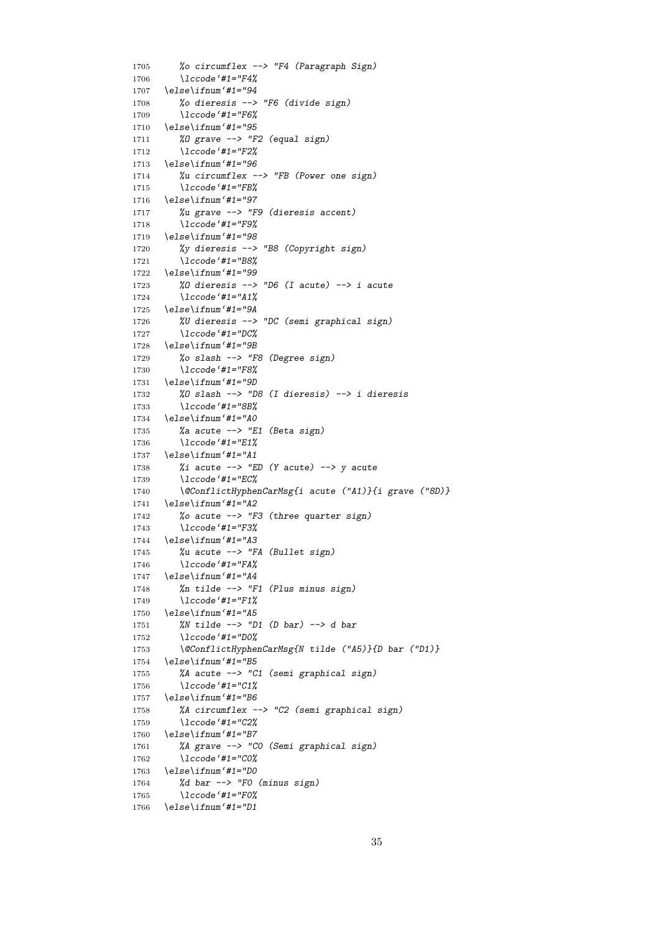```
1705 %o circumflex --> "F4 (Paragraph Sign)
1706 \lccode'#1="F4%
1707 \else\ifnum'#1="94
1708 %o dieresis --> "F6 (divide sign)
1709 \lccode'#1="F6%
1710 \else\ifnum'#1="95
1711 %O grave --> "F2 (equal sign)
1712 \lccode'#1="F2%
1713 \else\ifnum'#1="96
1714 %u circumflex --> "FB (Power one sign)
1715 \lccode'#1="FB%
1716 \else\ifnum'#1="97
1717 %u grave --> "F9 (dieresis accent)
1718 \lccode'#1="F9%
1719 \else\ifnum'#1="98
1720 %y dieresis --> "B8 (Copyright sign)
1721 \lccode'#1="B8%
1722 \else\ifnum'#1="99
1723 %O dieresis --> "D6 (I acute) --> i acute
1724 \lccode'#1="A1%
1725 \else\ifnum'#1="9A
1726 %U dieresis --> "DC (semi graphical sign)
1727 \lccode'#1="DC%
1728 \else\ifnum'#1="9B
1729 %o slash --> "F8 (Degree sign)
1730 \lccode'#1="F8%
1731 \else\ifnum'#1="9D
1732 %O slash --> "D8 (I dieresis) --> i dieresis
1733 \lccode'#1="8B%
1734 \else\ifnum'#1="A0
1735 %a acute --> "E1 (Beta sign)
1736 \lccode'#1="E1%
1737 \else\ifnum'#1="A1
1738 %i acute --> "ED (Y acute) --> y acute
1739 \lccode'#1="EC%
1740 \@ConflictHyphenCarMsg{i acute ("A1)}{i grave ("8D)}
1741 \else\ifnum'#1="A2
1742 %o acute --> "F3 (three quarter sign)
1743 \lccode'#1="F3%
1744 \else\ifnum'#1="A3
1745 %u acute --> "FA (Bullet sign)
1746 \lccode'#1="FA%
1747 \else\ifnum'#1="A4
1748 %n tilde --> "F1 (Plus minus sign)
1749 \lccode'#1="F1%
1750 \else\ifnum'#1="A5
1751 %N tilde --> "D1 (D bar) --> d bar
1752 \lccode'#1="D0%
1753 \@ConflictHyphenCarMsg{N tilde ("A5)}{D bar ("D1)}
1754 \else\ifnum'#1="B5
1755 %A acute --> "C1 (semi graphical sign)
1756 \lccode'#1="C1%
1757 \else\ifnum'#1="B6
1758 %A circumflex --> "C2 (semi graphical sign)
1759 \lccode'#1="C2%
1760 \else\ifnum'#1="B7
1761 %A grave --> "C0 (Semi graphical sign)
1762 \lccode'#1="C0%
1763 \else\ifnum'#1="D0
1764 %d bar --> "F0 (minus sign)
1765 \lccode'#1="F0%
1766 \else\ifnum'#1="D1
```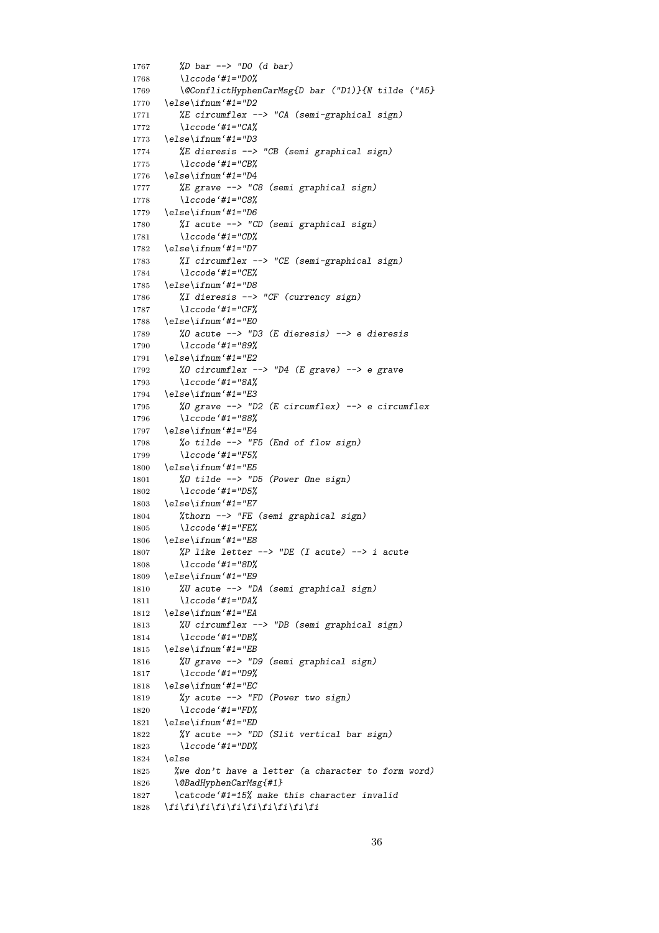```
1767 %D bar --> "D0 (d bar)
1768 \lccode'#1="D0%
1769 \@ConflictHyphenCarMsg{D bar ("D1)}{N tilde ("A5}
1770 \else\ifnum'#1="D2
1771 %E circumflex --> "CA (semi-graphical sign)
1772 \lccode'#1="CA%
1773 \else\ifnum'#1="D3
1774 %E dieresis --> "CB (semi graphical sign)
1775 \lccode'#1="CB%
1776 \else\ifnum'#1="D4
1777 %E grave --> "C8 (semi graphical sign)
1778 \lccode'#1="C8%
1779 \else\ifnum'#1="D6
1780 %I acute --> "CD (semi graphical sign)
1781 \lccode'#1="CD%
1782 \else\ifnum'#1="D7
1783 %I circumflex --> "CE (semi-graphical sign)
1784 \lccode'#1="CE%
1785 \else\ifnum'#1="D8
1786 %I dieresis --> "CF (currency sign)
1787 \lccode'#1="CF%
1788 \else\ifnum'#1="E0
1789 %O acute --> "D3 (E dieresis) --> e dieresis
1790 \lccode'#1="89%
1791 \else\ifnum'#1="E2
1792 %O circumflex --> "D4 (E grave) --> e grave
1793 \lccode'#1="8A%
1794 \else\ifnum'#1="E3
1795 %O grave --> "D2 (E circumflex) --> e circumflex
1796 \lccode'#1="88%
1797 \else\ifnum'#1="E4
1798 %o tilde --> "F5 (End of flow sign)
1799 \lccode'#1="F5%
1800 \else\ifnum'#1="E5
1801 %O tilde --> "D5 (Power One sign)
1802 \lccode'#1="D5%
1803 \else\ifnum'#1="E7
1804 %thorn --> "FE (semi graphical sign)
1805 \lccode'#1="FE%
1806 \else\ifnum'#1="E8
1807 %P like letter --> "DE (I acute) --> i acute
1808 \lccode'#1="8D%
1809 \else\ifnum'#1="E9
1810 %U acute --> "DA (semi graphical sign)
1811 \lccode'#1="DA%
1812 \else\ifnum'#1="EA
1813 %U circumflex --> "DB (semi graphical sign)
1814 \lccode'#1="DB%
1815 \else\ifnum'#1="EB
1816 %U grave --> "D9 (semi graphical sign)
1817 \lccode'#1="D9%
1818 \else\ifnum'#1="EC
1819 %y acute --> "FD (Power two sign)
1820 \lccode'#1="FD%
1821 \else\ifnum'#1="ED
1822 %Y acute --> "DD (Slit vertical bar sign)
1823 \lccode'#1="DD%
1824 \else
1825 %we don't have a letter (a character to form word)
1826 \@BadHyphenCarMsg{#1}
1827 \catcode'#1=15% make this character invalid
1828 \fi\fi\fi\fi\fi\fi\fi\fi\fi\fi
```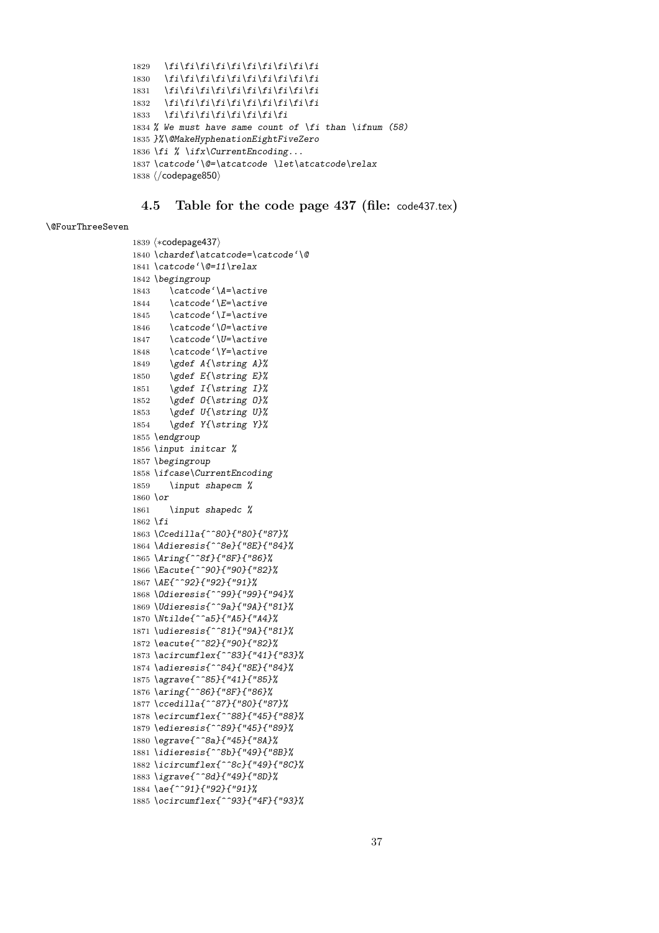```
1829 \fi\fi\fi\fi\fi\fi\fi\fi\fi\fi
1830 \fi\fi\fi\fi\fi\fi\fi\fi\fi\fi
1831 \fi\fi\fi\fi\fi\fi\fi\fi\fi\fi
1832 \fi\fi\fi\fi\fi\fi\fi\fi\fi\fi
1833 \fi\fi\fi\fi\fi\fi\fi\fi
1834 % We must have same count of \fi than \ifnum (58)
1835 }%\@MakeHyphenationEightFiveZero
1836 \fi % \ifx\CurrentEncoding...
1837 \catcode'\@=\atcatcode \let\atcatcode\relax
1838 \langle/codepage850\rangle
```
### **4.5 Table for the code page 437 (file:** code437.tex**)**

#### \@FourThreeSeven

```
1839 \; \langle *codepage{437} \rangle1840 \chardef\atcatcode=\catcode'\@
1841 \catcode'\@=11\relax
1842 \begingroup
1843 \catcode'\A=\active
1844 \catcode'\E=\active
1845 \catcode'\I=\active
1846 \catcode'\O=\active
1847 \catcode'\U=\active
1848 \catcode'\Y=\active
1849 \gdef A{\string A}%
1850 \gdef E{\string E}%
1851 \gdef I{\string I}%
1852 \gdef O{\string O}%
1853 \gdef U{\string U}%
1854 \gdef Y{\string Y}%
1855 \endgroup
1856 \input initcar %
1857 \begingroup
1858 \ifcase\CurrentEncoding
1859 \input shapecm %
1860 \or
1861 \input shapedc %
1862 \fi
1863 \Ccedilla{^^80}{"80}{"87}%
1864 \Adieresis{^^8e}{"8E}{"84}%
1865 \Aring{^^8f}{"8F}{"86}%
1866 \Eacute{^^90}{"90}{"82}%
1867 \AE{^^92}{"92}{"91}%
1868 \Odieresis{^^99}{"99}{"94}%
1869 \Udieresis{^^9a}{"9A}{"81}%
1870 \Ntilde{^^a5}{"A5}{"A4}%
1871 \udieresis{^^81}{"9A}{"81}%
1872 \eacute{^^82}{"90}{"82}%
1873 \acircumflex{^^83}{"41}{"83}%
1874 \adieresis{^^84}{"8E}{"84}%
1875 \agrave{^^85}{"41}{"85}%
1876 \aring{^^86}{"8F}{"86}%
1877 \ccedilla{^^87}{"80}{"87}%
1878 \ecircumflex{^^88}{"45}{"88}%
1879 \edieresis{^^89}{"45}{"89}%
1880 \egrave{^^8a}{"45}{"8A}%
1881 \idieresis{^^8b}{"49}{"8B}%
1882 \icircumflex{^^8c}{"49}{"8C}%
1883 \igrave{^^8d}{"49}{"8D}%
1884 \ae{^^91}{"92}{"91}%
1885 \ocircumflex{^^93}{"4F}{"93}%
```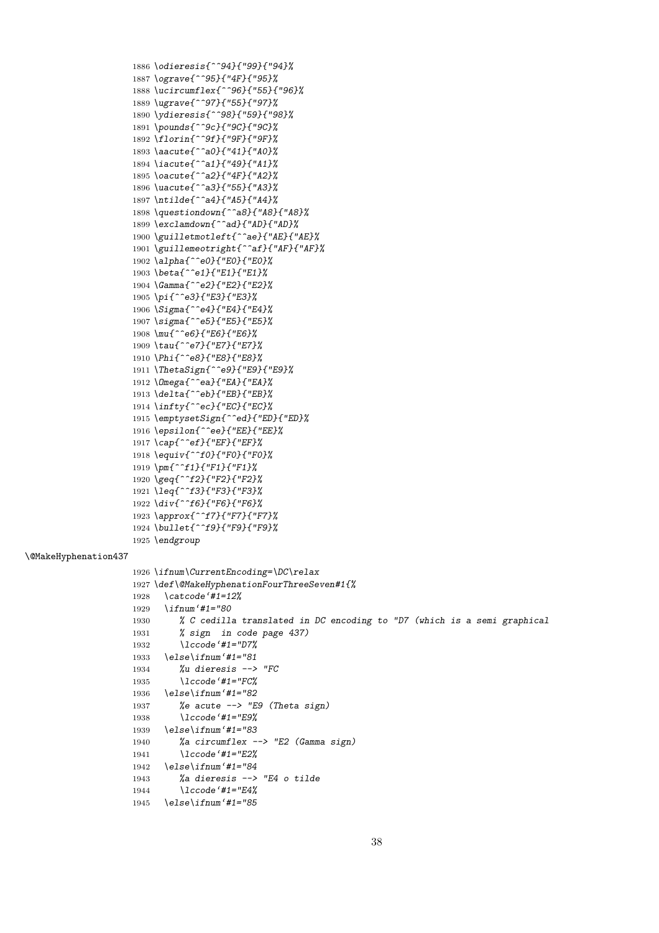```
1912 \Omega{^^ea}{"EA}{"EA}%
1913 \delta{^^eb}{"EB}{"EB}%
1914 \infty{^^ec}{"EC}{"EC}%
1915 \emptysetSign{^^ed}{"ED}{"ED}%
1916 \epsilon{^^ee}{"EE}{"EE}%
1917 \cap{^^ef}{"EF}{"EF}%
1918 \equiv{^^f0}{"F0}{"F0}%
1919 \pm{^^f1}{"F1}{"F1}%
1920 \geq{^^f2}{"F2}{"F2}%
1921 \leq{^^f3}{"F3}{"F3}%
1922 \div{^^f6}{"F6}{"F6}%
1923 \approx{^^f7}{"F7}{"F7}%
1924 \bullet{^^f9}{"F9}{"F9}%
1925 \endgroup
1926 \ifnum\CurrentEncoding=\DC\relax
1927 \def\@MakeHyphenationFourThreeSeven#1{%
1928 \catcode'#1=12%
1929 \ifnum'#1="80
1930 % C cedilla translated in DC encoding to "D7 (which is a semi graphical
1931 % sign in code page 437)
1932 \lccode'#1="D7%
1933 \else\ifnum'#1="81
1934 %u dieresis --> "FC
1935 \lccode'#1="FC%
1936 \else\ifnum'#1="82
1937 %e acute --> "E9 (Theta sign)
1938 \lccode'#1="E9%
1939 \else\ifnum'#1="83
1940 %a circumflex --> "E2 (Gamma sign)
1941 \lccode'#1="E2%
1942 \else\ifnum'#1="84
1943 %a dieresis --> "E4 o tilde
1944 \lccode'#1="E4%
1945 \else\ifnum'#1="85
```
#### \@MakeHyphenation437

 *\odieresis{^^94}{"99}{"94}% \ograve{^^95}{"4F}{"95}% \ucircumflex{^^96}{"55}{"96}% \ugrave{^^97}{"55}{"97}% \ydieresis{^^98}{"59}{"98}% \pounds{^^9c}{"9C}{"9C}% \florin{^^9f}{"9F}{"9F}% \aacute{^^a0}{"41}{"A0}% \iacute{^^a1}{"49}{"A1}% \oacute{^^a2}{"4F}{"A2}% \uacute{^^a3}{"55}{"A3}% \ntilde{^^a4}{"A5}{"A4}% \questiondown{^^a8}{"A8}{"A8}% \exclamdown{^^ad}{"AD}{"AD}% \guilletmotleft{^^ae}{"AE}{"AE}% \guillemeotright{^^af}{"AF}{"AF}%*

 *\alpha{^^e0}{"E0}{"E0}% \beta{^^e1}{"E1}{"E1}% \Gamma{^^e2}{"E2}{"E2}% \pi{^^e3}{"E3}{"E3}% \Sigma{^^e4}{"E4}{"E4}% \sigma{^^e5}{"E5}{"E5}% \mu{^^e6}{"E6}{"E6}% \tau{^^e7}{"E7}{"E7}% \Phi{^^e8}{"E8}{"E8}% \ThetaSign{^^e9}{"E9}{"E9}%*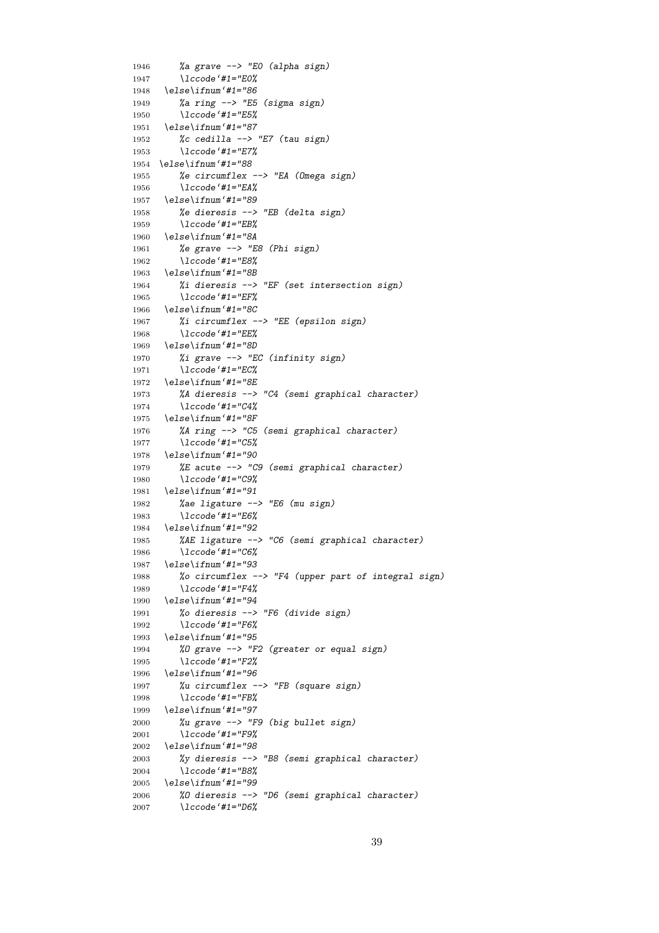```
1946 %a grave --> "E0 (alpha sign)
1947 \lccode'#1="E0%
1948 \else\ifnum'#1="86
1949 %a ring --> "E5 (sigma sign)
1950 \lccode'#1="E5%
1951 \else\ifnum'#1="87
1952 %c cedilla --> "E7 (tau sign)
1953 \lccode'#1="E7%
1954 \else\ifnum'#1="88
1955 %e circumflex --> "EA (Omega sign)
1956 \lccode'#1="EA%
1957 \else\ifnum'#1="89
1958 %e dieresis --> "EB (delta sign)
1959 \lccode'#1="EB%
1960 \else\ifnum'#1="8A
1961 %e grave --> "E8 (Phi sign)
1962 \lccode'#1="E8%
1963 \else\ifnum'#1="8B
1964 %i dieresis --> "EF (set intersection sign)
1965 \lccode'#1="EF%
1966 \else\ifnum'#1="8C
1967 %i circumflex --> "EE (epsilon sign)
1968 \lccode'#1="EE%
1969 \else\ifnum'#1="8D
1970 %i grave --> "EC (infinity sign)
1971 \lccode'#1="EC%
1972 \else\ifnum'#1="8E
1973 %A dieresis --> "C4 (semi graphical character)
1974 \lccode'#1="C4%
1975 \else\ifnum'#1="8F
1976 %A ring --> "C5 (semi graphical character)
1977 \lccode'#1="C5%
1978 \else\ifnum'#1="90
1979 %E acute --> "C9 (semi graphical character)
1980 \lccode'#1="C9%
1981 \else\ifnum'#1="91
1982 %ae ligature --> "E6 (mu sign)
1983 \lccode'#1="E6%
1984 \else\ifnum'#1="92
1985 %AE ligature --> "C6 (semi graphical character)
1986 \lccode'#1="C6%
1987 \else\ifnum'#1="93
1988 %o circumflex --> "F4 (upper part of integral sign)
1989 \lccode'#1="F4%
1990 \else\ifnum'#1="94
1991 %o dieresis --> "F6 (divide sign)
1992 \lccode'#1="F6%
1993 \else\ifnum'#1="95
1994 %O grave --> "F2 (greater or equal sign)
1995 \lccode'#1="F2%
1996 \else\ifnum'#1="96
1997 %u circumflex --> "FB (square sign)
1998 \lccode'#1="FB%
1999 \else\ifnum'#1="97
2000 %u grave --> "F9 (big bullet sign)
2001 \lccode'#1="F9%
2002 \else\ifnum'#1="98
2003 %y dieresis --> "B8 (semi graphical character)
2004 \lccode'#1="B8%
2005 \else\ifnum'#1="99
2006 %O dieresis --> "D6 (semi graphical character)
2007 \lccode'#1="D6%
```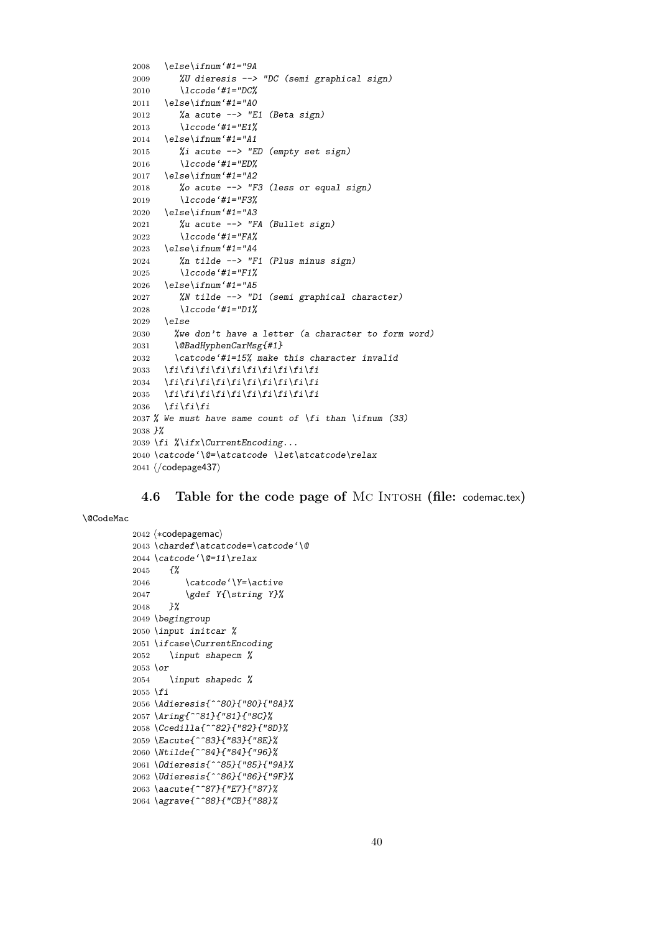```
2008 \else\ifnum'#1="9A
2009 %U dieresis --> "DC (semi graphical sign)
2010 \lccode'#1="DC%
2011 \else\ifnum'#1="A0
2012 %a acute --> "E1 (Beta sign)
2013 \lccode'#1="E1%
2014 \else\ifnum'#1="A1
2015 %i acute --> "ED (empty set sign)
2016 \lccode'#1="ED%
2017 \else\ifnum'#1="A2
2018 %o acute --> "F3 (less or equal sign)
2019 \lccode'#1="F3%
2020 \else\ifnum'#1="A3
2021 %u acute --> "FA (Bullet sign)
2022 \lccode'#1="FA%
2023 \else\ifnum'#1="A4
2024 %n tilde --> "F1 (Plus minus sign)
2025 \lccode'#1="F1%
2026 \else\ifnum'#1="A5
2027 %N tilde --> "D1 (semi graphical character)
2028 \lccode'#1="D1%
2029 \else
2030 %we don't have a letter (a character to form word)
2031 \@BadHyphenCarMsg{#1}
2032 \catcode'#1=15% make this character invalid
2033 \fi\fi\fi\fi\fi\fi\fi\fi\fi\fi
2034 \fi\fi\fi\fi\fi\fi\fi\fi\fi\fi
2035 \fi\fi\fi\fi\fi\fi\fi\fi\fi\fi
2036 \fi\fi\fi
2037 % We must have same count of \fi than \ifnum (33)
2038 }%
2039 \fi %\ifx\CurrentEncoding...
2040 \catcode'\@=\atcatcode \let\atcatcode\relax
2041 \langle/codepage437\rangle
```
## **4.6 Table for the code page of** Mc Intosh **(file:** codemac.tex**)**

#### \@CodeMac

```
_{2042} \langle *{\rm code}pagemac\rangle2043 \chardef\atcatcode=\catcode'\@
2044 \catcode'\@=11\relax
2045 {%
2046 \catcode'\Y=\active
2047 \gdef Y{\string Y}%
2048 }%
2049 \begingroup
2050 \input initcar %
2051 \ifcase\CurrentEncoding
2052 \input shapecm %
2053 \or
2054 \input shapedc %
2055 \fi
2056 \Adieresis{^^80}{"80}{"8A}%
2057 \Aring{^^81}{"81}{"8C}%
2058 \Ccedilla{^^82}{"82}{"8D}%
2059 \Eacute{^^83}{"83}{"8E}%
2060 \Ntilde{^^84}{"84}{"96}%
2061 \Odieresis{^^85}{"85}{"9A}%
2062 \Udieresis{^^86}{"86}{"9F}%
2063 \aacute{^^87}{"E7}{"87}%
2064 \agrave{^^88}{"CB}{"88}%
```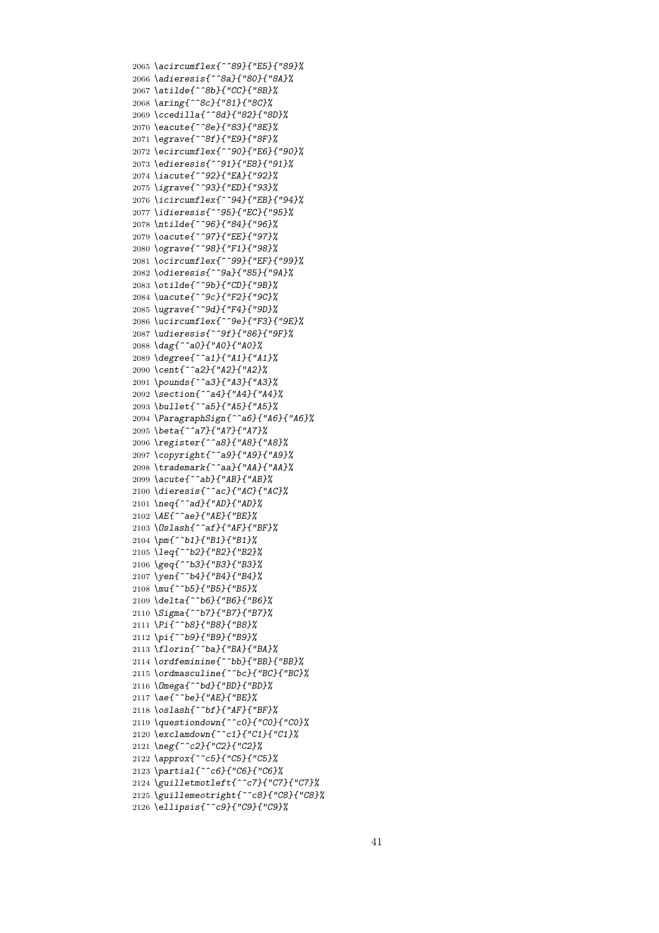*\acircumflex{^^89}{"E5}{"89}% \adieresis{^^8a}{"80}{"8A}% \atilde{^^8b}{"CC}{"8B}% \aring{^^8c}{"81}{"8C}% \ccedilla{^^8d}{"82}{"8D}% \eacute{^^8e}{"83}{"8E}% \egrave{^^8f}{"E9}{"8F}% \ecircumflex{^^90}{"E6}{"90}% \edieresis{^^91}{"E8}{"91}% \iacute{^^92}{"EA}{"92}% \igrave{^^93}{"ED}{"93}% \icircumflex{^^94}{"EB}{"94}% \idieresis{^^95}{"EC}{"95}% \ntilde{^^96}{"84}{"96}% \oacute{^^97}{"EE}{"97}% \ograve{^^98}{"F1}{"98}% \ocircumflex{^^99}{"EF}{"99}% \odieresis{^^9a}{"85}{"9A}% \otilde{^^9b}{"CD}{"9B}% \uacute{^^9c}{"F2}{"9C}% \ugrave{^^9d}{"F4}{"9D}% \ucircumflex{^^9e}{"F3}{"9E}% \udieresis{^^9f}{"86}{"9F}% \dag{^^a0}{"A0}{"A0}% \degree{^^a1}{"A1}{"A1}% \cent{^^a2}{"A2}{"A2}% \pounds{^^a3}{"A3}{"A3}% \section{^^a4}{"A4}{"A4}% \bullet{^^a5}{"A5}{"A5}% \ParagraphSign{^^a6}{"A6}{"A6}% \beta{^^a7}{"A7}{"A7}% \register{^^a8}{"A8}{"A8}% \copyright{^^a9}{"A9}{"A9}% \trademark{^^aa}{"AA}{"AA}% \acute{^^ab}{"AB}{"AB}% \dieresis{^^ac}{"AC}{"AC}% \neq{^^ad}{"AD}{"AD}% \AE{^^ae}{"AE}{"BE}% \Oslash{^^af}{"AF}{"BF}% \pm{^^b1}{"B1}{"B1}% \leq{^^b2}{"B2}{"B2}% \geq{^^b3}{"B3}{"B3}% \yen{^^b4}{"B4}{"B4}% \mu{^^b5}{"B5}{"B5}% \delta{^^b6}{"B6}{"B6}% \Sigma{^^b7}{"B7}{"B7}% \Pi{^^b8}{"B8}{"B8}% \pi{^^b9}{"B9}{"B9}% \florin{^^ba}{"BA}{"BA}% \ordfeminine{^^bb}{"BB}{"BB}% \ordmasculine{^^bc}{"BC}{"BC}% \Omega{^^bd}{"BD}{"BD}% \ae{^^be}{"AE}{"BE}% \oslash{^^bf}{"AF}{"BF}% \questiondown{^^c0}{"C0}{"C0}% \exclamdown{^^c1}{"C1}{"C1}% \neg{^^c2}{"C2}{"C2}% \approx{^^c5}{"C5}{"C5}% \partial{^^c6}{"C6}{"C6}% \guilletmotleft{^^c7}{"C7}{"C7}% \guillemeotright{^^c8}{"C8}{"C8}% \ellipsis{^^c9}{"C9}{"C9}%*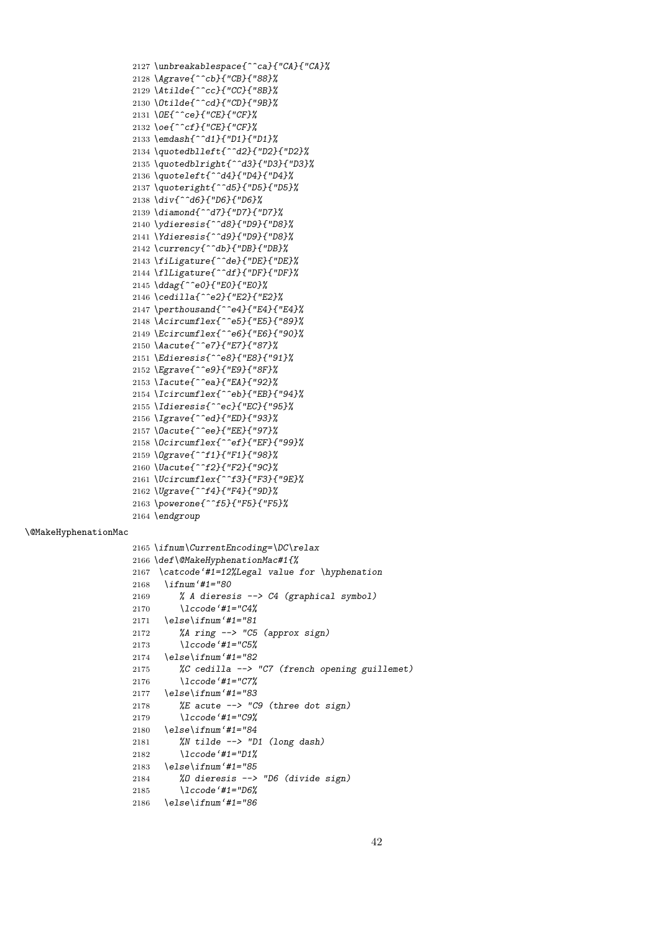```
2127 \unbreakablespace{^^ca}{"CA}{"CA}%
2128 \Agrave{^^cb}{"CB}{"88}%
2129 \Atilde{^^cc}{"CC}{"8B}%
2130 \Otilde{^^cd}{"CD}{"9B}%
2131 \OE{^^ce}{"CE}{"CF}%
2132 \oe{^^cf}{"CE}{"CF}%
2133 \emdash{^^d1}{"D1}{"D1}%
2134 \quotedblleft{^^d2}{"D2}{"D2}%
2135 \quotedblright{^^d3}{"D3}{"D3}%
2136 \quoteleft{^^d4}{"D4}{"D4}%
2137 \quoteright{^^d5}{"D5}{"D5}%
2138 \div{^^d6}{"D6}{"D6}%
2139 \diamond{^^d7}{"D7}{"D7}%
2140 \ydieresis{^^d8}{"D9}{"D8}%
2141 \Ydieresis{^^d9}{"D9}{"D8}%
2142 \currency{^^db}{"DB}{"DB}%
2143 \fiLigature{^^de}{"DE}{"DE}%
2144 \flLigature{^^df}{"DF}{"DF}%
2145 \ddag{^^e0}{"E0}{"E0}%
2146 \cedilla{^^e2}{"E2}{"E2}%
2147 \perthousand{^^e4}{"E4}{"E4}%
2148 \Acircumflex{^^e5}{"E5}{"89}%
2149 \Ecircumflex{^^e6}{"E6}{"90}%
2150 \Aacute{^^e7}{"E7}{"87}%
2151 \Edieresis{^^e8}{"E8}{"91}%
2152 \Egrave{^^e9}{"E9}{"8F}%
2153 \Iacute{^^ea}{"EA}{"92}%
2154 \Icircumflex{^^eb}{"EB}{"94}%
2155 \Idieresis{^^ec}{"EC}{"95}%
2156 \Igrave{^^ed}{"ED}{"93}%
2157 \Oacute{^^ee}{"EE}{"97}%
2158 \Ocircumflex{^^ef}{"EF}{"99}%
2159 \Ograve{^^f1}{"F1}{"98}%
2160 \Uacute{^^f2}{"F2}{"9C}%
2161 \Ucircumflex{^^f3}{"F3}{"9E}%
2162 \Ugrave{^^f4}{"F4}{"9D}%
2163 \powerone{^^f5}{"F5}{"F5}%
2164 \endgroup
```
#### \@MakeHyphenationMac

```
2165 \ifnum\CurrentEncoding=\DC\relax
2166 \def\@MakeHyphenationMac#1{%
2167 \catcode'#1=12%Legal value for \hyphenation
2168 \ifnum'#1="80
2169 % A dieresis --> C4 (graphical symbol)
2170 \lccode'#1="C4%
2171 \else\ifnum'#1="81
2172 %A ring --> "C5 (approx sign)
2173 \lccode'#1="C5%
2174 \else\ifnum'#1="82
2175 %C cedilla --> "C7 (french opening guillemet)
2176 \lccode'#1="C7%
2177 \else\ifnum'#1="83
2178 %E acute --> "C9 (three dot sign)
2179 \lccode'#1="C9%
2180 \else\ifnum'#1="84
2181 %N tilde --> "D1 (long dash)
2182 \lccode'#1="D1%
2183 \else\ifnum'#1="85
2184 %O dieresis --> "D6 (divide sign)
2185 \lccode'#1="D6%
2186 \else\ifnum'#1="86
```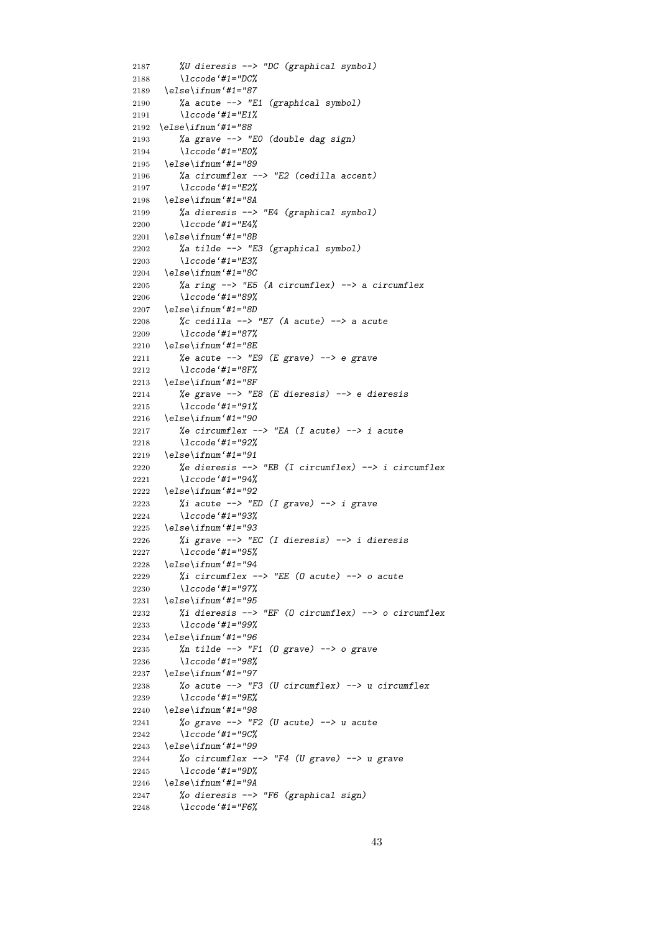```
2187 %U dieresis --> "DC (graphical symbol)
2188 \lccode'#1="DC%
2189 \else\ifnum'#1="87
2190 %a acute --> "E1 (graphical symbol)
2191 \lccode'#1="E1%
2192 \else\ifnum'#1="88
2193 %a grave --> "E0 (double dag sign)
2194 \lccode'#1="E0%
2195 \else\ifnum'#1="89
2196 %a circumflex --> "E2 (cedilla accent)
2197 \lccode'#1="E2%
2198 \else\ifnum'#1="8A
2199 %a dieresis --> "E4 (graphical symbol)
2200 \lccode'#1="E4%
2201 \else\ifnum'#1="8B
2202 %a tilde --> "E3 (graphical symbol)
2203 \lccode'#1="E3%
2204 \else\ifnum'#1="8C
2205 %a ring --> "E5 (A circumflex) --> a circumflex
2206 \lccode'#1="89%
2207 \else\ifnum'#1="8D
2208 %c cedilla --> "E7 (A acute) --> a acute
2209 \lccode'#1="87%
2210 \else\ifnum'#1="8E
2211 %e acute --> "E9 (E grave) --> e grave
2212 \lccode'#1="8F%
2213 \else\ifnum'#1="8F
2214 %e grave --> "E8 (E dieresis) --> e dieresis
2215 \lccode'#1="91%
2216 \else\ifnum'#1="90
2217 %e circumflex --> "EA (I acute) --> i acute
2218 \lccode'#1="92%
2219 \else\ifnum'#1="91
2220 %e dieresis --> "EB (I circumflex) --> i circumflex
2221 \lccode'#1="94%
2222 \else\ifnum'#1="92
2223 %i acute --> "ED (I grave) --> i grave
2224 \lccode'#1="93%
2225 \else\ifnum'#1="93
2226 %i grave --> "EC (I dieresis) --> i dieresis
2227 \lccode'#1="95%
2228 \else\ifnum'#1="94
2229 %i circumflex --> "EE (O acute) --> o acute
2230 \lccode'#1="97%
2231 \else\ifnum'#1="95
2232 %i dieresis --> "EF (O circumflex) --> o circumflex
2233 \lccode'#1="99%
2234 \else\ifnum'#1="96
2235 %n tilde --> "F1 (O grave) --> o grave
2236 \lccode'#1="98%
2237 \else\ifnum'#1="97
2238 %o acute --> "F3 (U circumflex) --> u circumflex
2239 \lccode'#1="9E%
2240 \else\ifnum'#1="98
2241 %o grave --> "F2 (U acute) --> u acute
2242 \lccode'#1="9C%
2243 \else\ifnum'#1="99
2244 %o circumflex --> "F4 (U grave) --> u grave
2245 \lccode'#1="9D%
2246 \else\ifnum'#1="9A
2247 %o dieresis --> "F6 (graphical sign)
2248 \lccode'#1="F6%
```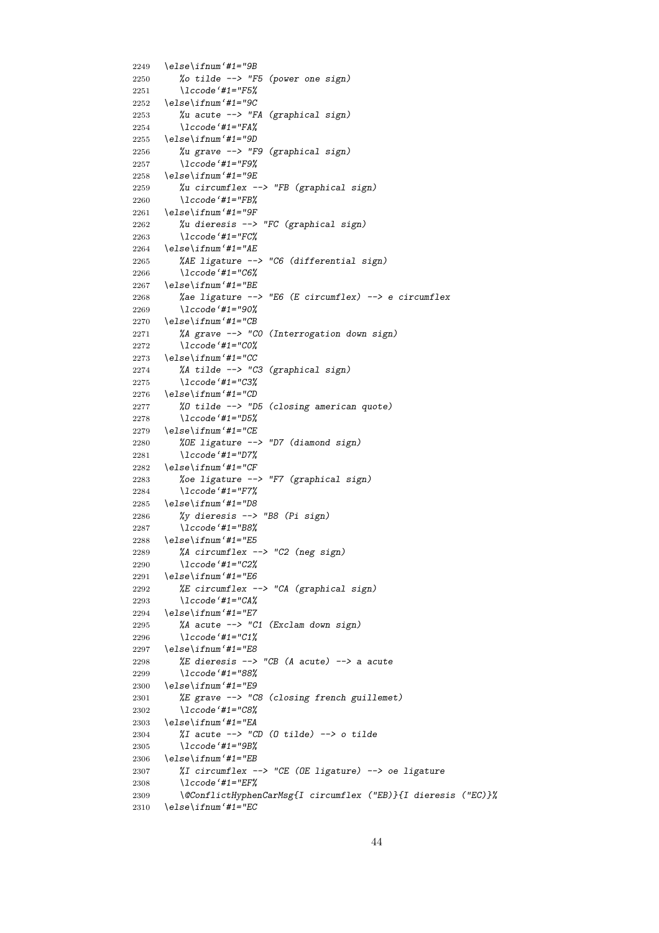```
2249 \else\ifnum'#1="9B
2250 %o tilde --> "F5 (power one sign)
2251 \lccode'#1="F5%
2252 \else\ifnum'#1="9C
2253 %u acute --> "FA (graphical sign)
2254 \lccode'#1="FA%
2255 \else\ifnum'#1="9D
2256 %u grave --> "F9 (graphical sign)
2257 \lccode'#1="F9%
2258 \else\ifnum'#1="9E
2259 %u circumflex --> "FB (graphical sign)
2260 \lccode'#1="FB%
2261 \else\ifnum'#1="9F
2262 %u dieresis --> "FC (graphical sign)
2263 \lccode'#1="FC%
2264 \else\ifnum'#1="AE
2265 %AE ligature --> "C6 (differential sign)
2266 \lccode'#1="C6%
2267 \else\ifnum'#1="BE
2268 %ae ligature --> "E6 (E circumflex) --> e circumflex
2269 \lccode'#1="90%
2270 \else\ifnum'#1="CB
2271 %A grave --> "C0 (Interrogation down sign)
2272 \lccode'#1="C0%
2273 \else\ifnum'#1="CC
2274 %A tilde --> "C3 (graphical sign)
2275 \lccode'#1="C3%
2276 \else\ifnum'#1="CD
2277 %O tilde --> "D5 (closing american quote)
2278 \lccode'#1="D5%
2279 \else\ifnum'#1="CE
2280 %OE ligature --> "D7 (diamond sign)
2281 \lccode'#1="D7%
2282 \else\ifnum'#1="CF
2283 %oe ligature --> "F7 (graphical sign)
2284 \lccode'#1="F7%
2285 \else\ifnum'#1="D8
2286 %y dieresis --> "B8 (Pi sign)
2287 \lccode'#1="B8%
2288 \else\ifnum'#1="E5
2289 %A circumflex --> "C2 (neg sign)
2290 \lccode'#1="C2%
2291 \else\ifnum'#1="E6
2292 %E circumflex --> "CA (graphical sign)
2293 \lccode'#1="CA%
2294 \else\ifnum'#1="E7
2295 %A acute --> "C1 (Exclam down sign)
2296 \lccode'#1="C1%
2297 \else\ifnum'#1="E8
2298 %E dieresis --> "CB (A acute) --> a acute
2299 \lccode'#1="88%
2300 \else\ifnum'#1="E9
2301 %E grave --> "C8 (closing french guillemet)
2302 \lccode'#1="C8%
2303 \else\ifnum'#1="EA
2304 %I acute --> "CD (O tilde) --> o tilde
2305 \lccode'#1="9B%
2306 \else\ifnum'#1="EB
2307 %I circumflex --> "CE (OE ligature) --> oe ligature
2308 \lccode'#1="EF%
2309 \@ConflictHyphenCarMsg{I circumflex ("EB)}{I dieresis ("EC)}%
2310 \else\ifnum'#1="EC
```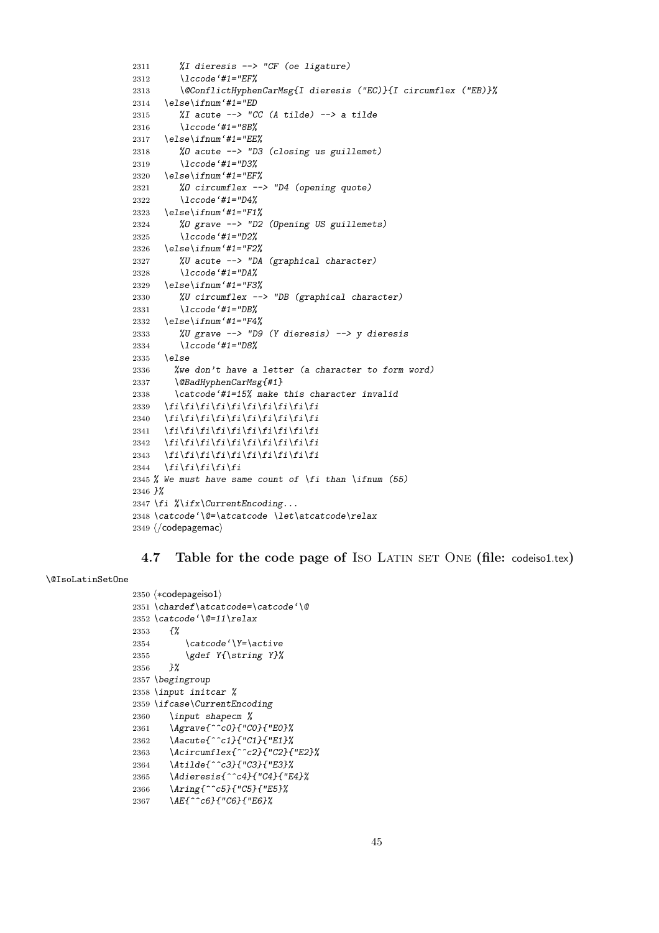```
2311 %I dieresis --> "CF (oe ligature)
2312 \lccode'#1="EF%
2313 \@ConflictHyphenCarMsg{I dieresis ("EC)}{I circumflex ("EB)}%
2314 \else\ifnum'#1="ED
2315 %I acute --> "CC (A tilde) --> a tilde
2316 \lccode'#1="8B%
2317 \else\ifnum'#1="EE%
2318 %O acute --> "D3 (closing us guillemet)
2319 \lccode'#1="D3%
2320 \else\ifnum'#1="EF%
2321 %O circumflex --> "D4 (opening quote)
2322 \lccode'#1="D4%
2323 \else\ifnum'#1="F1%
2324 %O grave --> "D2 (Opening US guillemets)
2325 \lccode'#1="D2%
2326 \else\ifnum'#1="F2%
2327 %U acute --> "DA (graphical character)
2328 \lccode'#1="DA%
2329 \else\ifnum'#1="F3%
2330 %U circumflex --> "DB (graphical character)
2331 \lccode'#1="DB%
2332 \else\ifnum'#1="F4%
2333 %U grave --> "D9 (Y dieresis) --> y dieresis
2334 \lccode'#1="D8%
2335 \else
2336 %we don't have a letter (a character to form word)
2337 \@BadHyphenCarMsg{#1}
2338 \catcode'#1=15% make this character invalid
2339 \fi\fi\fi\fi\fi\fi\fi\fi\fi\fi
2340 \fi\fi\fi\fi\fi\fi\fi\fi\fi\fi\fi
2341 \fi\fi\fi\fi\fi\fi\fi\fi\fi\fi
2342 \fi\fi\fi\fi\fi\fi\fi\fi\fi\fi
2343 \overline{f_i\}f_i\}f_i\}f_i\}f_i\}f_i\}f_i\}2344 \fi\fi\fi\fi\fi
2345 % We must have same count of \fi than \ifnum (55)
2346 }%
2347 \fi %\ifx\CurrentEncoding...
2348 \catcode'\@=\atcatcode \let\atcatcode\relax
2349 \langle/codepagemac\rangle
```
## **4.7** Table for the code page of ISO LATIN SET ONE (file: codeisol.tex)

#### \@IsoLatinSetOne

```
_{2350} \langle *{\rm code}pageiso1\rangle2351 \chardef\atcatcode=\catcode'\@
2352 \catcode'\@=11\relax
2353 {%
2354 \catcode'\Y=\active
2355 \gdef Y{\string Y}%
2356 }%
2357 \begingroup
2358 \input initcar %
2359 \ifcase\CurrentEncoding
2360 \input shapecm %
2361 \Agrave{^^c0}{"C0}{"E0}%
2362 \Aacute{^^c1}{"C1}{"E1}%
2363 \Acircumflex{^^c2}{"C2}{"E2}%
2364 \Atilde{^^c3}{"C3}{"E3}%
2365 \Adieresis{^^c4}{"C4}{"E4}%
2366 \Aring{^^c5}{"C5}{"E5}%
2367 \AE{^^c6}{"C6}{"E6}%
```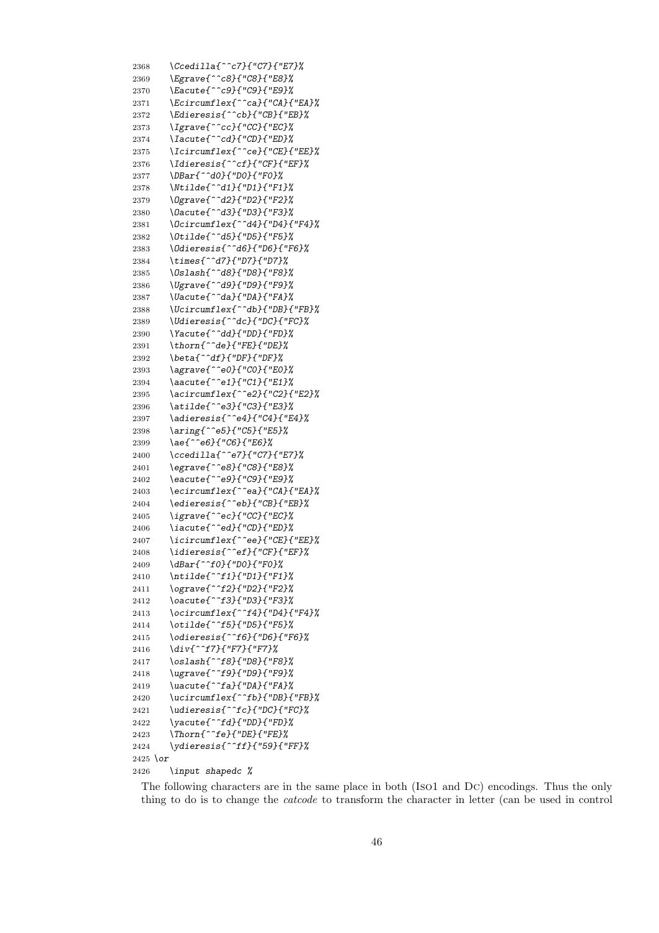*\Ccedilla{^^c7}{"C7}{"E7}% \Egrave{^^c8}{"C8}{"E8}% \Eacute{^^c9}{"C9}{"E9}% \Ecircumflex{^^ca}{"CA}{"EA}% \Edieresis{^^cb}{"CB}{"EB}% \Igrave{^^cc}{"CC}{"EC}% \Iacute{^^cd}{"CD}{"ED}% \Icircumflex{^^ce}{"CE}{"EE}% \Idieresis{^^cf}{"CF}{"EF}% \DBar{^^d0}{"D0}{"F0}% \Ntilde{^^d1}{"D1}{"F1}% \Ograve{^^d2}{"D2}{"F2}% \Oacute{^^d3}{"D3}{"F3}% \Ocircumflex{^^d4}{"D4}{"F4}% \Otilde{^^d5}{"D5}{"F5}% \Odieresis{^^d6}{"D6}{"F6}% \times{^^d7}{"D7}{"D7}% \Oslash{^^d8}{"D8}{"F8}% \Ugrave{^^d9}{"D9}{"F9}% \Uacute{^^da}{"DA}{"FA}% \Ucircumflex{^^db}{"DB}{"FB}% \Udieresis{^^dc}{"DC}{"FC}% \Yacute{^^dd}{"DD}{"FD}% \thorn{^^de}{"FE}{"DE}% \beta{^^df}{"DF}{"DF}% \agrave{^^e0}{"C0}{"E0}% \aacute{^^e1}{"C1}{"E1}% \acircumflex{^^e2}{"C2}{"E2}% \atilde{^^e3}{"C3}{"E3}% \adieresis{^^e4}{"C4}{"E4}% \aring{^^e5}{"C5}{"E5}% \ae{^^e6}{"C6}{"E6}% \ccedilla{^^e7}{"C7}{"E7}% \egrave{^^e8}{"C8}{"E8}% \eacute{^^e9}{"C9}{"E9}% \ecircumflex{^^ea}{"CA}{"EA}% \edieresis{^^eb}{"CB}{"EB}% \igrave{^^ec}{"CC}{"EC}% \iacute{^^ed}{"CD}{"ED}% \icircumflex{^^ee}{"CE}{"EE}% \idieresis{^^ef}{"CF}{"EF}% \dBar{^^f0}{"D0}{"F0}% \ntilde{^^f1}{"D1}{"F1}% \ograve{^^f2}{"D2}{"F2}% \oacute{^^f3}{"D3}{"F3}% \ocircumflex{^^f4}{"D4}{"F4}% \otilde{^^f5}{"D5}{"F5}% \odieresis{^^f6}{"D6}{"F6}% \div{^^f7}{"F7}{"F7}% \oslash{^^f8}{"D8}{"F8}% \ugrave{^^f9}{"D9}{"F9}% \uacute{^^fa}{"DA}{"FA}% \ucircumflex{^^fb}{"DB}{"FB}% \udieresis{^^fc}{"DC}{"FC}% \yacute{^^fd}{"DD}{"FD}% \Thorn{^^fe}{"DE}{"FE}% \ydieresis{^^ff}{"59}{"FF}% \or \input shapedc %*

The following characters are in the same place in both (Iso1 and Dc) encodings. Thus the only thing to do is to change the *catcode* to transform the character in letter (can be used in control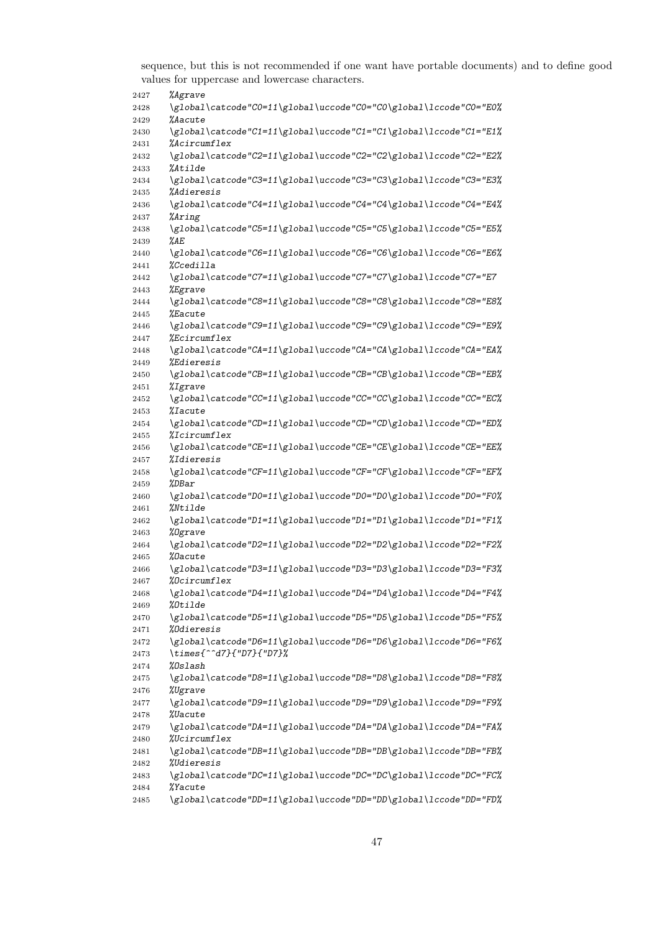sequence, but this is not recommended if one want have portable documents) and to define good values for uppercase and lowercase characters.

| 2427         | <i>%Agrave</i>                                                                               |
|--------------|----------------------------------------------------------------------------------------------|
| 2428         | \global\catcode"C0=11\global\uccode"C0="C0\global\lccode"C0="E0%                             |
| 2429         | <i><b>%Aacute</b></i>                                                                        |
| 2430         | \global\catcode"C1=11\global\uccode"C1="C1\global\lccode"C1="E1%                             |
| 2431         | <i>%Acircumflex</i>                                                                          |
| 2432         | \global\catcode"C2=11\global\uccode"C2="C2\global\lccode"C2="E2%                             |
| 2433         | <i>%Atilde</i>                                                                               |
| 2434         | \global\catcode"C3=11\global\uccode"C3="C3\global\lccode"C3="E3%<br><i>%Adieresis</i>        |
| 2435<br>2436 | \global\catcode"C4=11\global\uccode"C4="C4\global\lccode"C4="E4%                             |
| 2437         | <i>%Aring</i>                                                                                |
| 2438         | \global\catcode"C5=11\global\uccode"C5="C5\global\lccode"C5="E5%                             |
| 2439         | %AE                                                                                          |
| 2440         | \global\catcode"C6=11\global\uccode"C6="C6\global\lccode"C6="E6%                             |
| 2441         | <i>%Ccedilla</i>                                                                             |
| 2442         | \global\catcode"C7=11\global\uccode"C7="C7\global\lccode"C7="E7                              |
| 2443         | <i>%Egrave</i>                                                                               |
| 2444         | \global\catcode"C8=11\global\uccode"C8="C8\global\lccode"C8="E8%                             |
| 2445         | <i>%Eacute</i>                                                                               |
| 2446         | \global\catcode"C9=11\global\uccode"C9="C9\global\lccode"C9="E9%                             |
| 2447         | <i>%Ecircumflex</i>                                                                          |
| 2448         | \global\catcode"CA=11\global\uccode"CA="CA\global\lccode"CA="EA%<br><i><b>%Edieresis</b></i> |
| 2449<br>2450 | \global\catcode"CB=11\global\uccode"CB="CB\global\lccode"CB="EB%                             |
| 2451         | <i>%Igrave</i>                                                                               |
| 2452         | \global\catcode"CC=11\global\uccode"CC="CC\global\lccode"CC="EC%                             |
| 2453         | <i>%Iacute</i>                                                                               |
| 2454         | \global\catcode"CD=11\global\uccode"CD="CD\global\lccode"CD="ED%                             |
| 2455         | <i>%Icircumflex</i>                                                                          |
| 2456         | \global\catcode"CE=11\global\uccode"CE="CE\global\lccode"CE="EE%                             |
| 2457         | <i>%Idieresis</i>                                                                            |
| 2458         | \global\catcode"CF=11\global\uccode"CF="CF\global\lccode"CF="EF%                             |
| 2459         | %DBar                                                                                        |
| 2460         | \global\catcode"D0=11\global\uccode"D0="D0\global\lccode"D0="F0%                             |
| 2461<br>2462 | <i>%Ntilde</i><br>\global\catcode"D1=11\global\uccode"D1="D1\global\lccode"D1="F1%           |
| 2463         | %Ograve                                                                                      |
| 2464         | \global\catcode"D2=11\global\uccode"D2="D2\global\lccode"D2="F2%                             |
| 2465         | <i>%Dacute</i>                                                                               |
| 2466         | \global\catcode"D3=11\global\uccode"D3="D3\global\lccode"D3="F3%                             |
| 2467         | %Ocircumflex                                                                                 |
| 2468         | \global\catcode"D4=11\global\uccode"D4="D4\global\lccode"D4="F4%                             |
| 2469         | %Otilde                                                                                      |
| 2470         | \global\catcode"D5=11\global\uccode"D5="D5\global\lccode"D5="F5%                             |
| 2471         | <i>%Odieresis</i>                                                                            |
| 2472         | \global\catcode"D6=11\global\uccode"D6="D6\global\lccode"D6="F6%                             |
| 2473         | \times{^^d7}{"D7}{"D7}%<br>%Oslash                                                           |
| 2474<br>2475 | \global\catcode"D8=11\global\uccode"D8="D8\global\lccode"D8="F8%                             |
| 2476         | <i>%Ugrave</i>                                                                               |
| 2477         | \global\catcode"D9=11\global\uccode"D9="D9\global\lccode"D9="F9%                             |
| 2478         | <i>%Uacute</i>                                                                               |
| 2479         | \global\catcode"DA=11\global\uccode"DA="DA\global\lccode"DA="FA%                             |
| 2480         | <i>%Ucircumflex</i>                                                                          |
| 2481         | \global\catcode"DB=11\global\uccode"DB="DB\global\lccode"DB="FB%                             |
| 2482         | <i>%Udieresis</i>                                                                            |
| 2483         | \global\catcode"DC=11\global\uccode"DC="DC\global\lccode"DC="FC%                             |
| 2484         | <i>%Yacute</i>                                                                               |
| 2485         | \global\catcode"DD=11\global\uccode"DD="DD\global\lccode"DD="FD%                             |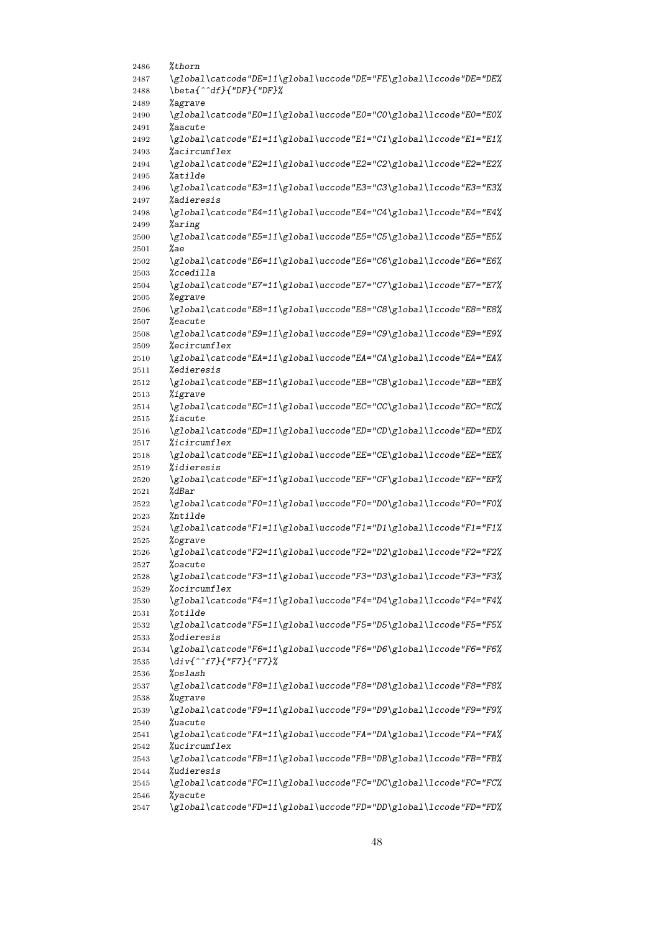| 2486         | %thorn                                                                                |
|--------------|---------------------------------------------------------------------------------------|
| 2487         | \global\catcode"DE=11\global\uccode"DE="FE\global\lccode"DE="DE%                      |
| 2488         | \beta{^^df}{"DF}{"DF}%                                                                |
| 2489         | <i>%agrave</i>                                                                        |
| 2490         | \global\catcode"E0=11\global\uccode"E0="C0\global\lccode"E0="E0%                      |
| 2491         | %aacute                                                                               |
| 2492         | \global\catcode"E1=11\global\uccode"E1="C1\global\lccode"E1="E1%                      |
| 2493         | %acircumflex                                                                          |
| 2494         | \global\catcode"E2=11\global\uccode"E2="C2\global\lccode"E2="E2%                      |
| 2495         | %atilde                                                                               |
| 2496<br>2497 | \global\catcode"E3=11\global\uccode"E3="C3\global\lccode"E3="E3%<br><i>%adieresis</i> |
| 2498         | \global\catcode"E4=11\global\uccode"E4="C4\global\lccode"E4="E4%                      |
| 2499         | %aring                                                                                |
| 2500         | \global\catcode"E5=11\global\uccode"E5="C5\global\lccode"E5="E5%                      |
| 2501         | %ae                                                                                   |
| 2502         | \global\catcode"E6=11\global\uccode"E6="C6\global\lccode"E6="E6%                      |
| 2503         | %ccedilla                                                                             |
| 2504         | \global\catcode"E7=11\global\uccode"E7="C7\global\lccode"E7="E7%                      |
| 2505         | %egrave                                                                               |
| 2506         | \global\catcode"E8=11\global\uccode"E8="C8\global\lccode"E8="E8%                      |
| 2507         | %eacute                                                                               |
| 2508         | \global\catcode"E9=11\global\uccode"E9="C9\global\lccode"E9="E9%                      |
| 2509         | %ecircumflex                                                                          |
| 2510         | \global\catcode"EA=11\global\uccode"EA="CA\global\lccode"EA="EA%                      |
| 2511         | <i>%edieresis</i>                                                                     |
| 2512         | \global\catcode"EB=11\global\uccode"EB="CB\global\lccode"EB="EB%                      |
| 2513         | %igrave                                                                               |
| 2514         | \global\catcode"EC=11\global\uccode"EC="CC\global\lccode"EC="EC%<br>%iacute           |
| 2515<br>2516 | \global\catcode"ED=11\global\uccode"ED="CD\global\lccode"ED="ED%                      |
| 2517         | %icircumflex                                                                          |
| 2518         | \global\catcode"EE=11\global\uccode"EE="CE\global\lccode"EE="EE%                      |
| 2519         | <i>%idieresis</i>                                                                     |
| 2520         | \global\catcode"EF=11\global\uccode"EF="CF\global\lccode"EF="EF%                      |
| 2521         | %dBar                                                                                 |
| 2522         | \global\catcode"F0=11\global\uccode"F0="D0\global\lccode"F0="F0%                      |
| 2523         | %ntilde                                                                               |
| 2524         | \global\catcode"F1=11\global\uccode"F1="D1\global\lccode"F1="F1%                      |
| 2525         | %ograve                                                                               |
| 2526         | \global\catcode"F2=11\global\uccode"F2="D2\global\lccode"F2="F2%                      |
| 2527         | <i><b>Loacute</b></i>                                                                 |
| 2528         | \global\catcode"F3=11\global\uccode"F3="D3\global\lccode"F3="F3%                      |
| 2529         | %ocircumflex                                                                          |
| 2530         | \global\catcode"F4=11\global\uccode"F4="D4\global\lccode"F4="F4%                      |
| 2531         | %otilde<br>\global\catcode"F5=11\global\uccode"F5="D5\global\lccode"F5="F5%           |
| 2532<br>2533 | <i>%odieresis</i>                                                                     |
| 2534         | \global\catcode"F6=11\global\uccode"F6="D6\global\lccode"F6="F6%                      |
| 2535         | \div{^^f7}{"F7}{"F7}%                                                                 |
| 2536         | %oslash                                                                               |
| 2537         | \global\catcode"F8=11\global\uccode"F8="D8\global\lccode"F8="F8%                      |
| 2538         | %ugrave                                                                               |
| 2539         | \global\catcode"F9=11\global\uccode"F9="D9\global\lccode"F9="F9%                      |
| 2540         | %uacute                                                                               |
| 2541         | \global\catcode"FA=11\global\uccode"FA="DA\global\lccode"FA="FA%                      |
| 2542         | %ucircumflex                                                                          |
| 2543         | \global\catcode"FB=11\global\uccode"FB="DB\global\lccode"FB="FB%                      |
| 2544         | <i>%udieresis</i>                                                                     |
| 2545         | \global\catcode"FC=11\global\uccode"FC="DC\global\lccode"FC="FC%                      |
| 2546         | %yacute                                                                               |
| 2547         | \global\catcode"FD=11\global\uccode"FD="DD\global\lccode"FD="FD%                      |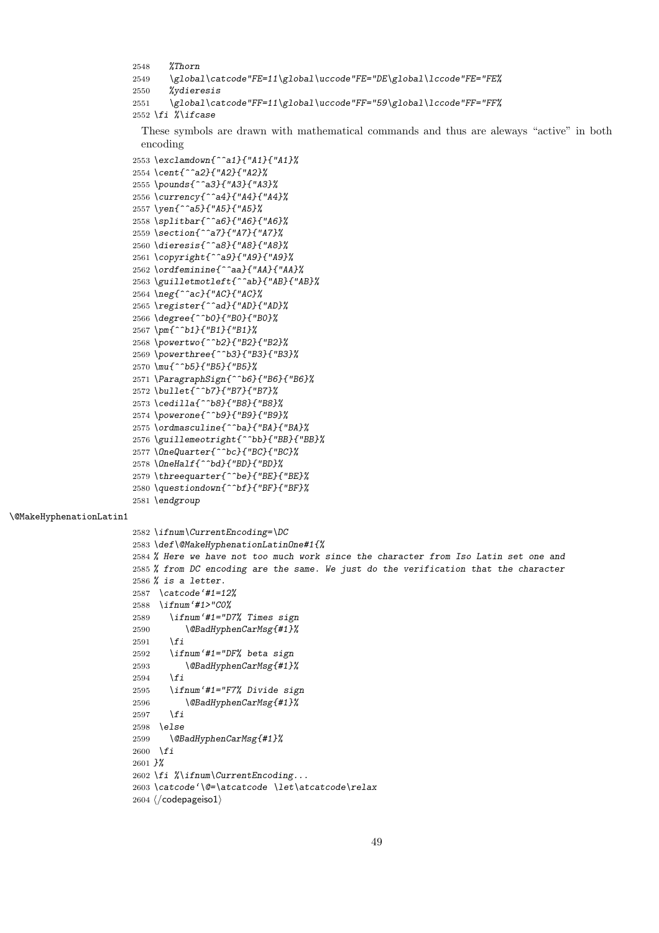```
2548 %Thorn
2549 \global\catcode"FE=11\global\uccode"FE="DE\global\lccode"FE="FE%
2550 %ydieresis
2551 \global\catcode"FF=11\global\uccode"FF="59\global\lccode"FF="FF%
2552 \fi %\ifcase
```
These symbols are drawn with mathematical commands and thus are aleways "active" in both encoding

```
2553 \exclamdown{^^a1}{"A1}{"A1}%
2554 \cent{^^a2}{"A2}{"A2}%
2555 \pounds{^^a3}{"A3}{"A3}%
2556 \currency{^^a4}{"A4}{"A4}%
2557 \yen{^^a5}{"A5}{"A5}%
2558 \splitbar{^^a6}{"A6}{"A6}%
2559 \section{^^a7}{"A7}{"A7}%
2560 \dieresis{^^a8}{"A8}{"A8}%
2561 \copyright{^^a9}{"A9}{"A9}%
2562 \ordfeminine{^^aa}{"AA}{"AA}%
2563 \guilletmotleft{^^ab}{"AB}{"AB}%
2564 \neg{^^ac}{"AC}{"AC}%
2565 \register{^^ad}{"AD}{"AD}%
2566 \degree{^^b0}{"B0}{"B0}%
2567 \pm{^^b1}{"B1}{"B1}%
2568 \powertwo{^^b2}{"B2}{"B2}%
2569 \powerthree{^^b3}{"B3}{"B3}%
2570 \mu{^^b5}{"B5}{"B5}%
2571 \ParagraphSign{^^b6}{"B6}{"B6}%
2572 \bullet{^^b7}{"B7}{"B7}%
2573 \cedilla{^^b8}{"B8}{"B8}%
2574 \powerone{^^b9}{"B9}{"B9}%
2575 \ordmasculine{^^ba}{"BA}{"BA}%
2576 \guillemeotright{^^bb}{"BB}{"BB}%
2577 \OneQuarter{^^bc}{"BC}{"BC}%
2578 \OneHalf{^^bd}{"BD}{"BD}%
2579 \threequarter{^^be}{"BE}{"BE}%
2580 \questiondown{^^bf}{"BF}{"BF}%
2581 \endgroup
```
\@MakeHyphenationLatin1

*\ifnum\CurrentEncoding=\DC*

 $2604 \; \langle \text{/codepage}|\text{so1}\rangle$ 

```
2583 \def\@MakeHyphenationLatinOne#1{%
2584 % Here we have not too much work since the character from Iso Latin set one and
2585 % from DC encoding are the same. We just do the verification that the character
2586 % is a letter.
2587 \catcode'#1=12%
2588 \ifnum'#1>"C0%
2589 \ifnum'#1="D7% Times sign
2590 \@BadHyphenCarMsg{#1}%
2591 \fi
2592 \ifnum'#1="DF% beta sign
2593 \@BadHyphenCarMsg{#1}%
2594 \fi
2595 \ifnum'#1="F7% Divide sign
2596 \@BadHyphenCarMsg{#1}%
2597 \fi
2598 \else
2599 \@BadHyphenCarMsg{#1}%
2600 \fi
2601 }%
2602 \fi %\ifnum\CurrentEncoding...
2603 \catcode'\@=\atcatcode \let\atcatcode\relax
```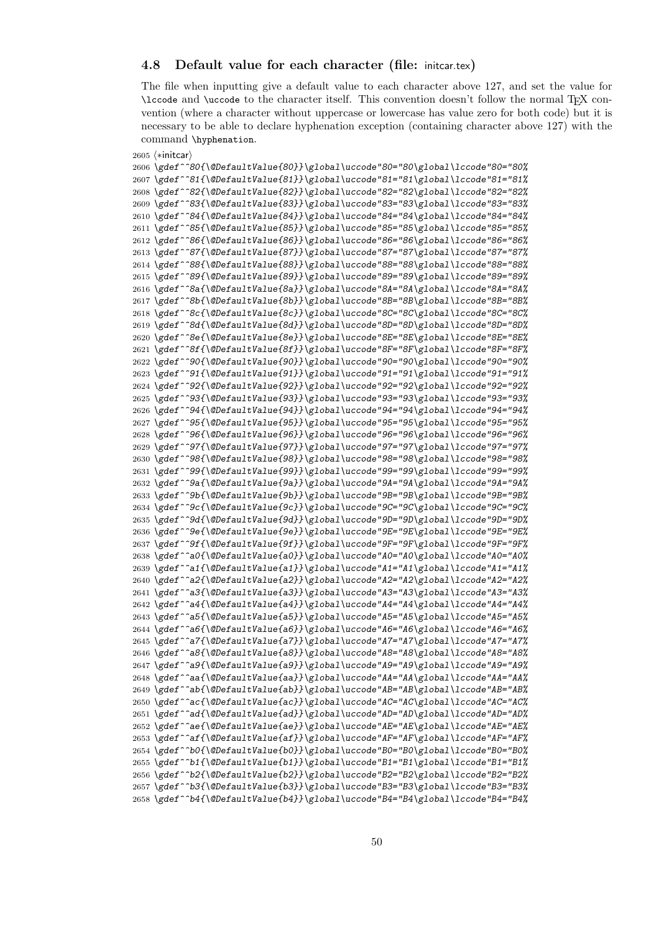## **4.8 Default value for each character (file:** initcar.tex**)**

The file when inputting give a default value to each character above 127, and set the value for \lccode and \uccode to the character itself. This convention doesn't follow the normal TEX convention (where a character without uppercase or lowercase has value zero for both code) but it is necessary to be able to declare hyphenation exception (containing character above 127) with the command \hyphenation.

```
2605 \langle * \text{inter} \rangle
```
 *\gdef^^80{\@DefaultValue{80}}\global\uccode"80="80\global\lccode"80="80% \gdef^^81{\@DefaultValue{81}}\global\uccode"81="81\global\lccode"81="81% \gdef^^82{\@DefaultValue{82}}\global\uccode"82="82\global\lccode"82="82% \gdef^^83{\@DefaultValue{83}}\global\uccode"83="83\global\lccode"83="83% \gdef^^84{\@DefaultValue{84}}\global\uccode"84="84\global\lccode"84="84% \gdef^^85{\@DefaultValue{85}}\global\uccode"85="85\global\lccode"85="85% \gdef^^86{\@DefaultValue{86}}\global\uccode"86="86\global\lccode"86="86% \gdef^^87{\@DefaultValue{87}}\global\uccode"87="87\global\lccode"87="87% \gdef^^88{\@DefaultValue{88}}\global\uccode"88="88\global\lccode"88="88% \gdef^^89{\@DefaultValue{89}}\global\uccode"89="89\global\lccode"89="89% \gdef^^8a{\@DefaultValue{8a}}\global\uccode"8A="8A\global\lccode"8A="8A% \gdef^^8b{\@DefaultValue{8b}}\global\uccode"8B="8B\global\lccode"8B="8B% \gdef^^8c{\@DefaultValue{8c}}\global\uccode"8C="8C\global\lccode"8C="8C% \gdef^^8d{\@DefaultValue{8d}}\global\uccode"8D="8D\global\lccode"8D="8D% \gdef^^8e{\@DefaultValue{8e}}\global\uccode"8E="8E\global\lccode"8E="8E% \gdef^^8f{\@DefaultValue{8f}}\global\uccode"8F="8F\global\lccode"8F="8F% \gdef^^90{\@DefaultValue{90}}\global\uccode"90="90\global\lccode"90="90% \gdef^^91{\@DefaultValue{91}}\global\uccode"91="91\global\lccode"91="91% \gdef^^92{\@DefaultValue{92}}\global\uccode"92="92\global\lccode"92="92% \gdef^^93{\@DefaultValue{93}}\global\uccode"93="93\global\lccode"93="93% \gdef^^94{\@DefaultValue{94}}\global\uccode"94="94\global\lccode"94="94% \gdef^^95{\@DefaultValue{95}}\global\uccode"95="95\global\lccode"95="95% \gdef^^96{\@DefaultValue{96}}\global\uccode"96="96\global\lccode"96="96% \gdef^^97{\@DefaultValue{97}}\global\uccode"97="97\global\lccode"97="97% \gdef^^98{\@DefaultValue{98}}\global\uccode"98="98\global\lccode"98="98% \gdef^^99{\@DefaultValue{99}}\global\uccode"99="99\global\lccode"99="99% \gdef^^9a{\@DefaultValue{9a}}\global\uccode"9A="9A\global\lccode"9A="9A% \gdef^^9b{\@DefaultValue{9b}}\global\uccode"9B="9B\global\lccode"9B="9B% \gdef^^9c{\@DefaultValue{9c}}\global\uccode"9C="9C\global\lccode"9C="9C% \gdef^^9d{\@DefaultValue{9d}}\global\uccode"9D="9D\global\lccode"9D="9D% \gdef^^9e{\@DefaultValue{9e}}\global\uccode"9E="9E\global\lccode"9E="9E% \gdef^^9f{\@DefaultValue{9f}}\global\uccode"9F="9F\global\lccode"9F="9F% \gdef^^a0{\@DefaultValue{a0}}\global\uccode"A0="A0\global\lccode"A0="A0% \gdef^^a1{\@DefaultValue{a1}}\global\uccode"A1="A1\global\lccode"A1="A1% \gdef^^a2{\@DefaultValue{a2}}\global\uccode"A2="A2\global\lccode"A2="A2% \gdef^^a3{\@DefaultValue{a3}}\global\uccode"A3="A3\global\lccode"A3="A3% \gdef^^a4{\@DefaultValue{a4}}\global\uccode"A4="A4\global\lccode"A4="A4% \gdef^^a5{\@DefaultValue{a5}}\global\uccode"A5="A5\global\lccode"A5="A5% \gdef^^a6{\@DefaultValue{a6}}\global\uccode"A6="A6\global\lccode"A6="A6% \gdef^^a7{\@DefaultValue{a7}}\global\uccode"A7="A7\global\lccode"A7="A7% \gdef^^a8{\@DefaultValue{a8}}\global\uccode"A8="A8\global\lccode"A8="A8% \gdef^^a9{\@DefaultValue{a9}}\global\uccode"A9="A9\global\lccode"A9="A9% \gdef^^aa{\@DefaultValue{aa}}\global\uccode"AA="AA\global\lccode"AA="AA% \gdef^^ab{\@DefaultValue{ab}}\global\uccode"AB="AB\global\lccode"AB="AB% \gdef^^ac{\@DefaultValue{ac}}\global\uccode"AC="AC\global\lccode"AC="AC% \gdef^^ad{\@DefaultValue{ad}}\global\uccode"AD="AD\global\lccode"AD="AD% \gdef^^ae{\@DefaultValue{ae}}\global\uccode"AE="AE\global\lccode"AE="AE% \gdef^^af{\@DefaultValue{af}}\global\uccode"AF="AF\global\lccode"AF="AF% \gdef^^b0{\@DefaultValue{b0}}\global\uccode"B0="B0\global\lccode"B0="B0% \gdef^^b1{\@DefaultValue{b1}}\global\uccode"B1="B1\global\lccode"B1="B1% \gdef^^b2{\@DefaultValue{b2}}\global\uccode"B2="B2\global\lccode"B2="B2% \gdef^^b3{\@DefaultValue{b3}}\global\uccode"B3="B3\global\lccode"B3="B3% \gdef^^b4{\@DefaultValue{b4}}\global\uccode"B4="B4\global\lccode"B4="B4%*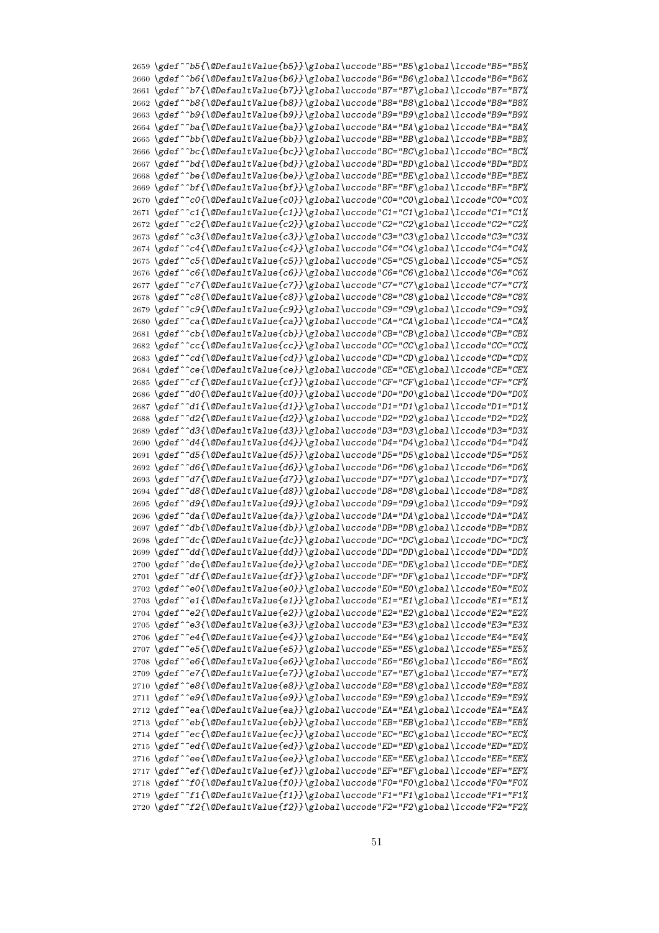*\gdef^^b5{\@DefaultValue{b5}}\global\uccode"B5="B5\global\lccode"B5="B5% \gdef^^b6{\@DefaultValue{b6}}\global\uccode"B6="B6\global\lccode"B6="B6% \gdef^^b7{\@DefaultValue{b7}}\global\uccode"B7="B7\global\lccode"B7="B7% \gdef^^b8{\@DefaultValue{b8}}\global\uccode"B8="B8\global\lccode"B8="B8% \gdef^^b9{\@DefaultValue{b9}}\global\uccode"B9="B9\global\lccode"B9="B9% \gdef^^ba{\@DefaultValue{ba}}\global\uccode"BA="BA\global\lccode"BA="BA% \gdef^^bb{\@DefaultValue{bb}}\global\uccode"BB="BB\global\lccode"BB="BB% \gdef^^bc{\@DefaultValue{bc}}\global\uccode"BC="BC\global\lccode"BC="BC% \gdef^^bd{\@DefaultValue{bd}}\global\uccode"BD="BD\global\lccode"BD="BD% \gdef^^be{\@DefaultValue{be}}\global\uccode"BE="BE\global\lccode"BE="BE% \gdef^^bf{\@DefaultValue{bf}}\global\uccode"BF="BF\global\lccode"BF="BF% \gdef^^c0{\@DefaultValue{c0}}\global\uccode"C0="C0\global\lccode"C0="C0% \gdef^^c1{\@DefaultValue{c1}}\global\uccode"C1="C1\global\lccode"C1="C1% \gdef^^c2{\@DefaultValue{c2}}\global\uccode"C2="C2\global\lccode"C2="C2% \gdef^^c3{\@DefaultValue{c3}}\global\uccode"C3="C3\global\lccode"C3="C3% \gdef^^c4{\@DefaultValue{c4}}\global\uccode"C4="C4\global\lccode"C4="C4% \gdef^^c5{\@DefaultValue{c5}}\global\uccode"C5="C5\global\lccode"C5="C5% \gdef^^c6{\@DefaultValue{c6}}\global\uccode"C6="C6\global\lccode"C6="C6% \gdef^^c7{\@DefaultValue{c7}}\global\uccode"C7="C7\global\lccode"C7="C7% \gdef^^c8{\@DefaultValue{c8}}\global\uccode"C8="C8\global\lccode"C8="C8% \gdef^^c9{\@DefaultValue{c9}}\global\uccode"C9="C9\global\lccode"C9="C9% \gdef^^ca{\@DefaultValue{ca}}\global\uccode"CA="CA\global\lccode"CA="CA% \gdef^^cb{\@DefaultValue{cb}}\global\uccode"CB="CB\global\lccode"CB="CB% \gdef^^cc{\@DefaultValue{cc}}\global\uccode"CC="CC\global\lccode"CC="CC% \gdef^^cd{\@DefaultValue{cd}}\global\uccode"CD="CD\global\lccode"CD="CD% \gdef^^ce{\@DefaultValue{ce}}\global\uccode"CE="CE\global\lccode"CE="CE% \gdef^^cf{\@DefaultValue{cf}}\global\uccode"CF="CF\global\lccode"CF="CF% \gdef^^d0{\@DefaultValue{d0}}\global\uccode"D0="D0\global\lccode"D0="D0% \gdef^^d1{\@DefaultValue{d1}}\global\uccode"D1="D1\global\lccode"D1="D1% \gdef^^d2{\@DefaultValue{d2}}\global\uccode"D2="D2\global\lccode"D2="D2% \gdef^^d3{\@DefaultValue{d3}}\global\uccode"D3="D3\global\lccode"D3="D3% \gdef^^d4{\@DefaultValue{d4}}\global\uccode"D4="D4\global\lccode"D4="D4% \gdef^^d5{\@DefaultValue{d5}}\global\uccode"D5="D5\global\lccode"D5="D5% \gdef^^d6{\@DefaultValue{d6}}\global\uccode"D6="D6\global\lccode"D6="D6% \gdef^^d7{\@DefaultValue{d7}}\global\uccode"D7="D7\global\lccode"D7="D7% \gdef^^d8{\@DefaultValue{d8}}\global\uccode"D8="D8\global\lccode"D8="D8% \gdef^^d9{\@DefaultValue{d9}}\global\uccode"D9="D9\global\lccode"D9="D9% \gdef^^da{\@DefaultValue{da}}\global\uccode"DA="DA\global\lccode"DA="DA% \gdef^^db{\@DefaultValue{db}}\global\uccode"DB="DB\global\lccode"DB="DB% \gdef^^dc{\@DefaultValue{dc}}\global\uccode"DC="DC\global\lccode"DC="DC% \gdef^^dd{\@DefaultValue{dd}}\global\uccode"DD="DD\global\lccode"DD="DD% \gdef^^de{\@DefaultValue{de}}\global\uccode"DE="DE\global\lccode"DE="DE% \gdef^^df{\@DefaultValue{df}}\global\uccode"DF="DF\global\lccode"DF="DF% \gdef^^e0{\@DefaultValue{e0}}\global\uccode"E0="E0\global\lccode"E0="E0% \gdef^^e1{\@DefaultValue{e1}}\global\uccode"E1="E1\global\lccode"E1="E1% \gdef^^e2{\@DefaultValue{e2}}\global\uccode"E2="E2\global\lccode"E2="E2% \gdef^^e3{\@DefaultValue{e3}}\global\uccode"E3="E3\global\lccode"E3="E3% \gdef^^e4{\@DefaultValue{e4}}\global\uccode"E4="E4\global\lccode"E4="E4% \gdef^^e5{\@DefaultValue{e5}}\global\uccode"E5="E5\global\lccode"E5="E5% \gdef^^e6{\@DefaultValue{e6}}\global\uccode"E6="E6\global\lccode"E6="E6% \gdef^^e7{\@DefaultValue{e7}}\global\uccode"E7="E7\global\lccode"E7="E7% \gdef^^e8{\@DefaultValue{e8}}\global\uccode"E8="E8\global\lccode"E8="E8% \gdef^^e9{\@DefaultValue{e9}}\global\uccode"E9="E9\global\lccode"E9="E9% \gdef^^ea{\@DefaultValue{ea}}\global\uccode"EA="EA\global\lccode"EA="EA% \gdef^^eb{\@DefaultValue{eb}}\global\uccode"EB="EB\global\lccode"EB="EB% \gdef^^ec{\@DefaultValue{ec}}\global\uccode"EC="EC\global\lccode"EC="EC% \gdef^^ed{\@DefaultValue{ed}}\global\uccode"ED="ED\global\lccode"ED="ED% \gdef^^ee{\@DefaultValue{ee}}\global\uccode"EE="EE\global\lccode"EE="EE% \gdef^^ef{\@DefaultValue{ef}}\global\uccode"EF="EF\global\lccode"EF="EF% \gdef^^f0{\@DefaultValue{f0}}\global\uccode"F0="F0\global\lccode"F0="F0% \gdef^^f1{\@DefaultValue{f1}}\global\uccode"F1="F1\global\lccode"F1="F1% \gdef^^f2{\@DefaultValue{f2}}\global\uccode"F2="F2\global\lccode"F2="F2%*